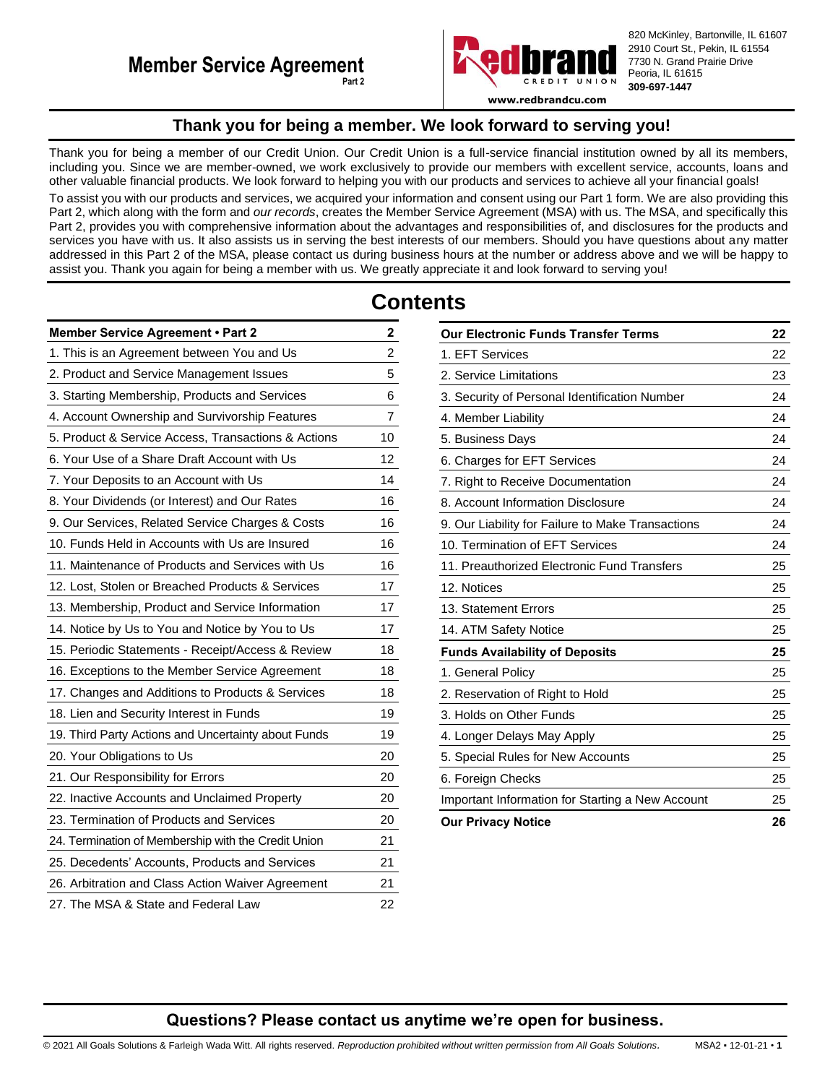

820 McKinley, Bartonville, IL 61607 2910 Court St., Pekin, IL 61554 7730 N. Grand Prairie Drive Peoria, IL 61615 **309-697-1447**

**www.redbrandcu.com**

# **Thank you for being a member. We look forward to serving you!**

<span id="page-0-0"></span>Thank you for being a member of our Credit Union. Our Credit Union is a full-service financial institution owned by all its members, including you. Since we are member-owned, we work exclusively to provide our members with excellent service, accounts, loans and other valuable financial products. We look forward to helping you with our products and services to achieve all your financial goals! To assist you with our products and services, we acquired your information and consent using our Part 1 form. We are also providing this Part 2, which along with the form and *our records*, creates the Member Service Agreement (MSA) with us. The MSA, and specifically this Part 2, provides you with comprehensive information about the advantages and responsibilities of, and disclosures for the products and services you have with us. It also assists us in serving the best interests of our members. Should you have questions about any matter addressed in this Part 2 of the MSA, please contact us during business hours at the number or address above and we will be happy to assist you. Thank you again for being a member with us. We greatly appreciate it and look forward to serving you!

# **Contents**

| Member Service Agreement . Part 2                   | 2  |
|-----------------------------------------------------|----|
| 1. This is an Agreement between You and Us          | 2  |
| 2. Product and Service Management Issues            | 5  |
| 3. Starting Membership, Products and Services       | 6  |
| 4. Account Ownership and Survivorship Features      | 7  |
| 5. Product & Service Access, Transactions & Actions | 10 |
| 6. Your Use of a Share Draft Account with Us        | 12 |
| 7. Your Deposits to an Account with Us              | 14 |
| 8. Your Dividends (or Interest) and Our Rates       | 16 |
| 9. Our Services, Related Service Charges & Costs    | 16 |
| 10. Funds Held in Accounts with Us are Insured      | 16 |
| 11. Maintenance of Products and Services with Us    | 16 |
| 12. Lost, Stolen or Breached Products & Services    | 17 |
| 13. Membership, Product and Service Information     | 17 |
| 14. Notice by Us to You and Notice by You to Us     | 17 |
| 15. Periodic Statements - Receipt/Access & Review   | 18 |
| 16. Exceptions to the Member Service Agreement      | 18 |
| 17. Changes and Additions to Products & Services    | 18 |
| 18. Lien and Security Interest in Funds             | 19 |
| 19. Third Party Actions and Uncertainty about Funds | 19 |
| 20. Your Obligations to Us                          | 20 |
| 21. Our Responsibility for Errors                   | 20 |
| 22. Inactive Accounts and Unclaimed Property        | 20 |
| 23. Termination of Products and Services            | 20 |
| 24. Termination of Membership with the Credit Union | 21 |
| 25. Decedents' Accounts, Products and Services      | 21 |
| 26. Arbitration and Class Action Waiver Agreement   | 21 |
| 27. The MSA & State and Federal Law                 | 22 |

| <b>Our Electronic Funds Transfer Terms</b>        |    |
|---------------------------------------------------|----|
| 1. EFT Services                                   | 22 |
| 2. Service Limitations                            | 23 |
| 3. Security of Personal Identification Number     | 24 |
| 4. Member Liability                               | 24 |
| 5. Business Days                                  | 24 |
| 6. Charges for EFT Services                       | 24 |
| 7. Right to Receive Documentation                 | 24 |
| 8. Account Information Disclosure                 | 24 |
| 9. Our Liability for Failure to Make Transactions | 24 |
| 10. Termination of EFT Services                   | 24 |
| 11. Preauthorized Electronic Fund Transfers       | 25 |
| 12. Notices                                       | 25 |
| 13. Statement Errors                              | 25 |
| 14. ATM Safety Notice                             | 25 |
| <b>Funds Availability of Deposits</b>             | 25 |
| 1. General Policy                                 | 25 |
| 2. Reservation of Right to Hold                   | 25 |
| 3. Holds on Other Funds                           | 25 |
| 4. Longer Delays May Apply                        | 25 |
| 5. Special Rules for New Accounts                 | 25 |
| 6. Foreign Checks                                 | 25 |
| Important Information for Starting a New Account  | 25 |
| <b>Our Privacy Notice</b>                         | 26 |

# **Questions? Please contact us anytime we're open for business.**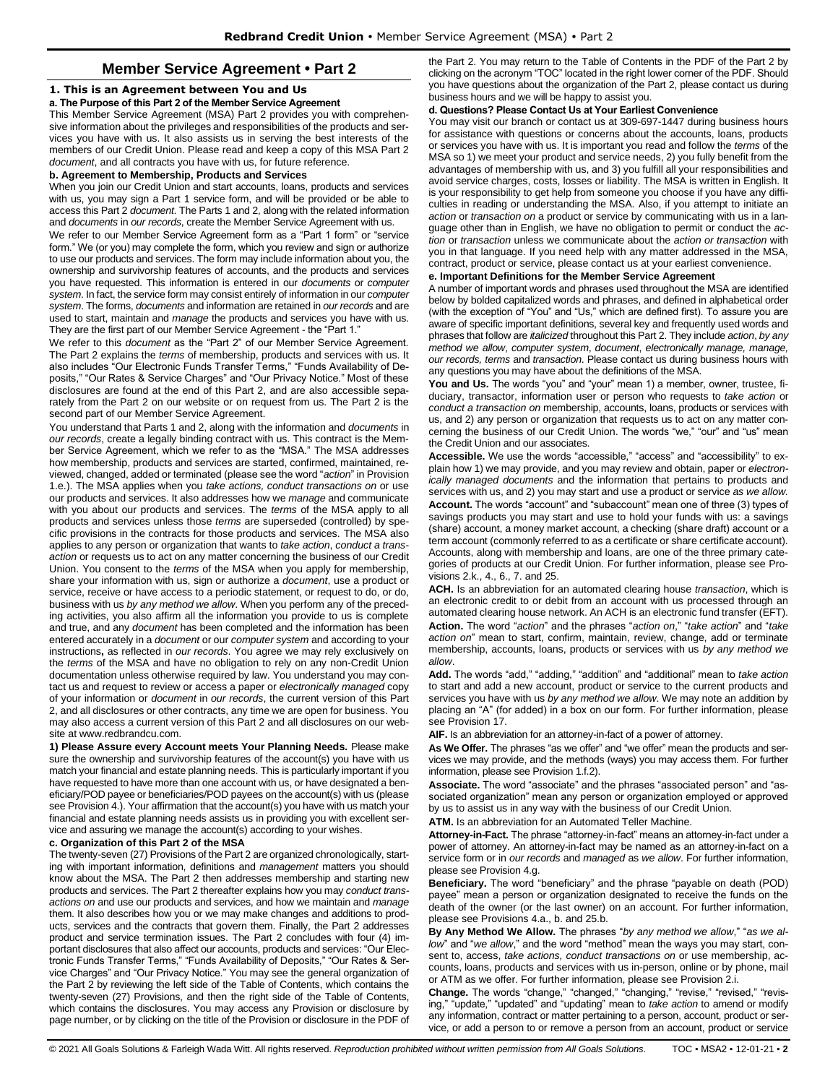# **Member Service Agreement • Part 2**

# <span id="page-1-1"></span><span id="page-1-0"></span>**1. This is an Agreement between You and Us**

# **a. The Purpose of this Part 2 of the Member Service Agreement**

This Member Service Agreement (MSA) Part 2 provides you with comprehensive information about the privileges and responsibilities of the products and services you have with us. It also assists us in serving the best interests of the members of our Credit Union. Please read and keep a copy of this MSA Part 2 *document*, and all contracts you have with us, for future reference.

#### **b. Agreement to Membership, Products and Services**

When you join our Credit Union and start accounts, loans, products and services with us, you may sign a Part 1 service form, and will be provided or be able to access this Part 2 *document*. The Parts 1 and 2, along with the related information and *documents* in *our records*, create the Member Service Agreement with us.

We refer to our Member Service Agreement form as a "Part 1 form" or "service form." We (or you) may complete the form, which you review and sign or authorize to use our products and services. The form may include information about you, the ownership and survivorship features of accounts, and the products and services you have requested. This information is entered in our *documents* or *computer system*. In fact, the service form may consist entirely of information in our *computer system*. The forms, *documents* and information are retained in *our records* and are used to start, maintain and *manage* the products and services you have with us. They are the first part of our Member Service Agreement - the "Part 1."

We refer to this *document* as the "Part 2" of our Member Service Agreement. The Part 2 explains the *terms* of membership, products and services with us. It also includes "Our Electronic Funds Transfer Terms," "Funds Availability of Deposits," "Our Rates & Service Charges" and "Our Privacy Notice." Most of these disclosures are found at the end of this Part 2, and are also accessible separately from the Part 2 on our website or on request from us. The Part 2 is the second part of our Member Service Agreement.

You understand that Parts 1 and 2, along with the information and *documents* in *our records*, create a legally binding contract with us. This contract is the Member Service Agreement, which we refer to as the "MSA." The MSA addresses how membership, products and services are started, confirmed, maintained, reviewed, changed, added or terminated (please see the word "*action*" in Provision 1.e.). The MSA applies when you *take actions, conduct transactions on* or use our products and services. It also addresses how we *manage* and communicate with you about our products and services. The *terms* of the MSA apply to all products and services unless those *terms* are superseded (controlled) by specific provisions in the contracts for those products and services. The MSA also applies to any person or organization that wants to *take action*, *conduct a transaction* or requests us to act on any matter concerning the business of our Credit Union. You consent to the *terms* of the MSA when you apply for membership, share your information with us, sign or authorize a *document*, use a product or service, receive or have access to a periodic statement, or request to do, or do, business with us *by any method we allow*. When you perform any of the preceding activities, you also affirm all the information you provide to us is complete and true, and any *document* has been completed and the information has been entered accurately in a *document* or our *computer system* and according to your instructions**,** as reflected in *our records*. You agree we may rely exclusively on the *terms* of the MSA and have no obligation to rely on any non-Credit Union documentation unless otherwise required by law. You understand you may contact us and request to review or access a paper or *electronically managed* copy of your information or *document* in *our records*, the current version of this Part 2, and all disclosures or other contracts, any time we are open for business. You may also access a current version of this Part 2 and all disclosures on our website at www.redbrandcu.com.

**1) Please Assure every Account meets Your Planning Needs.** Please make sure the ownership and survivorship features of the account(s) you have with us match your financial and estate planning needs. This is particularly important if you have requested to have more than one account with us, or have designated a beneficiary/POD payee or beneficiaries/POD payees on the account(s) with us (please see Provision 4.). Your affirmation that the account(s) you have with us match your financial and estate planning needs assists us in providing you with excellent service and assuring we manage the account(s) according to your wishes.

#### **c. Organization of this Part 2 of the MSA**

The twenty-seven (27) Provisions of the Part 2 are organized chronologically, starting with important information, definitions and *management* matters you should know about the MSA. The Part 2 then addresses membership and starting new products and services. The Part 2 thereafter explains how you may *conduct transactions on* and use our products and services, and how we maintain and *manage*  them. It also describes how you or we may make changes and additions to products, services and the contracts that govern them. Finally, the Part 2 addresses product and service termination issues. The Part 2 concludes with four (4) important disclosures that also affect our accounts, products and services: "Our Electronic Funds Transfer Terms," "Funds Availability of Deposits," "Our Rates & Service Charges" and "Our Privacy Notice." You may see the general organization of the Part 2 by reviewing the left side of the Table of Contents, which contains the twenty-seven (27) Provisions, and then the right side of the Table of Contents, which contains the disclosures. You may access any Provision or disclosure by page number, or by clicking on the title of the Provision or disclosure in the PDF of the Part 2. You may return to the Table of Contents in the PDF of the Part 2 by clicking on the acronym "TOC" located in the right lower corner of the PDF. Should you have questions about the organization of the Part 2, please contact us during business hours and we will be happy to assist you.

# **d. Questions? Please Contact Us at Your Earliest Convenience**

You may visit our branch or contact us at 309-697-1447 during business hours for assistance with questions or concerns about the accounts, loans, products or services you have with us. It is important you read and follow the *terms* of the MSA so 1) we meet your product and service needs, 2) you fully benefit from the advantages of membership with us, and 3) you fulfill all your responsibilities and avoid service charges, costs, losses or liability. The MSA is written in English. It is your responsibility to get help from someone you choose if you have any difficulties in reading or understanding the MSA. Also, if you attempt to initiate an *action* or *transaction on* a product or service by communicating with us in a language other than in English, we have no obligation to permit or conduct the *action* or *transaction* unless we communicate about the *action or transaction* with you in that language. If you need help with any matter addressed in the MSA, contract, product or service, please contact us at your earliest convenience.

#### **e. Important Definitions for the Member Service Agreement**

A number of important words and phrases used throughout the MSA are identified below by bolded capitalized words and phrases, and defined in alphabetical order (with the exception of "You" and "Us," which are defined first). To assure you are aware of specific important definitions, several key and frequently used words and phrases that follow are *italicized* throughout this Part 2. They include *action*, *by any method we allow*, *computer system*, *document*, *electronically manage, manage, our records, terms* and *transaction*. Please contact us during business hours with any questions you may have about the definitions of the MSA.

**You and Us.** The words "you" and "your" mean 1) a member, owner, trustee, fiduciary, transactor, information user or person who requests to *take action* or *conduct a transaction on* membership, accounts, loans, products or services with us, and 2) any person or organization that requests us to act on any matter concerning the business of our Credit Union. The words "we," "our" and "us" mean the Credit Union and our associates.

**Accessible.** We use the words "accessible," "access" and "accessibility" to explain how 1) we may provide, and you may review and obtain, paper or *electronically managed documents* and the information that pertains to products and services with us, and 2) you may start and use a product or service *as we allow.*  **Account.** The words "account" and "subaccount" mean one of three (3) types of savings products you may start and use to hold your funds with us: a savings (share) account, a money market account, a checking (share draft) account or a term account (commonly referred to as a certificate or share certificate account). Accounts, along with membership and loans, are one of the three primary categories of products at our Credit Union. For further information, please see Provisions 2.k., 4., 6., 7. and 25.

**ACH.** Is an abbreviation for an automated clearing house *transaction*, which is an electronic credit to or debit from an account with us processed through an automated clearing house network. An ACH is an electronic fund transfer (EFT). **Action.** The word "*action*" and the phrases "*action on*," "*take action*" and "*take action on*" mean to start, confirm, maintain, review, change, add or terminate membership, accounts, loans, products or services with us *by any method we allow*.

**Add.** The words "add," "adding," "addition" and "additional" mean to *take action* to start and add a new account, product or service to the current products and services you have with us *by any method we allow*. We may note an addition by placing an "A" (for added) in a box on our form. For further information, please see Provision 17.

**AIF.** Is an abbreviation for an attorney-in-fact of a power of attorney.

**As We Offer.** The phrases "as we offer" and "we offer" mean the products and services we may provide, and the methods (ways) you may access them. For further information, please see Provision 1.f.2).

**Associate.** The word "associate" and the phrases "associated person" and "associated organization" mean any person or organization employed or approved by us to assist us in any way with the business of our Credit Union.

**ATM.** Is an abbreviation for an Automated Teller Machine.

**Attorney-in-Fact.** The phrase "attorney-in-fact" means an attorney-in-fact under a power of attorney. An attorney-in-fact may be named as an attorney-in-fact on a service form or in *our records* and *managed* as *we allow*. For further information, please see Provision 4.g.

**Beneficiary.** The word "beneficiary" and the phrase "payable on death (POD) payee" mean a person or organization designated to receive the funds on the death of the owner (or the last owner) on an account. For further information, please see Provisions 4.a., b. and 25.b.

**By Any Method We Allow.** The phrases "*by any method we allow*," "*as we allow*" and "*we allow*," and the word "method" mean the ways you may start, consent to, access, *take actions, conduct transactions on* or use membership, accounts, loans, products and services with us in-person, online or by phone, mail or ATM as we offer. For further information, please see Provision 2.i.

**Change.** The words "change," "changed," "changing," "revise," "revised," "revising," "update," "updated" and "updating" mean to *take action* to amend or modify any information, contract or matter pertaining to a person, account, product or service, or add a person to or remove a person from an account, product or service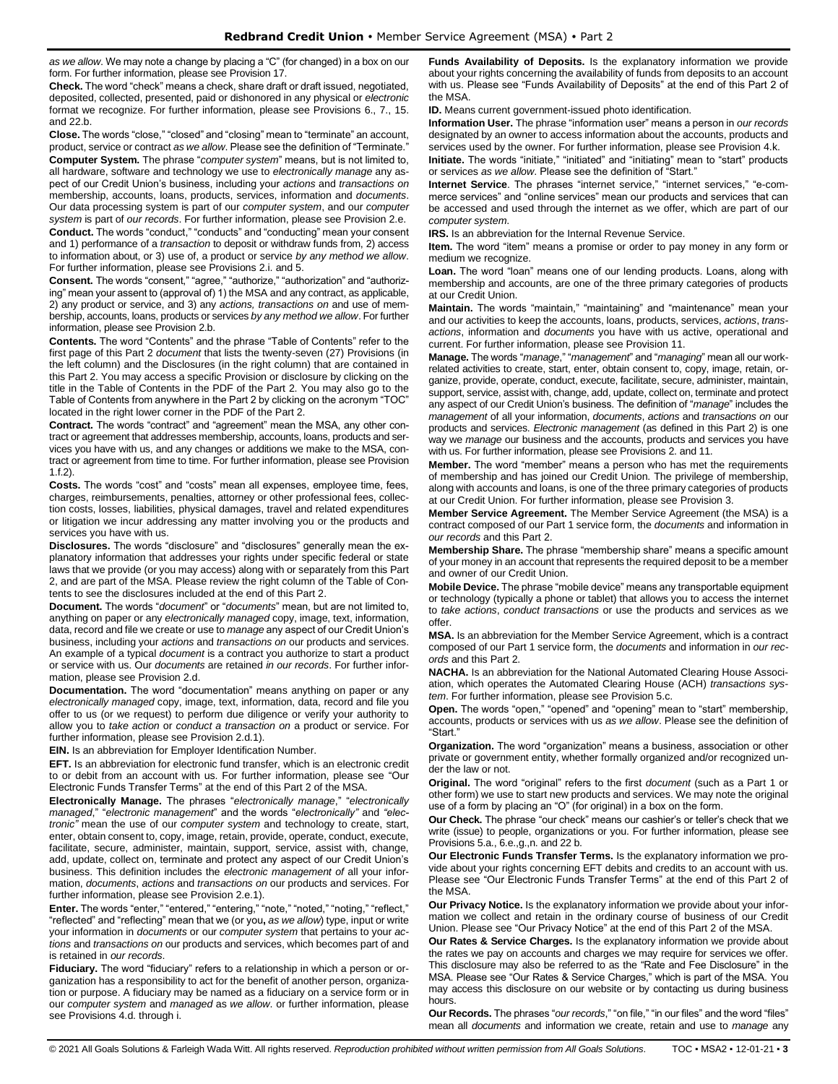*as we allow*. We may note a change by placing a "C" (for changed) in a box on our form. For further information, please see Provision 17.

**Check.** The word "check" means a check, share draft or draft issued, negotiated, deposited, collected, presented, paid or dishonored in any physical or *electronic* format we recognize. For further information, please see Provisions 6., 7., 15. and 22.b.

**Close.** The words "close," "closed" and "closing" mean to "terminate" an account, product, service or contract *as we allow*. Please see the definition of "Terminate." **Computer System.** The phrase "*computer system*" means, but is not limited to, all hardware, software and technology we use to *electronically manage* any aspect of our Credit Union's business, including your *actions* and *transactions on* membership, accounts, loans, products, services, information and *documents*. Our data processing system is part of our *computer system*, and our *computer system* is part of *our records*. For further information, please see Provision 2.e.

**Conduct.** The words "conduct," "conducts" and "conducting" mean your consent and 1) performance of a *transaction* to deposit or withdraw funds from, 2) access to information about, or 3) use of, a product or service *by any method we allow*. For further information, please see Provisions 2.i. and 5.

**Consent.** The words "consent," "agree," "authorize," "authorization" and "authorizing" mean your assent to (approval of) 1) the MSA and any contract, as applicable, 2) any product or service, and 3) any *actions, transactions on* and use of membership, accounts, loans, products or services *by any method we allow*. For further information, please see Provision 2.b.

**Contents.** The word "Contents" and the phrase "Table of Contents" refer to the first page of this Part 2 *document* that lists the twenty-seven (27) Provisions (in the left column) and the Disclosures (in the right column) that are contained in this Part 2. You may access a specific Provision or disclosure by clicking on the title in the Table of Contents in the PDF of the Part 2. You may also go to the Table of Contents from anywhere in the Part 2 by clicking on the acronym "TOC" located in the right lower corner in the PDF of the Part 2.

**Contract.** The words "contract" and "agreement" mean the MSA, any other contract or agreement that addresses membership, accounts, loans, products and services you have with us, and any changes or additions we make to the MSA, contract or agreement from time to time. For further information, please see Provision 1.f.2).

**Costs.** The words "cost" and "costs" mean all expenses, employee time, fees, charges, reimbursements, penalties, attorney or other professional fees, collection costs, losses, liabilities, physical damages, travel and related expenditures or litigation we incur addressing any matter involving you or the products and services you have with us.

**Disclosures.** The words "disclosure" and "disclosures" generally mean the explanatory information that addresses your rights under specific federal or state laws that we provide (or you may access) along with or separately from this Part 2, and are part of the MSA. Please review the right column of the Table of Contents to see the disclosures included at the end of this Part 2.

**Document.** The words "*document*" or "*documents*" mean, but are not limited to, anything on paper or any *electronically managed* copy, image, text, information, data, record and file we create or use to *manage* any aspect of our Credit Union's business, including your *actions* and *transactions on* our products and services. An example of a typical *document* is a contract you authorize to start a product or service with us. Our *documents* are retained *in our records*. For further information, please see Provision 2.d.

**Documentation.** The word "documentation" means anything on paper or any *electronically managed* copy, image, text, information, data, record and file you offer to us (or we request) to perform due diligence or verify your authority to allow you to *take action* or *conduct a transaction on* a product or service. For further information, please see Provision 2.d.1).

**EIN.** Is an abbreviation for Employer Identification Number.

**EFT.** Is an abbreviation for electronic fund transfer, which is an electronic credit to or debit from an account with us. For further information, please see "Our Electronic Funds Transfer Terms" at the end of this Part 2 of the MSA.

**Electronically Manage.** The phrases "*electronically manage*," "*electronically managed*," "*electronic management*" and the words "*electronically"* and *"electronic"* mean the use of our *computer system* and technology to create, start, enter, obtain consent to, copy, image, retain, provide, operate, conduct, execute, facilitate, secure, administer, maintain, support, service, assist with, change, add, update, collect on, terminate and protect any aspect of our Credit Union's business. This definition includes the *electronic management of* all your information, *documents*, *actions* and *transactions on* our products and services. For further information, please see Provision 2.e.1).

**Enter.** The words "enter," "entered," "entering," "note," "noted," "noting," "reflect," "reflected" and "reflecting" mean that we (or you**,** *as we allow*) type, input or write your information in *documents* or our *computer system* that pertains to your *actions* and *transactions on* our products and services, which becomes part of and is retained in *our records*.

**Fiduciary.** The word "fiduciary" refers to a relationship in which a person or organization has a responsibility to act for the benefit of another person, organization or purpose. A fiduciary may be named as a fiduciary on a service form or in our *computer system* and *managed* as *we allow*. or further information, please see Provisions 4.d. through i.

**Funds Availability of Deposits.** Is the explanatory information we provide about your rights concerning the availability of funds from deposits to an account with us. Please see "Funds Availability of Deposits" at the end of this Part 2 of the MSA.

**ID.** Means current government-issued photo identification.

**Information User.** The phrase "information user" means a person in *our records* designated by an owner to access information about the accounts, products and services used by the owner. For further information, please see Provision 4.k.

**Initiate.** The words "initiate," "initiated" and "initiating" mean to "start" products or services *as we allow*. Please see the definition of "Start."

**Internet Service**. The phrases "internet service," "internet services," "e-commerce services" and "online services" mean our products and services that can be accessed and used through the internet as we offer, which are part of our *computer system*.

**IRS.** Is an abbreviation for the Internal Revenue Service.

**Item.** The word "item" means a promise or order to pay money in any form or medium we recognize.

Loan. The word "loan" means one of our lending products. Loans, along with membership and accounts, are one of the three primary categories of products at our Credit Union.

**Maintain.** The words "maintain," "maintaining" and "maintenance" mean your and our activities to keep the accounts, loans, products, services, *actions*, *transactions*, information and *documents* you have with us active, operational and current. For further information, please see Provision 11.

**Manage.** The words "*manage*," "*management*" and "*managing*" mean all our workrelated activities to create, start, enter, obtain consent to, copy, image, retain, organize, provide, operate, conduct, execute, facilitate, secure, administer, maintain, support, service, assist with, change, add, update, collect on, terminate and protect any aspect of our Credit Union's business. The definition of "*manage*" includes the *management* of all your information, *documents*, *actions* and *transactions on* our products and services. *Electronic management* (as defined in this Part 2) is one way we *manage* our business and the accounts, products and services you have with us. For further information, please see Provisions 2. and 11.

**Member.** The word "member" means a person who has met the requirements of membership and has joined our Credit Union. The privilege of membership, along with accounts and loans, is one of the three primary categories of products at our Credit Union. For further information, please see Provision 3.

**Member Service Agreement.** The Member Service Agreement (the MSA) is a contract composed of our Part 1 service form, the *documents* and information in *our records* and this Part 2.

**Membership Share.** The phrase "membership share" means a specific amount of your money in an account that represents the required deposit to be a member and owner of our Credit Union.

**Mobile Device.** The phrase "mobile device" means any transportable equipment or technology (typically a phone or tablet) that allows you to access the internet to *take actions*, *conduct transactions* or use the products and services as we offer.

**MSA.** Is an abbreviation for the Member Service Agreement, which is a contract composed of our Part 1 service form, the *documents* and information in *our records* and this Part 2.

**NACHA.** Is an abbreviation for the National Automated Clearing House Association, which operates the Automated Clearing House (ACH) *transactions system*. For further information, please see Provision 5.c.

**Open.** The words "open," "opened" and "opening" mean to "start" membership, accounts, products or services with us *as we allow*. Please see the definition of "Start."

**Organization.** The word "organization" means a business, association or other private or government entity, whether formally organized and/or recognized under the law or not.

**Original.** The word "original" refers to the first *document* (such as a Part 1 or other form) we use to start new products and services. We may note the original use of a form by placing an "O" (for original) in a box on the form.

**Our Check.** The phrase "our check" means our cashier's or teller's check that we write (issue) to people, organizations or you. For further information, please see Provisions 5.a., 6.e.,g.,n. and 22 b.

**Our Electronic Funds Transfer Terms.** Is the explanatory information we provide about your rights concerning EFT debits and credits to an account with us. Please see "Our Electronic Funds Transfer Terms" at the end of this Part 2 of the MSA.

**Our Privacy Notice.** Is the explanatory information we provide about your information we collect and retain in the ordinary course of business of our Credit Union. Please see "Our Privacy Notice" at the end of this Part 2 of the MSA.

**Our Rates & Service Charges.** Is the explanatory information we provide about the rates we pay on accounts and charges we may require for services we offer. This disclosure may also be referred to as the "Rate and Fee Disclosure" in the MSA. Please see "Our Rates & Service Charges," which is part of the MSA. You may access this disclosure on our website or by contacting us during business hours.

**Our Records.** The phrases "*our records*," "on file," "in our files" and the word "files" mean all *documents* and information we create, retain and use to *manage* any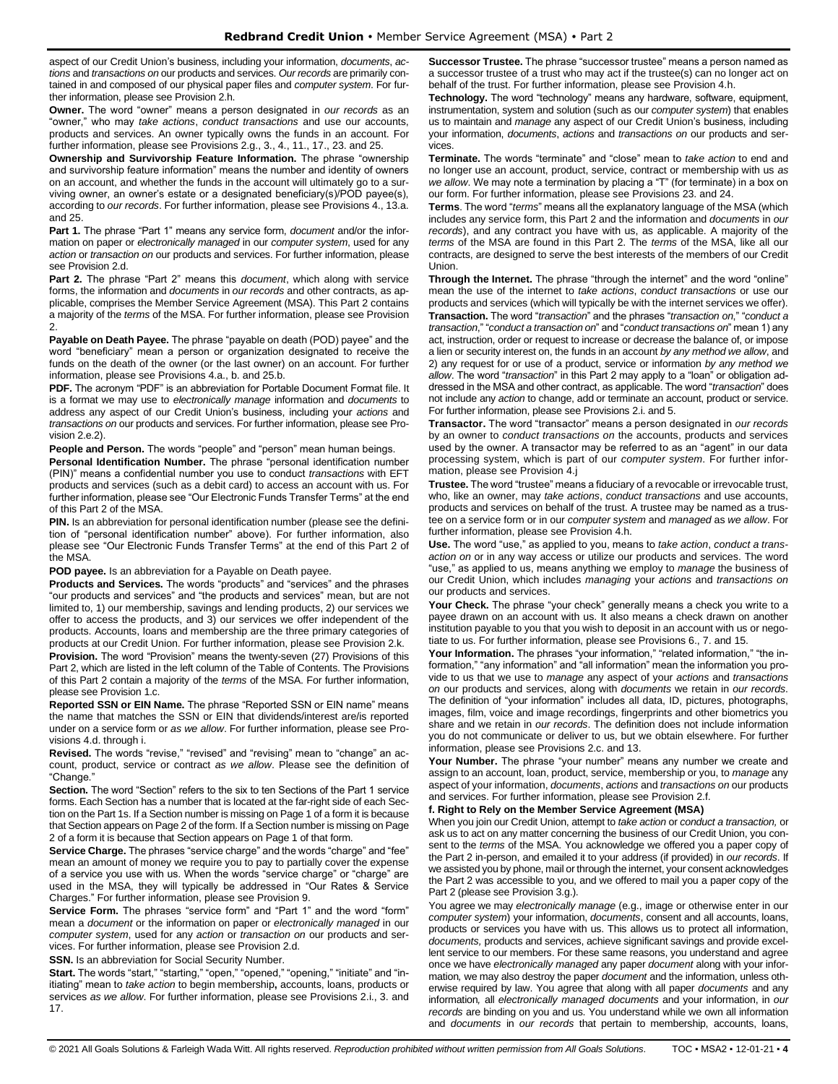aspect of our Credit Union's business, including your information, *documents*, *actions* and *transactions on* our products and services. *Our records* are primarily contained in and composed of our physical paper files and *computer system*. For further information, please see Provision 2.h.

**Owner.** The word "owner" means a person designated in *our records* as an "owner," who may *take actions*, *conduct transactions* and use our accounts, products and services. An owner typically owns the funds in an account. For further information, please see Provisions 2.g., 3., 4., 11., 17., 23. and 25.

**Ownership and Survivorship Feature Information.** The phrase "ownership and survivorship feature information" means the number and identity of owners on an account, and whether the funds in the account will ultimately go to a surviving owner, an owner's estate or a designated beneficiary(s)/POD payee(s), according to *our records*. For further information, please see Provisions 4., 13.a. and 25.

**Part 1.** The phrase "Part 1" means any service form, *document* and/or the information on paper or *electronically managed* in our *computer system*, used for any *action* or *transaction on* our products and services. For further information, please see Provision 2.d.

**Part 2.** The phrase "Part 2" means this *document*, which along with service forms, the information and *documents* in *our records* and other contracts, as applicable, comprises the Member Service Agreement (MSA). This Part 2 contains a majority of the *terms* of the MSA. For further information, please see Provision 2.

**Payable on Death Payee.** The phrase "payable on death (POD) payee" and the word "beneficiary" mean a person or organization designated to receive the funds on the death of the owner (or the last owner) on an account. For further information, please see Provisions 4.a., b. and 25.b.

**PDF.** The acronym "PDF" is an abbreviation for Portable Document Format file. It is a format we may use to *electronically manage* information and *documents* to address any aspect of our Credit Union's business, including your *actions* and *transactions on* our products and services. For further information, please see Provision 2.e.2).

**People and Person.** The words "people" and "person" mean human beings.

**Personal Identification Number.** The phrase "personal identification number (PIN)" means a confidential number you use to conduct *transactions* with EFT products and services (such as a debit card) to access an account with us. For further information, please see "Our Electronic Funds Transfer Terms" at the end of this Part 2 of the MSA.

**PIN.** Is an abbreviation for personal identification number (please see the definition of "personal identification number" above). For further information, also please see "Our Electronic Funds Transfer Terms" at the end of this Part 2 of the MSA.

**POD payee.** Is an abbreviation for a Payable on Death payee.

**Products and Services.** The words "products" and "services" and the phrases "our products and services" and "the products and services" mean, but are not limited to, 1) our membership, savings and lending products, 2) our services we offer to access the products, and 3) our services we offer independent of the products. Accounts, loans and membership are the three primary categories of products at our Credit Union. For further information, please see Provision 2.k.

**Provision.** The word "Provision" means the twenty-seven (27) Provisions of this Part 2, which are listed in the left column of the Table of Contents. The Provisions of this Part 2 contain a majority of the *terms* of the MSA. For further information, please see Provision 1.c.

**Reported SSN or EIN Name.** The phrase "Reported SSN or EIN name" means the name that matches the SSN or EIN that dividends/interest are/is reported under on a service form or *as we allow*. For further information, please see Provisions 4.d. through i.

**Revised.** The words "revise," "revised" and "revising" mean to "change" an account, product, service or contract *as we allow*. Please see the definition of "Change."

**Section.** The word "Section" refers to the six to ten Sections of the Part 1 service forms. Each Section has a number that is located at the far-right side of each Section on the Part 1s. If a Section number is missing on Page 1 of a form it is because that Section appears on Page 2 of the form. If a Section number is missing on Page 2 of a form it is because that Section appears on Page 1 of that form.

**Service Charge.** The phrases "service charge" and the words "charge" and "fee" mean an amount of money we require you to pay to partially cover the expense of a service you use with us. When the words "service charge" or "charge" are used in the MSA, they will typically be addressed in "Our Rates & Service Charges." For further information, please see Provision 9.

**Service Form.** The phrases "service form" and "Part 1" and the word "form" mean a *document* or the information on paper or *electronically managed* in our *computer system*, used for any *action* or *transaction on* our products and services. For further information, please see Provision 2.d.

**SSN.** Is an abbreviation for Social Security Number.

**Start.** The words "start," "starting," "open," "opened," "opening," "initiate" and "initiating" mean to *take action* to begin membership**,** accounts, loans, products or services *as we allow*. For further information, please see Provisions 2.i., 3. and 17.

**Successor Trustee.** The phrase "successor trustee" means a person named as a successor trustee of a trust who may act if the trustee(s) can no longer act on behalf of the trust. For further information, please see Provision 4.h.

**Technology.** The word "technology" means any hardware, software, equipment, instrumentation, system and solution (such as our *computer system*) that enables us to maintain and *manage* any aspect of our Credit Union's business, including your information, *documents*, *actions* and *transactions on* our products and services.

**Terminate.** The words "terminate" and "close" mean to *take action* to end and no longer use an account, product, service, contract or membership with us *as we allow*. We may note a termination by placing a "T" (for terminate) in a box on our form. For further information, please see Provisions 23. and 24.

**Terms**. The word "*terms*" means all the explanatory language of the MSA (which includes any service form, this Part 2 and the information and *documents* in *our records*), and any contract you have with us, as applicable. A majority of the *terms* of the MSA are found in this Part 2. The *terms* of the MSA, like all our contracts, are designed to serve the best interests of the members of our Credit Union.

**Through the Internet.** The phrase "through the internet" and the word "online" mean the use of the internet to *take actions*, *conduct transactions* or use our products and services (which will typically be with the internet services we offer). **Transaction.** The word "*transaction*" and the phrases "*transaction on*," "*conduct a transaction*," "*conduct a transaction on*" and "*conduct transactions on*" mean 1) any act, instruction, order or request to increase or decrease the balance of, or impose a lien or security interest on, the funds in an account *by any method we allow*, and 2) any request for or use of a product, service or information *by any method we allow*. The word "*transaction*" in this Part 2 may apply to a "loan" or obligation addressed in the MSA and other contract, as applicable. The word "*transaction*" does not include any *action* to change, add or terminate an account, product or service. For further information, please see Provisions 2.i. and 5.

**Transactor.** The word "transactor" means a person designated in *our records* by an owner to *conduct transactions on* the accounts, products and services used by the owner. A transactor may be referred to as an "agent" in our data processing system, which is part of our *computer system*. For further information, please see Provision 4.j

**Trustee.** The word "trustee" means a fiduciary of a revocable or irrevocable trust, who, like an owner, may *take actions*, *conduct transactions* and use accounts, products and services on behalf of the trust. A trustee may be named as a trustee on a service form or in our *computer system* and *managed* as *we allow*. For further information, please see Provision 4.h.

**Use.** The word "use," as applied to you, means to *take action*, *conduct a transaction on* or in any way access or utilize our products and services. The word "use," as applied to us, means anything we employ to *manage* the business of our Credit Union, which includes *managing* your *actions* and *transactions on* our products and services.

**Your Check.** The phrase "your check" generally means a check you write to a payee drawn on an account with us. It also means a check drawn on another institution payable to you that you wish to deposit in an account with us or negotiate to us. For further information, please see Provisions 6., 7. and 15.

Your Information. The phrases "your information," "related information," "the information," "any information" and "all information" mean the information you provide to us that we use to *manage* any aspect of your *actions* and *transactions on* our products and services, along with *documents* we retain in *our records*. The definition of "your information" includes all data, ID, pictures, photographs, images, film, voice and image recordings, fingerprints and other biometrics you share and we retain in *our records*. The definition does not include information you do not communicate or deliver to us, but we obtain elsewhere. For further information, please see Provisions 2.c. and 13.

**Your Number.** The phrase "your number" means any number we create and assign to an account, loan, product, service, membership or you, to *manage* any aspect of your information, *documents*, *actions* and *transactions on* our products and services. For further information, please see Provision 2.f.

# **f. Right to Rely on the Member Service Agreement (MSA)**

When you join our Credit Union, attempt to *take action* or *conduct a transaction,* or ask us to act on any matter concerning the business of our Credit Union, you consent to the *terms* of the MSA. You acknowledge we offered you a paper copy of the Part 2 in-person, and emailed it to your address (if provided) in *our records*. If we assisted you by phone, mail or through the internet, your consent acknowledges the Part 2 was accessible to you, and we offered to mail you a paper copy of the Part 2 (please see Provision 3.g.).

You agree we may *electronically manage* (e.g., image or otherwise enter in our *computer system*) your information, *documents*, consent and all accounts, loans, products or services you have with us. This allows us to protect all information, *documents,* products and services, achieve significant savings and provide excellent service to our members. For these same reasons, you understand and agree once we have *electronically managed* any paper *document* along with your information*,* we may also destroy the paper *document* and the information, unless otherwise required by law. You agree that along with all paper *documents* and any information*,* all *electronically managed documents* and your information, in *our records* are binding on you and us. You understand while we own all information and *documents* in *our records* that pertain to membership, accounts, loans,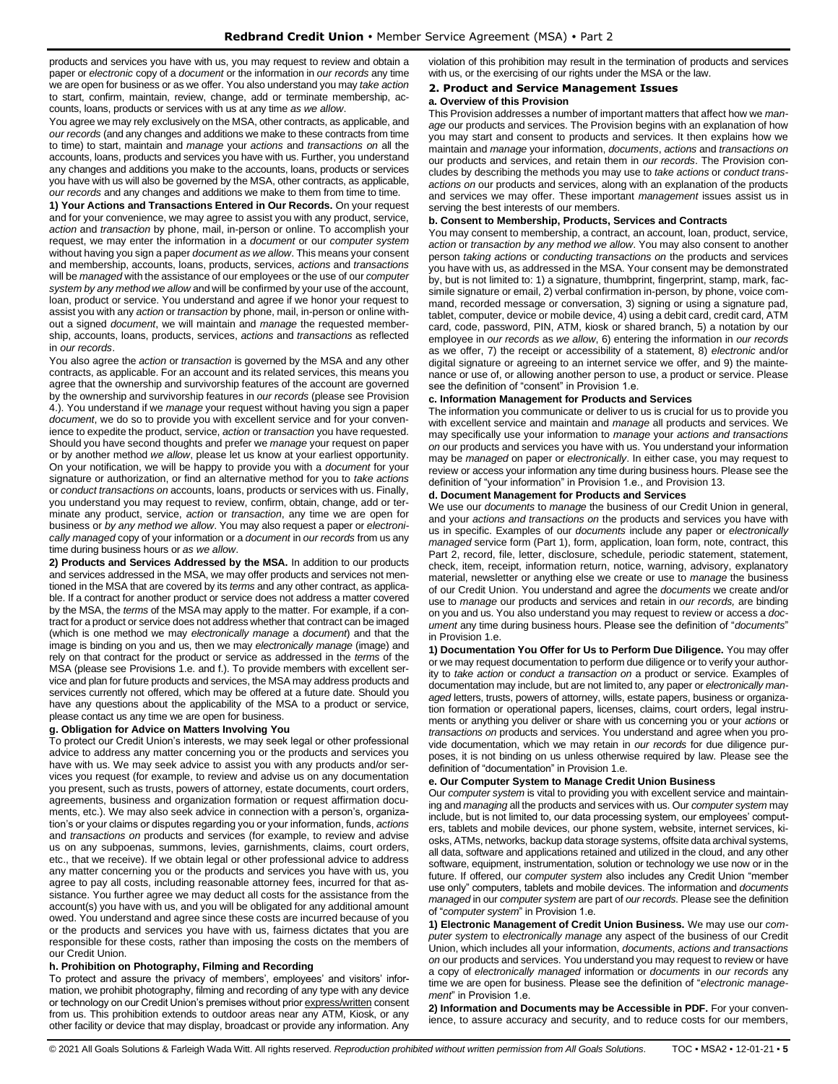products and services you have with us, you may request to review and obtain a paper or *electronic* copy of a *document* or the information in *our records* any time we are open for business or as we offer. You also understand you may *take action* to start, confirm, maintain, review, change, add or terminate membership, accounts, loans, products or services with us at any time *as we allow*.

You agree we may rely exclusively on the MSA, other contracts, as applicable, and *our records* (and any changes and additions we make to these contracts from time to time) to start, maintain and *manage* your *actions* and *transactions on* all the accounts, loans, products and services you have with us. Further, you understand any changes and additions you make to the accounts, loans, products or services you have with us will also be governed by the MSA, other contracts, as applicable, *our records* and any changes and additions we make to them from time to time.

**1) Your Actions and Transactions Entered in Our Records.** On your request and for your convenience, we may agree to assist you with any product, service, *action* and *transaction* by phone, mail, in-person or online. To accomplish your request, we may enter the information in a *document* or our *computer system*  without having you sign a paper *document as we allow*. This means your consent and membership, accounts, loans, products, services, *actions* and *transactions*  will be *managed* with the assistance of our employees or the use of our *computer system by any method we allow* and will be confirmed by your use of the account, loan, product or service. You understand and agree if we honor your request to assist you with any *action* or *transaction* by phone, mail, in-person or online without a signed *document*, we will maintain and *manage* the requested membership, accounts, loans, products, services, *actions* and *transactions* as reflected in *our records*.

You also agree the *action* or *transaction* is governed by the MSA and any other contracts, as applicable. For an account and its related services, this means you agree that the ownership and survivorship features of the account are governed by the ownership and survivorship features in *our records* (please see Provision 4.). You understand if we *manage* your request without having you sign a paper *document*, we do so to provide you with excellent service and for your convenience to expedite the product, service, *action* or *transaction* you have requested. Should you have second thoughts and prefer we *manage* your request on paper or by another method *we allow*, please let us know at your earliest opportunity. On your notification, we will be happy to provide you with a *document* for your signature or authorization, or find an alternative method for you to *take actions* or *conduct transactions on* accounts, loans, products or services with us. Finally, you understand you may request to review, confirm, obtain, change, add or terminate any product, service, *action* or *transaction*, any time we are open for business or *by any method we allow*. You may also request a paper or *electronically managed* copy of your information or a *document* in *our records* from us any time during business hours or *as we allow*.

**2) Products and Services Addressed by the MSA.** In addition to our products and services addressed in the MSA, we may offer products and services not mentioned in the MSA that are covered by its *terms* and any other contract, as applicable. If a contract for another product or service does not address a matter covered by the MSA, the *terms* of the MSA may apply to the matter. For example, if a contract for a product or service does not address whether that contract can be imaged (which is one method we may *electronically manage* a *document*) and that the image is binding on you and us, then we may *electronically manage* (image) and rely on that contract for the product or service as addressed in the *terms* of the MSA (please see Provisions 1.e. and f.). To provide members with excellent service and plan for future products and services, the MSA may address products and services currently not offered, which may be offered at a future date. Should you have any questions about the applicability of the MSA to a product or service, please contact us any time we are open for business.

#### **g. Obligation for Advice on Matters Involving You**

To protect our Credit Union's interests, we may seek legal or other professional advice to address any matter concerning you or the products and services you have with us. We may seek advice to assist you with any products and/or services you request (for example, to review and advise us on any documentation you present, such as trusts, powers of attorney, estate documents, court orders, agreements, business and organization formation or request affirmation documents, etc.). We may also seek advice in connection with a person's, organization's or your claims or disputes regarding you or your information, funds, *actions*  and *transactions on* products and services (for example, to review and advise us on any subpoenas, summons, levies, garnishments, claims, court orders, etc., that we receive). If we obtain legal or other professional advice to address any matter concerning you or the products and services you have with us, you agree to pay all costs, including reasonable attorney fees, incurred for that assistance. You further agree we may deduct all costs for the assistance from the account(s) you have with us, and you will be obligated for any additional amount owed. You understand and agree since these costs are incurred because of you or the products and services you have with us, fairness dictates that you are responsible for these costs, rather than imposing the costs on the members of our Credit Union.

#### **h. Prohibition on Photography, Filming and Recording**

To protect and assure the privacy of members', employees' and visitors' information, we prohibit photography, filming and recording of any type with any device or technology on our Credit Union's premises without prior express/written consent from us. This prohibition extends to outdoor areas near any ATM, Kiosk, or any other facility or device that may display, broadcast or provide any information. Any

violation of this prohibition may result in the termination of products and services with us, or the exercising of our rights under the MSA or the law.

# <span id="page-4-0"></span>**2. Product and Service Management Issues**

# **a. Overview of this Provision**

This Provision addresses a number of important matters that affect how we *manage* our products and services. The Provision begins with an explanation of how you may start and consent to products and services. It then explains how we maintain and *manage* your information, *documents*, *actions* and *transactions on* our products and services, and retain them in *our records*. The Provision concludes by describing the methods you may use to *take actions* or *conduct transactions on* our products and services, along with an explanation of the products and services we may offer. These important *management* issues assist us in serving the best interests of our members.

#### **b. Consent to Membership, Products, Services and Contracts**

You may consent to membership, a contract, an account, loan, product, service, *action* or *transaction by any method we allow*. You may also consent to another person *taking actions* or *conducting transactions on* the products and services you have with us, as addressed in the MSA. Your consent may be demonstrated by, but is not limited to: 1) a signature, thumbprint, fingerprint, stamp, mark, facsimile signature or email, 2) verbal confirmation in-person, by phone, voice command, recorded message or conversation, 3) signing or using a signature pad, tablet, computer, device or mobile device, 4) using a debit card, credit card, ATM card, code, password, PIN, ATM, kiosk or shared branch, 5) a notation by our employee in *our records* as *we allow*, 6) entering the information in *our records* as we offer, 7) the receipt or accessibility of a statement, 8) *electronic* and/or digital signature or agreeing to an internet service we offer, and 9) the maintenance or use of, or allowing another person to use, a product or service. Please see the definition of "consent" in Provision 1.e.

#### **c. Information Management for Products and Services**

The information you communicate or deliver to us is crucial for us to provide you with excellent service and maintain and *manage* all products and services. We may specifically use your information to *manage* your *actions and transactions on* our products and services you have with us. You understand your information may be *managed* on paper or *electronically*. In either case, you may request to review or access your information any time during business hours. Please see the definition of "your information" in Provision 1.e., and Provision 13.

# **d. Document Management for Products and Services**

We use our *documents* to *manage* the business of our Credit Union in general, and your *actions and transactions on* the products and services you have with us in specific. Examples of our *documents* include any paper or *electronically managed* service form (Part 1), form, application, loan form, note, contract, this Part 2, record, file, letter, disclosure, schedule, periodic statement, statement, check, item, receipt, information return, notice, warning, advisory, explanatory material, newsletter or anything else we create or use to *manage* the business of our Credit Union. You understand and agree the *documents* we create and/or use to *manage* our products and services and retain in *our records,* are binding on you and us. You also understand you may request to review or access a *document* any time during business hours. Please see the definition of "*documents*" in Provision 1.e.

**1) Documentation You Offer for Us to Perform Due Diligence.** You may offer or we may request documentation to perform due diligence or to verify your authority to *take action* or *conduct a transaction on* a product or service. Examples of documentation may include, but are not limited to, any paper or *electronically managed* letters, trusts, powers of attorney, wills, estate papers, business or organization formation or operational papers, licenses, claims, court orders, legal instruments or anything you deliver or share with us concerning you or your *actions* or *transactions on* products and services. You understand and agree when you provide documentation, which we may retain in *our records* for due diligence purposes, it is not binding on us unless otherwise required by law. Please see the definition of "documentation" in Provision 1.e.

# **e. Our Computer System to Manage Credit Union Business**

Our *computer system* is vital to providing you with excellent service and maintaining and *managing* all the products and services with us. Our *computer system* may include, but is not limited to, our data processing system, our employees' computers, tablets and mobile devices, our phone system, website, internet services, kiosks, ATMs, networks, backup data storage systems, offsite data archival systems, all data, software and applications retained and utilized in the cloud, and any other software, equipment, instrumentation, solution or technology we use now or in the future. If offered, our *computer system* also includes any Credit Union "member use only" computers, tablets and mobile devices. The information and *documents managed* in our *computer system* are part of *our records*. Please see the definition of "*computer system*" in Provision 1.e.

**1) Electronic Management of Credit Union Business.** We may use our *computer system* to *electronically manage* any aspect of the business of our Credit Union, which includes all your information, *documents*, *actions and transactions on* our products and services. You understand you may request to review or have a copy of *electronically managed* information or *documents* in *our records* any time we are open for business. Please see the definition of "*electronic management*" in Provision 1.e.

**2) Information and Documents may be Accessible in PDF.** For your convenience, to assure accuracy and security, and to reduce costs for our members,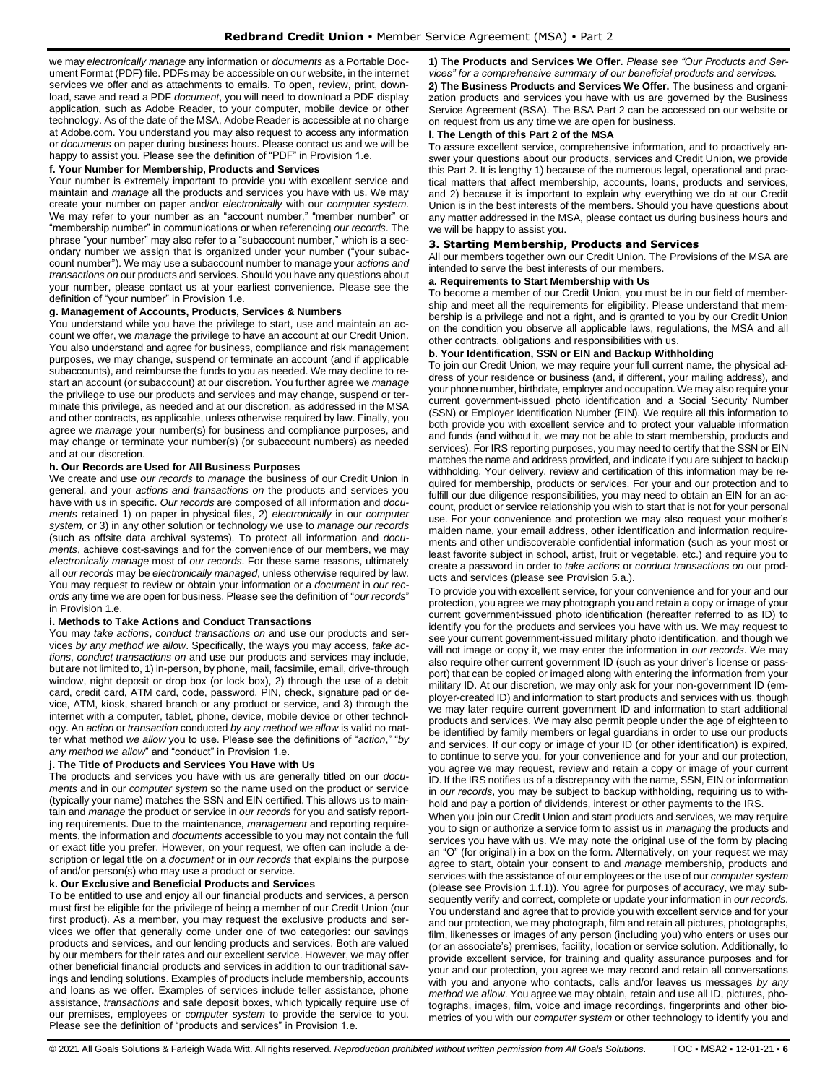we may *electronically manage* any information or *documents* as a Portable Document Format (PDF) file. PDFs may be accessible on our website, in the internet services we offer and as attachments to emails. To open, review, print, download, save and read a PDF *document*, you will need to download a PDF display application, such as Adobe Reader, to your computer, mobile device or other technology. As of the date of the MSA, Adobe Reader is accessible at no charge at Adobe.com. You understand you may also request to access any information or *documents* on paper during business hours. Please contact us and we will be happy to assist you. Please see the definition of "PDF" in Provision 1.e.

#### **f. Your Number for Membership, Products and Services**

Your number is extremely important to provide you with excellent service and maintain and *manage* all the products and services you have with us. We may create your number on paper and/or *electronically* with our *computer system*. We may refer to your number as an "account number," "member number" or "membership number" in communications or when referencing *our records*. The phrase "your number" may also refer to a "subaccount number," which is a secondary number we assign that is organized under your number ("your subaccount number"). We may use a subaccount number to manage your *actions and transactions on* our products and services. Should you have any questions about your number, please contact us at your earliest convenience. Please see the definition of "your number" in Provision 1.e.

# **g. Management of Accounts, Products, Services & Numbers**

You understand while you have the privilege to start, use and maintain an account we offer, we *manage* the privilege to have an account at our Credit Union. You also understand and agree for business, compliance and risk management purposes, we may change, suspend or terminate an account (and if applicable subaccounts), and reimburse the funds to you as needed. We may decline to restart an account (or subaccount) at our discretion. You further agree we *manage* the privilege to use our products and services and may change, suspend or terminate this privilege, as needed and at our discretion, as addressed in the MSA and other contracts, as applicable, unless otherwise required by law. Finally, you agree we *manage* your number(s) for business and compliance purposes, and may change or terminate your number(s) (or subaccount numbers) as needed and at our discretion.

#### **h. Our Records are Used for All Business Purposes**

We create and use *our records* to *manage* the business of our Credit Union in general, and your *actions and transactions on* the products and services you have with us in specific. *Our records* are composed of all information and *documents* retained 1) on paper in physical files, 2) *electronically* in our *computer system,* or 3) in any other solution or technology we use to *manage our records* (such as offsite data archival systems). To protect all information and *documents*, achieve cost-savings and for the convenience of our members, we may *electronically manage* most of *our records*. For these same reasons, ultimately all *our records* may be *electronically managed*, unless otherwise required by law. You may request to review or obtain your information or a *document* in *our records* any time we are open for business. Please see the definition of "*our records*" in Provision 1.e.

#### **i. Methods to Take Actions and Conduct Transactions**

You may *take actions*, *conduct transactions on* and use our products and services *by any method we allow*. Specifically, the ways you may access, *take actions*, *conduct transactions on* and use our products and services may include, but are not limited to, 1) in-person, by phone, mail, facsimile, email, drive-through window, night deposit or drop box (or lock box), 2) through the use of a debit card, credit card, ATM card, code, password, PIN, check, signature pad or device, ATM, kiosk, shared branch or any product or service, and 3) through the internet with a computer, tablet, phone, device, mobile device or other technology. An *action* or *transaction* conducted *by any method we allow* is valid no matter what method *we allow* you to use. Please see the definitions of "*action*," "*by any method we allow*" and "conduct" in Provision 1.e.

#### **j. The Title of Products and Services You Have with Us**

The products and services you have with us are generally titled on our *documents* and in our *computer system* so the name used on the product or service (typically your name) matches the SSN and EIN certified. This allows us to maintain and *manage* the product or service in *our records* for you and satisfy reporting requirements. Due to the maintenance, *management* and reporting requirements, the information and *documents* accessible to you may not contain the full or exact title you prefer. However, on your request, we often can include a description or legal title on a *document* or in *our records* that explains the purpose of and/or person(s) who may use a product or service.

#### **k. Our Exclusive and Beneficial Products and Services**

To be entitled to use and enjoy all our financial products and services, a person must first be eligible for the privilege of being a member of our Credit Union (our first product). As a member, you may request the exclusive products and services we offer that generally come under one of two categories: our savings products and services, and our lending products and services. Both are valued by our members for their rates and our excellent service. However, we may offer other beneficial financial products and services in addition to our traditional savings and lending solutions. Examples of products include membership, accounts and loans as we offer. Examples of services include teller assistance, phone assistance, *transactions* and safe deposit boxes, which typically require use of our premises, employees or *computer system* to provide the service to you. Please see the definition of "products and services" in Provision 1.e.

**1) The Products and Services We Offer.** *Please see "Our Products and Services" for a comprehensive summary of our beneficial products and services.*

**2) The Business Products and Services We Offer.** The business and organization products and services you have with us are governed by the Business Service Agreement (BSA). The BSA Part 2 can be accessed on our website or on request from us any time we are open for business.

# **l. The Length of this Part 2 of the MSA**

To assure excellent service, comprehensive information, and to proactively answer your questions about our products, services and Credit Union, we provide this Part 2. It is lengthy 1) because of the numerous legal, operational and practical matters that affect membership, accounts, loans, products and services, and 2) because it is important to explain why everything we do at our Credit Union is in the best interests of the members. Should you have questions about any matter addressed in the MSA, please contact us during business hours and we will be happy to assist you.

# <span id="page-5-0"></span>**3. Starting Membership, Products and Services**

All our members together own our Credit Union. The Provisions of the MSA are intended to serve the best interests of our members.

#### **a. Requirements to Start Membership with Us**

To become a member of our Credit Union, you must be in our field of membership and meet all the requirements for eligibility. Please understand that membership is a privilege and not a right, and is granted to you by our Credit Union on the condition you observe all applicable laws, regulations, the MSA and all other contracts, obligations and responsibilities with us.

# **b. Your Identification, SSN or EIN and Backup Withholding**

To join our Credit Union, we may require your full current name, the physical address of your residence or business (and, if different, your mailing address), and your phone number, birthdate, employer and occupation. We may also require your current government-issued photo identification and a Social Security Number (SSN) or Employer Identification Number (EIN). We require all this information to both provide you with excellent service and to protect your valuable information and funds (and without it, we may not be able to start membership, products and services). For IRS reporting purposes, you may need to certify that the SSN or EIN matches the name and address provided, and indicate if you are subject to backup withholding. Your delivery, review and certification of this information may be required for membership, products or services. For your and our protection and to fulfill our due diligence responsibilities, you may need to obtain an EIN for an account, product or service relationship you wish to start that is not for your personal use. For your convenience and protection we may also request your mother's maiden name, your email address, other identification and information requirements and other undiscoverable confidential information (such as your most or least favorite subject in school, artist, fruit or vegetable, etc.) and require you to create a password in order to *take actions* or *conduct transactions on* our products and services (please see Provision 5.a.).

To provide you with excellent service, for your convenience and for your and our protection, you agree we may photograph you and retain a copy or image of your current government-issued photo identification (hereafter referred to as ID) to identify you for the products and services you have with us. We may request to see your current government-issued military photo identification, and though we will not image or copy it, we may enter the information in *our records*. We may also require other current government ID (such as your driver's license or passport) that can be copied or imaged along with entering the information from your military ID. At our discretion, we may only ask for your non-government ID (employer-created ID) and information to start products and services with us, though we may later require current government ID and information to start additional products and services. We may also permit people under the age of eighteen to be identified by family members or legal guardians in order to use our products and services. If our copy or image of your ID (or other identification) is expired, to continue to serve you, for your convenience and for your and our protection, you agree we may request, review and retain a copy or image of your current ID. If the IRS notifies us of a discrepancy with the name, SSN, EIN or information in *our records*, you may be subject to backup withholding, requiring us to withhold and pay a portion of dividends, interest or other payments to the IRS.

When you join our Credit Union and start products and services, we may require you to sign or authorize a service form to assist us in *managing* the products and services you have with us. We may note the original use of the form by placing an "O" (for original) in a box on the form. Alternatively, on your request we may agree to start, obtain your consent to and *manage* membership, products and services with the assistance of our employees or the use of our *computer system*  (please see Provision 1.f.1)). You agree for purposes of accuracy, we may subsequently verify and correct, complete or update your information in *our records*. You understand and agree that to provide you with excellent service and for your and our protection, we may photograph, film and retain all pictures, photographs, film, likenesses or images of any person (including you) who enters or uses our (or an associate's) premises, facility, location or service solution. Additionally, to provide excellent service, for training and quality assurance purposes and for your and our protection, you agree we may record and retain all conversations with you and anyone who contacts, calls and/or leaves us messages *by any method we allow*. You agree we may obtain, retain and use all ID, pictures, photographs, images, film, voice and image recordings, fingerprints and other biometrics of you with our *computer system* or other technology to identify you and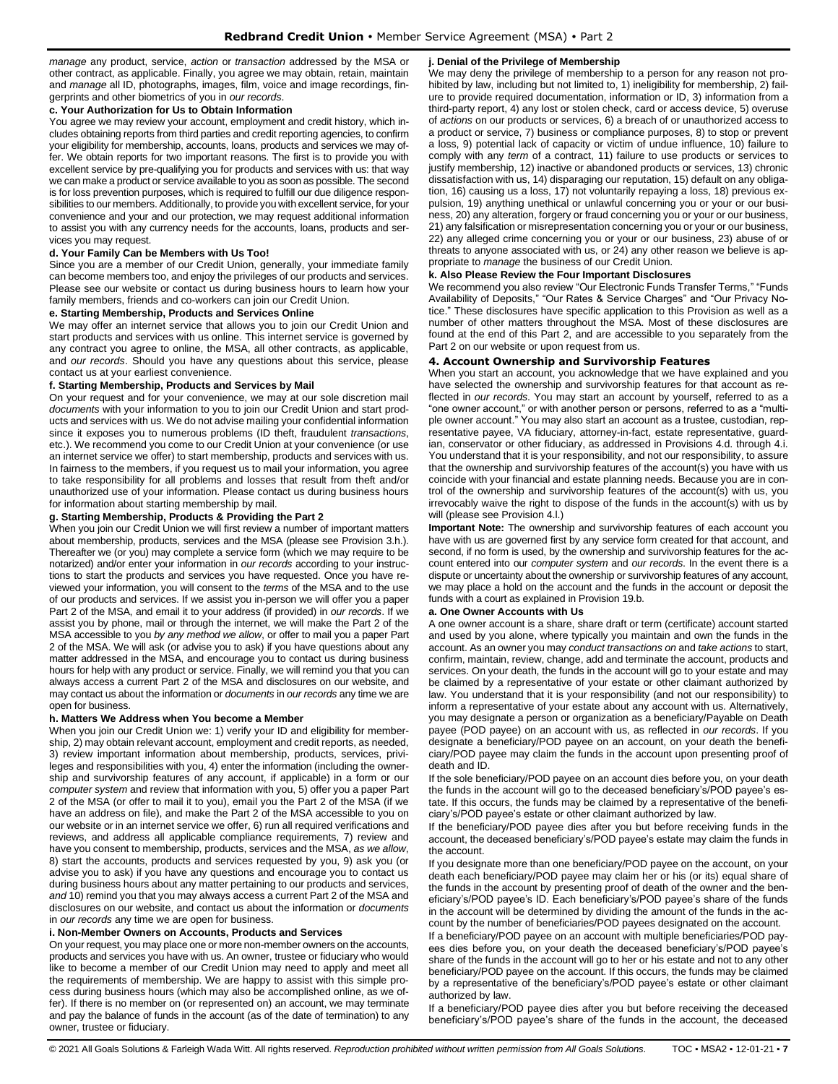*manage* any product, service, *action* or *transaction* addressed by the MSA or other contract, as applicable. Finally, you agree we may obtain, retain, maintain and *manage* all ID, photographs, images, film, voice and image recordings, fingerprints and other biometrics of you in *our records*.

### **c. Your Authorization for Us to Obtain Information**

You agree we may review your account, employment and credit history, which includes obtaining reports from third parties and credit reporting agencies, to confirm your eligibility for membership, accounts, loans, products and services we may offer. We obtain reports for two important reasons. The first is to provide you with excellent service by pre-qualifying you for products and services with us: that way we can make a product or service available to you as soon as possible. The second is for loss prevention purposes, which is required to fulfill our due diligence responsibilities to our members. Additionally, to provide you with excellent service, for your convenience and your and our protection, we may request additional information to assist you with any currency needs for the accounts, loans, products and services you may request.

#### **d. Your Family Can be Members with Us Too!**

Since you are a member of our Credit Union, generally, your immediate family can become members too, and enjoy the privileges of our products and services. Please see our website or contact us during business hours to learn how your family members, friends and co-workers can join our Credit Union.

#### **e. Starting Membership, Products and Services Online**

We may offer an internet service that allows you to join our Credit Union and start products and services with us online. This internet service is governed by any contract you agree to online, the MSA, all other contracts, as applicable, and *our records*. Should you have any questions about this service, please contact us at your earliest convenience.

#### **f. Starting Membership, Products and Services by Mail**

On your request and for your convenience, we may at our sole discretion mail *documents* with your information to you to join our Credit Union and start products and services with us. We do not advise mailing your confidential information since it exposes you to numerous problems (ID theft, fraudulent *transactions*, etc.). We recommend you come to our Credit Union at your convenience (or use an internet service we offer) to start membership, products and services with us. In fairness to the members, if you request us to mail your information, you agree to take responsibility for all problems and losses that result from theft and/or unauthorized use of your information. Please contact us during business hours for information about starting membership by mail.

#### **g. Starting Membership, Products & Providing the Part 2**

When you join our Credit Union we will first review a number of important matters about membership, products, services and the MSA (please see Provision 3.h.). Thereafter we (or you) may complete a service form (which we may require to be notarized) and/or enter your information in *our records* according to your instructions to start the products and services you have requested. Once you have reviewed your information, you will consent to the *terms* of the MSA and to the use of our products and services. If we assist you in-person we will offer you a paper Part 2 of the MSA, and email it to your address (if provided) in *our records*. If we assist you by phone, mail or through the internet, we will make the Part 2 of the MSA accessible to you *by any method we allow*, or offer to mail you a paper Part 2 of the MSA. We will ask (or advise you to ask) if you have questions about any matter addressed in the MSA, and encourage you to contact us during business hours for help with any product or service. Finally, we will remind you that you can always access a current Part 2 of the MSA and disclosures on our website, and may contact us about the information or *documents* in *our records* any time we are open for business.

#### **h. Matters We Address when You become a Member**

When you join our Credit Union we: 1) verify your ID and eligibility for membership, 2) may obtain relevant account, employment and credit reports, as needed, 3) review important information about membership, products, services, privileges and responsibilities with you, 4) enter the information (including the ownership and survivorship features of any account, if applicable) in a form or our *computer system* and review that information with you, 5) offer you a paper Part 2 of the MSA (or offer to mail it to you), email you the Part 2 of the MSA (if we have an address on file), and make the Part 2 of the MSA accessible to you on our website or in an internet service we offer, 6) run all required verifications and reviews, and address all applicable compliance requirements, 7) review and have you consent to membership, products, services and the MSA, *as we allow*, 8) start the accounts, products and services requested by you, 9) ask you (or advise you to ask) if you have any questions and encourage you to contact us during business hours about any matter pertaining to our products and services, *and* 10) remind you that you may always access a current Part 2 of the MSA and disclosures on our website, and contact us about the information or *documents*  in *our records* any time we are open for business.

#### **i. Non-Member Owners on Accounts, Products and Services**

On your request, you may place one or more non-member owners on the accounts, products and services you have with us. An owner, trustee or fiduciary who would like to become a member of our Credit Union may need to apply and meet all the requirements of membership. We are happy to assist with this simple process during business hours (which may also be accomplished online, as we offer). If there is no member on (or represented on) an account, we may terminate and pay the balance of funds in the account (as of the date of termination) to any owner, trustee or fiduciary.

#### **j. Denial of the Privilege of Membership**

We may deny the privilege of membership to a person for any reason not prohibited by law, including but not limited to, 1) ineligibility for membership, 2) failure to provide required documentation, information or ID, 3) information from a third-party report, 4) any lost or stolen check, card or access device, 5) overuse of *actions* on our products or services, 6) a breach of or unauthorized access to a product or service, 7) business or compliance purposes, 8) to stop or prevent a loss, 9) potential lack of capacity or victim of undue influence, 10) failure to comply with any *term* of a contract, 11) failure to use products or services to justify membership, 12) inactive or abandoned products or services, 13) chronic dissatisfaction with us, 14) disparaging our reputation, 15) default on any obligation, 16) causing us a loss, 17) not voluntarily repaying a loss, 18) previous expulsion, 19) anything unethical or unlawful concerning you or your or our business, 20) any alteration, forgery or fraud concerning you or your or our business, 21) any falsification or misrepresentation concerning you or your or our business, 22) any alleged crime concerning you or your or our business, 23) abuse of or threats to anyone associated with us, or 24) any other reason we believe is appropriate to *manage* the business of our Credit Union.

#### **k. Also Please Review the Four Important Disclosures**

We recommend you also review "Our Electronic Funds Transfer Terms," "Funds Availability of Deposits," "Our Rates & Service Charges" and "Our Privacy Notice." These disclosures have specific application to this Provision as well as a number of other matters throughout the MSA. Most of these disclosures are found at the end of this Part 2, and are accessible to you separately from the Part 2 on our website or upon request from us.

# <span id="page-6-0"></span>**4. Account Ownership and Survivorship Features**

When you start an account, you acknowledge that we have explained and you have selected the ownership and survivorship features for that account as reflected in *our records*. You may start an account by yourself, referred to as a "one owner account," or with another person or persons, referred to as a "multiple owner account." You may also start an account as a trustee, custodian, representative payee, VA fiduciary, attorney-in-fact, estate representative, guardian, conservator or other fiduciary, as addressed in Provisions 4.d. through 4.i. You understand that it is your responsibility, and not our responsibility, to assure that the ownership and survivorship features of the account(s) you have with us coincide with your financial and estate planning needs. Because you are in control of the ownership and survivorship features of the account(s) with us, you irrevocably waive the right to dispose of the funds in the account(s) with us by will (please see Provision 4.l.)

**Important Note:** The ownership and survivorship features of each account you have with us are governed first by any service form created for that account, and second, if no form is used, by the ownership and survivorship features for the account entered into our *computer system* and *our records*. In the event there is a dispute or uncertainty about the ownership or survivorship features of any account, we may place a hold on the account and the funds in the account or deposit the funds with a court as explained in Provision 19.b.

#### **a. One Owner Accounts with Us**

A one owner account is a share, share draft or term (certificate) account started and used by you alone, where typically you maintain and own the funds in the account. As an owner you may *conduct transactions on* and *take actions* to start, confirm, maintain, review, change, add and terminate the account, products and services. On your death, the funds in the account will go to your estate and may be claimed by a representative of your estate or other claimant authorized by law. You understand that it is your responsibility (and not our responsibility) to inform a representative of your estate about any account with us. Alternatively, you may designate a person or organization as a beneficiary/Payable on Death payee (POD payee) on an account with us, as reflected in *our records*. If you designate a beneficiary/POD payee on an account, on your death the beneficiary/POD payee may claim the funds in the account upon presenting proof of death and ID.

If the sole beneficiary/POD payee on an account dies before you, on your death the funds in the account will go to the deceased beneficiary's/POD payee's estate. If this occurs, the funds may be claimed by a representative of the beneficiary's/POD payee's estate or other claimant authorized by law.

If the beneficiary/POD payee dies after you but before receiving funds in the account, the deceased beneficiary's/POD payee's estate may claim the funds in the account.

If you designate more than one beneficiary/POD payee on the account, on your death each beneficiary/POD payee may claim her or his (or its) equal share of the funds in the account by presenting proof of death of the owner and the beneficiary's/POD payee's ID. Each beneficiary's/POD payee's share of the funds in the account will be determined by dividing the amount of the funds in the account by the number of beneficiaries/POD payees designated on the account.

If a beneficiary/POD payee on an account with multiple beneficiaries/POD payees dies before you, on your death the deceased beneficiary's/POD payee's share of the funds in the account will go to her or his estate and not to any other beneficiary/POD payee on the account. If this occurs, the funds may be claimed by a representative of the beneficiary's/POD payee's estate or other claimant authorized by law.

If a beneficiary/POD payee dies after you but before receiving the deceased beneficiary's/POD payee's share of the funds in the account, the deceased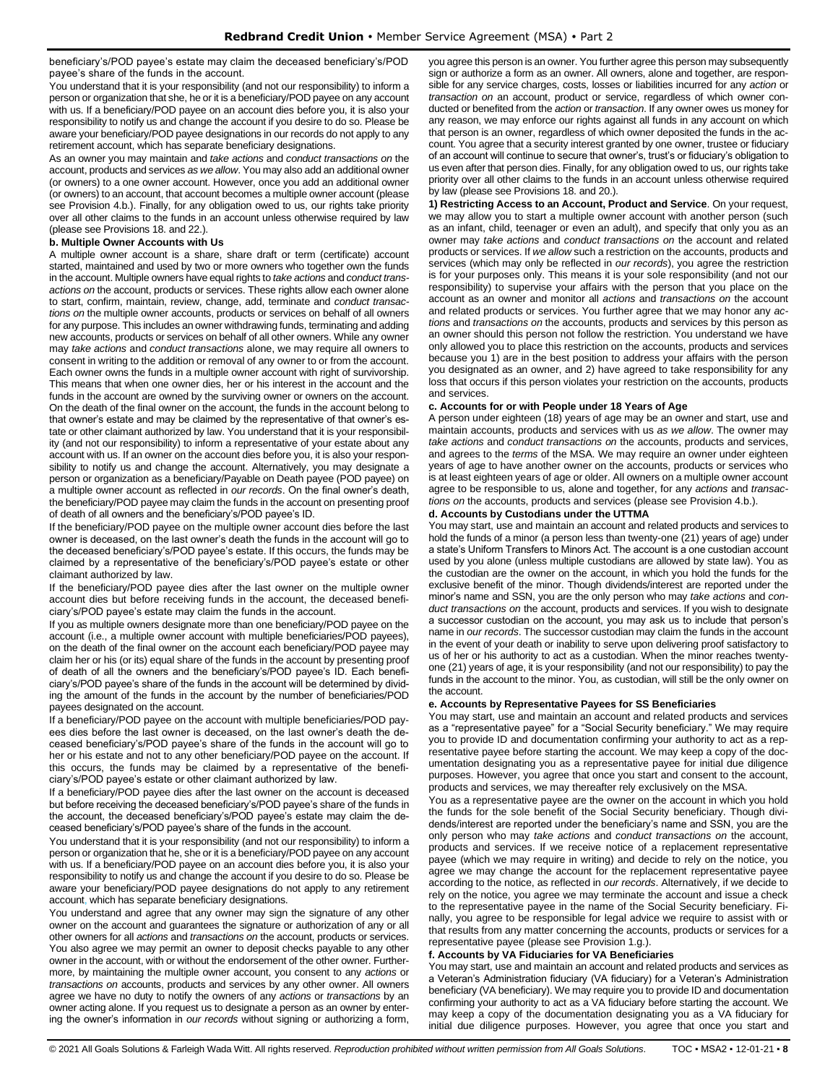beneficiary's/POD payee's estate may claim the deceased beneficiary's/POD payee's share of the funds in the account.

You understand that it is your responsibility (and not our responsibility) to inform a person or organization that she, he or it is a beneficiary/POD payee on any account with us. If a beneficiary/POD payee on an account dies before you, it is also your responsibility to notify us and change the account if you desire to do so. Please be aware your beneficiary/POD payee designations in our records do not apply to any retirement account, which has separate beneficiary designations.

As an owner you may maintain and *take actions* and *conduct transactions on* the account, products and services *as we allow*. You may also add an additional owner (or owners) to a one owner account. However, once you add an additional owner (or owners) to an account, that account becomes a multiple owner account (please see Provision 4.b.). Finally, for any obligation owed to us, our rights take priority over all other claims to the funds in an account unless otherwise required by law (please see Provisions 18. and 22.).

#### **b. Multiple Owner Accounts with Us**

A multiple owner account is a share, share draft or term (certificate) account started, maintained and used by two or more owners who together own the funds in the account. Multiple owners have equal rights to *take actions* and *conduct transactions on* the account, products or services. These rights allow each owner alone to start, confirm, maintain, review, change, add, terminate and *conduct transactions on* the multiple owner accounts, products or services on behalf of all owners for any purpose. This includes an owner withdrawing funds, terminating and adding new accounts, products or services on behalf of all other owners. While any owner may *take actions* and *conduct transactions* alone, we may require all owners to consent in writing to the addition or removal of any owner to or from the account. Each owner owns the funds in a multiple owner account with right of survivorship. This means that when one owner dies, her or his interest in the account and the funds in the account are owned by the surviving owner or owners on the account. On the death of the final owner on the account, the funds in the account belong to that owner's estate and may be claimed by the representative of that owner's estate or other claimant authorized by law. You understand that it is your responsibility (and not our responsibility) to inform a representative of your estate about any account with us. If an owner on the account dies before you, it is also your responsibility to notify us and change the account. Alternatively, you may designate a person or organization as a beneficiary/Payable on Death payee (POD payee) on a multiple owner account as reflected in *our records*. On the final owner's death, the beneficiary/POD payee may claim the funds in the account on presenting proof of death of all owners and the beneficiary's/POD payee's ID.

If the beneficiary/POD payee on the multiple owner account dies before the last owner is deceased, on the last owner's death the funds in the account will go to the deceased beneficiary's/POD payee's estate. If this occurs, the funds may be claimed by a representative of the beneficiary's/POD payee's estate or other claimant authorized by law.

If the beneficiary/POD payee dies after the last owner on the multiple owner account dies but before receiving funds in the account, the deceased beneficiary's/POD payee's estate may claim the funds in the account.

If you as multiple owners designate more than one beneficiary/POD payee on the account (i.e., a multiple owner account with multiple beneficiaries/POD payees), on the death of the final owner on the account each beneficiary/POD payee may claim her or his (or its) equal share of the funds in the account by presenting proof of death of all the owners and the beneficiary's/POD payee's ID. Each beneficiary's/POD payee's share of the funds in the account will be determined by dividing the amount of the funds in the account by the number of beneficiaries/POD payees designated on the account.

If a beneficiary/POD payee on the account with multiple beneficiaries/POD payees dies before the last owner is deceased, on the last owner's death the deceased beneficiary's/POD payee's share of the funds in the account will go to her or his estate and not to any other beneficiary/POD payee on the account. If this occurs, the funds may be claimed by a representative of the beneficiary's/POD payee's estate or other claimant authorized by law.

If a beneficiary/POD payee dies after the last owner on the account is deceased but before receiving the deceased beneficiary's/POD payee's share of the funds in the account, the deceased beneficiary's/POD payee's estate may claim the deceased beneficiary's/POD payee's share of the funds in the account.

You understand that it is your responsibility (and not our responsibility) to inform a person or organization that he, she or it is a beneficiary/POD payee on any account with us. If a beneficiary/POD payee on an account dies before you, it is also your responsibility to notify us and change the account if you desire to do so. Please be aware your beneficiary/POD payee designations do not apply to any retirement account, which has separate beneficiary designations.

You understand and agree that any owner may sign the signature of any other owner on the account and guarantees the signature or authorization of any or all other owners for all *actions* and *transactions on* the account, products or services. You also agree we may permit an owner to deposit checks payable to any other owner in the account, with or without the endorsement of the other owner. Furthermore, by maintaining the multiple owner account, you consent to any *actions* or *transactions on* accounts, products and services by any other owner. All owners agree we have no duty to notify the owners of any *actions* or *transactions* by an owner acting alone. If you request us to designate a person as an owner by entering the owner's information in *our records* without signing or authorizing a form,

you agree this person is an owner. You further agree this person may subsequently sign or authorize a form as an owner. All owners, alone and together, are responsible for any service charges, costs, losses or liabilities incurred for any *action* or *transaction on* an account, product or service, regardless of which owner conducted or benefited from the *action* or *transaction*. If any owner owes us money for any reason, we may enforce our rights against all funds in any account on which that person is an owner, regardless of which owner deposited the funds in the account. You agree that a security interest granted by one owner, trustee or fiduciary of an account will continue to secure that owner's, trust's or fiduciary's obligation to us even after that person dies. Finally, for any obligation owed to us, our rights take priority over all other claims to the funds in an account unless otherwise required by law (please see Provisions 18. and 20.).

**1) Restricting Access to an Account, Product and Service**. On your request, we may allow you to start a multiple owner account with another person (such as an infant, child, teenager or even an adult), and specify that only you as an owner may *take actions* and *conduct transactions on* the account and related products or services. If *we allow* such a restriction on the accounts, products and services (which may only be reflected in *our records*), you agree the restriction is for your purposes only. This means it is your sole responsibility (and not our responsibility) to supervise your affairs with the person that you place on the account as an owner and monitor all *actions* and *transactions on* the account and related products or services. You further agree that we may honor any *actions* and *transactions on* the accounts, products and services by this person as an owner should this person not follow the restriction. You understand we have only allowed you to place this restriction on the accounts, products and services because you 1) are in the best position to address your affairs with the person you designated as an owner, and 2) have agreed to take responsibility for any loss that occurs if this person violates your restriction on the accounts, products and services.

#### **c. Accounts for or with People under 18 Years of Age**

A person under eighteen (18) years of age may be an owner and start, use and maintain accounts, products and services with us *as we allow*. The owner may *take actions* and *conduct transactions on* the accounts, products and services, and agrees to the *terms* of the MSA. We may require an owner under eighteen years of age to have another owner on the accounts, products or services who is at least eighteen years of age or older. All owners on a multiple owner account agree to be responsible to us, alone and together, for any *actions* and *transactions on* the accounts, products and services (please see Provision 4.b.).

#### **d. Accounts by Custodians under the UTTMA**

You may start, use and maintain an account and related products and services to hold the funds of a minor (a person less than twenty-one (21) years of age) under a state's Uniform Transfers to Minors Act. The account is a one custodian account used by you alone (unless multiple custodians are allowed by state law). You as the custodian are the owner on the account, in which you hold the funds for the exclusive benefit of the minor. Though dividends/interest are reported under the minor's name and SSN, you are the only person who may *take actions* and *conduct transactions on* the account, products and services. If you wish to designate a successor custodian on the account, you may ask us to include that person's name in *our records*. The successor custodian may claim the funds in the account in the event of your death or inability to serve upon delivering proof satisfactory to us of her or his authority to act as a custodian. When the minor reaches twentyone (21) years of age, it is your responsibility (and not our responsibility) to pay the funds in the account to the minor. You, as custodian, will still be the only owner on the account.

#### **e. Accounts by Representative Payees for SS Beneficiaries**

You may start, use and maintain an account and related products and services as a "representative payee" for a "Social Security beneficiary." We may require you to provide ID and documentation confirming your authority to act as a representative payee before starting the account. We may keep a copy of the documentation designating you as a representative payee for initial due diligence purposes. However, you agree that once you start and consent to the account, products and services, we may thereafter rely exclusively on the MSA.

You as a representative payee are the owner on the account in which you hold the funds for the sole benefit of the Social Security beneficiary. Though dividends/interest are reported under the beneficiary's name and SSN, you are the only person who may *take actions* and *conduct transactions on* the account, products and services. If we receive notice of a replacement representative payee (which we may require in writing) and decide to rely on the notice, you agree we may change the account for the replacement representative payee according to the notice, as reflected in *our records*. Alternatively, if we decide to rely on the notice, you agree we may terminate the account and issue a check to the representative payee in the name of the Social Security beneficiary. Finally, you agree to be responsible for legal advice we require to assist with or that results from any matter concerning the accounts, products or services for a representative payee (please see Provision 1.g.).

#### **f. Accounts by VA Fiduciaries for VA Beneficiaries**

You may start, use and maintain an account and related products and services as a Veteran's Administration fiduciary (VA fiduciary) for a Veteran's Administration beneficiary (VA beneficiary). We may require you to provide ID and documentation confirming your authority to act as a VA fiduciary before starting the account. We may keep a copy of the documentation designating you as a VA fiduciary for initial due diligence purposes. However, you agree that once you start and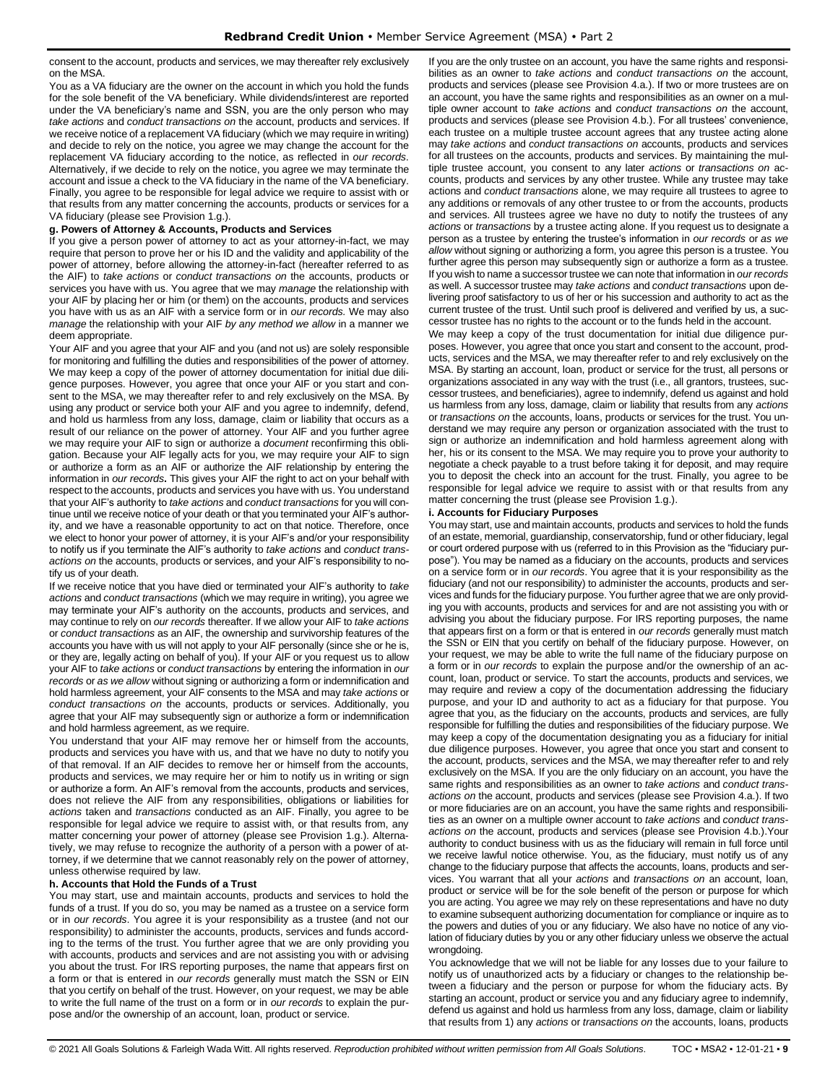consent to the account, products and services, we may thereafter rely exclusively on the MSA.

You as a VA fiduciary are the owner on the account in which you hold the funds for the sole benefit of the VA beneficiary. While dividends/interest are reported under the VA beneficiary's name and SSN, you are the only person who may *take actions* and *conduct transactions on* the account, products and services. If we receive notice of a replacement VA fiduciary (which we may require in writing) and decide to rely on the notice, you agree we may change the account for the replacement VA fiduciary according to the notice, as reflected in *our records*. Alternatively, if we decide to rely on the notice, you agree we may terminate the account and issue a check to the VA fiduciary in the name of the VA beneficiary. Finally, you agree to be responsible for legal advice we require to assist with or that results from any matter concerning the accounts, products or services for a VA fiduciary (please see Provision 1.g.).

#### **g. Powers of Attorney & Accounts, Products and Services**

If you give a person power of attorney to act as your attorney-in-fact, we may require that person to prove her or his ID and the validity and applicability of the power of attorney, before allowing the attorney-in-fact (hereafter referred to as the AIF) to *take actions* or *conduct transactions on* the accounts, products or services you have with us. You agree that we may *manage* the relationship with your AIF by placing her or him (or them) on the accounts, products and services you have with us as an AIF with a service form or in *our records.* We may also *manage* the relationship with your AIF *by any method we allow* in a manner we deem appropriate.

Your AIF and you agree that your AIF and you (and not us) are solely responsible for monitoring and fulfilling the duties and responsibilities of the power of attorney. We may keep a copy of the power of attorney documentation for initial due diligence purposes. However, you agree that once your AIF or you start and consent to the MSA, we may thereafter refer to and rely exclusively on the MSA. By using any product or service both your AIF and you agree to indemnify, defend, and hold us harmless from any loss, damage, claim or liability that occurs as a result of our reliance on the power of attorney. Your AIF and you further agree we may require your AIF to sign or authorize a *document* reconfirming this obligation. Because your AIF legally acts for you, we may require your AIF to sign or authorize a form as an AIF or authorize the AIF relationship by entering the information in *our records***.** This gives your AIF the right to act on your behalf with respect to the accounts, products and services you have with us. You understand that your AIF's authority to *take actions* and *conduct transactions* for you will continue until we receive notice of your death or that you terminated your AIF's authority, and we have a reasonable opportunity to act on that notice. Therefore, once we elect to honor your power of attorney, it is your AIF's and/or your responsibility to notify us if you terminate the AIF's authority to *take actions* and *conduct transactions on* the accounts, products or services, and your AIF's responsibility to notify us of your death.

If we receive notice that you have died or terminated your AIF's authority to *take actions* and *conduct transactions* (which we may require in writing), you agree we may terminate your AIF's authority on the accounts, products and services, and may continue to rely on *our records* thereafter. If we allow your AIF to *take actions* or *conduct transactions* as an AIF, the ownership and survivorship features of the accounts you have with us will not apply to your AIF personally (since she or he is, or they are, legally acting on behalf of you). If your AIF or you request us to allow your AIF to *take actions* or *conduct transactions* by entering the information in *our records* or *as we allow* without signing or authorizing a form or indemnification and hold harmless agreement, your AIF consents to the MSA and may *take actions* or *conduct transactions on* the accounts, products or services. Additionally, you agree that your AIF may subsequently sign or authorize a form or indemnification and hold harmless agreement, as we require.

You understand that your AIF may remove her or himself from the accounts, products and services you have with us, and that we have no duty to notify you of that removal. If an AIF decides to remove her or himself from the accounts, products and services, we may require her or him to notify us in writing or sign or authorize a form. An AIF's removal from the accounts, products and services, does not relieve the AIF from any responsibilities, obligations or liabilities for *actions* taken and *transactions* conducted as an AIF. Finally, you agree to be responsible for legal advice we require to assist with, or that results from, any matter concerning your power of attorney (please see Provision 1.g.). Alternatively, we may refuse to recognize the authority of a person with a power of attorney, if we determine that we cannot reasonably rely on the power of attorney, unless otherwise required by law.

#### **h. Accounts that Hold the Funds of a Trust**

You may start, use and maintain accounts, products and services to hold the funds of a trust. If you do so, you may be named as a trustee on a service form or in *our records*. You agree it is your responsibility as a trustee (and not our responsibility) to administer the accounts, products, services and funds according to the terms of the trust. You further agree that we are only providing you with accounts, products and services and are not assisting you with or advising you about the trust. For IRS reporting purposes, the name that appears first on a form or that is entered in *our records* generally must match the SSN or EIN that you certify on behalf of the trust. However, on your request, we may be able to write the full name of the trust on a form or in *our records* to explain the purpose and/or the ownership of an account, loan, product or service.

If you are the only trustee on an account, you have the same rights and responsibilities as an owner to *take actions* and *conduct transactions on* the account, products and services (please see Provision 4.a.). If two or more trustees are on an account, you have the same rights and responsibilities as an owner on a multiple owner account to *take actions* and *conduct transactions on* the account, products and services (please see Provision 4.b.). For all trustees' convenience, each trustee on a multiple trustee account agrees that any trustee acting alone may *take actions* and *conduct transactions on* accounts, products and services for all trustees on the accounts, products and services. By maintaining the multiple trustee account, you consent to any later *actions* or *transactions on* accounts, products and services by any other trustee. While any trustee may take actions and *conduct transactions* alone, we may require all trustees to agree to any additions or removals of any other trustee to or from the accounts, products and services. All trustees agree we have no duty to notify the trustees of any *actions* or *transactions* by a trustee acting alone. If you request us to designate a person as a trustee by entering the trustee's information in *our records* or *as we allow* without signing or authorizing a form, you agree this person is a trustee. You further agree this person may subsequently sign or authorize a form as a trustee. If you wish to name a successor trustee we can note that information in *our records* as well. A successor trustee may *take actions* and *conduct transactions* upon delivering proof satisfactory to us of her or his succession and authority to act as the current trustee of the trust. Until such proof is delivered and verified by us, a successor trustee has no rights to the account or to the funds held in the account.

We may keep a copy of the trust documentation for initial due diligence purposes. However, you agree that once you start and consent to the account, products, services and the MSA, we may thereafter refer to and rely exclusively on the MSA. By starting an account, loan, product or service for the trust, all persons or organizations associated in any way with the trust (i.e., all grantors, trustees, successor trustees, and beneficiaries), agree to indemnify, defend us against and hold us harmless from any loss, damage, claim or liability that results from any *actions* or *transactions on* the accounts, loans, products or services for the trust. You understand we may require any person or organization associated with the trust to sign or authorize an indemnification and hold harmless agreement along with her, his or its consent to the MSA. We may require you to prove your authority to negotiate a check payable to a trust before taking it for deposit, and may require you to deposit the check into an account for the trust. Finally, you agree to be responsible for legal advice we require to assist with or that results from any matter concerning the trust (please see Provision 1.g.).

#### **i. Accounts for Fiduciary Purposes**

You may start, use and maintain accounts, products and services to hold the funds of an estate, memorial, guardianship, conservatorship, fund or other fiduciary, legal or court ordered purpose with us (referred to in this Provision as the "fiduciary purpose"). You may be named as a fiduciary on the accounts, products and services on a service form or in *our records*. You agree that it is your responsibility as the fiduciary (and not our responsibility) to administer the accounts, products and services and funds for the fiduciary purpose. You further agree that we are only providing you with accounts, products and services for and are not assisting you with or advising you about the fiduciary purpose. For IRS reporting purposes, the name that appears first on a form or that is entered in *our records* generally must match the SSN or EIN that you certify on behalf of the fiduciary purpose. However, on your request, we may be able to write the full name of the fiduciary purpose on a form or in *our records* to explain the purpose and/or the ownership of an account, loan, product or service. To start the accounts, products and services, we may require and review a copy of the documentation addressing the fiduciary purpose, and your ID and authority to act as a fiduciary for that purpose. You agree that you, as the fiduciary on the accounts, products and services, are fully responsible for fulfilling the duties and responsibilities of the fiduciary purpose. We may keep a copy of the documentation designating you as a fiduciary for initial due diligence purposes. However, you agree that once you start and consent to the account, products, services and the MSA, we may thereafter refer to and rely exclusively on the MSA. If you are the only fiduciary on an account, you have the same rights and responsibilities as an owner to *take actions* and *conduct transactions on* the account, products and services (please see Provision 4.a.). If two or more fiduciaries are on an account, you have the same rights and responsibilities as an owner on a multiple owner account to *take actions* and *conduct transactions on* the account, products and services (please see Provision 4.b.).Your authority to conduct business with us as the fiduciary will remain in full force until we receive lawful notice otherwise. You, as the fiduciary, must notify us of any change to the fiduciary purpose that affects the accounts, loans, products and services. You warrant that all your *actions* and *transactions on* an account, loan, product or service will be for the sole benefit of the person or purpose for which you are acting. You agree we may rely on these representations and have no duty to examine subsequent authorizing documentation for compliance or inquire as to the powers and duties of you or any fiduciary. We also have no notice of any violation of fiduciary duties by you or any other fiduciary unless we observe the actual wrongdoing.

You acknowledge that we will not be liable for any losses due to your failure to notify us of unauthorized acts by a fiduciary or changes to the relationship between a fiduciary and the person or purpose for whom the fiduciary acts. By starting an account, product or service you and any fiduciary agree to indemnify, defend us against and hold us harmless from any loss, damage, claim or liability that results from 1) any *actions* or *transactions on* the accounts, loans, products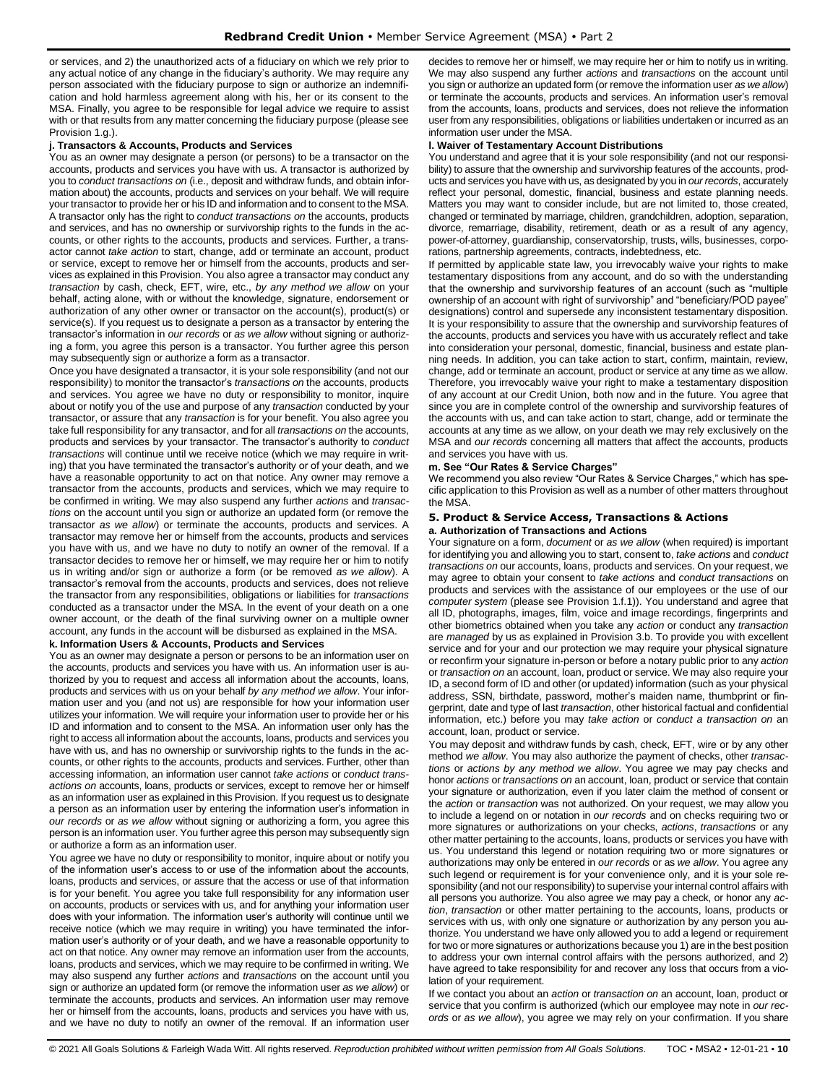or services, and 2) the unauthorized acts of a fiduciary on which we rely prior to any actual notice of any change in the fiduciary's authority. We may require any person associated with the fiduciary purpose to sign or authorize an indemnification and hold harmless agreement along with his, her or its consent to the MSA. Finally, you agree to be responsible for legal advice we require to assist with or that results from any matter concerning the fiduciary purpose (please see Provision 1.g.).

#### **j. Transactors & Accounts, Products and Services**

You as an owner may designate a person (or persons) to be a transactor on the accounts, products and services you have with us. A transactor is authorized by you to *conduct transactions on* (i.e., deposit and withdraw funds, and obtain information about) the accounts, products and services on your behalf. We will require your transactor to provide her or his ID and information and to consent to the MSA. A transactor only has the right to *conduct transactions on* the accounts, products and services, and has no ownership or survivorship rights to the funds in the accounts, or other rights to the accounts, products and services. Further, a transactor cannot *take action* to start, change, add or terminate an account, product or service, except to remove her or himself from the accounts, products and services as explained in this Provision. You also agree a transactor may conduct any *transaction* by cash, check, EFT, wire, etc., *by any method we allow* on your behalf, acting alone, with or without the knowledge, signature, endorsement or authorization of any other owner or transactor on the account(s), product(s) or service(s). If you request us to designate a person as a transactor by entering the transactor's information in *our records* or *as we allow* without signing or authorizing a form, you agree this person is a transactor. You further agree this person may subsequently sign or authorize a form as a transactor.

Once you have designated a transactor, it is your sole responsibility (and not our responsibility) to monitor the transactor's *transactions on* the accounts, products and services. You agree we have no duty or responsibility to monitor, inquire about or notify you of the use and purpose of any *transaction* conducted by your transactor, or assure that any *transaction* is for your benefit. You also agree you take full responsibility for any transactor, and for all *transactions on* the accounts, products and services by your transactor. The transactor's authority to *conduct transactions* will continue until we receive notice (which we may require in writing) that you have terminated the transactor's authority or of your death, and we have a reasonable opportunity to act on that notice. Any owner may remove a transactor from the accounts, products and services, which we may require to be confirmed in writing. We may also suspend any further *actions* and *transactions* on the account until you sign or authorize an updated form (or remove the transactor *as we allow*) or terminate the accounts, products and services. A transactor may remove her or himself from the accounts, products and services you have with us, and we have no duty to notify an owner of the removal. If a transactor decides to remove her or himself, we may require her or him to notify us in writing and/or sign or authorize a form (or be removed *as we allow*). A transactor's removal from the accounts, products and services, does not relieve the transactor from any responsibilities, obligations or liabilities for *transactions* conducted as a transactor under the MSA. In the event of your death on a one owner account, or the death of the final surviving owner on a multiple owner account, any funds in the account will be disbursed as explained in the MSA.

#### **k. Information Users & Accounts, Products and Services**

You as an owner may designate a person or persons to be an information user on the accounts, products and services you have with us. An information user is authorized by you to request and access all information about the accounts, loans, products and services with us on your behalf *by any method we allow*. Your information user and you (and not us) are responsible for how your information user utilizes your information. We will require your information user to provide her or his ID and information and to consent to the MSA. An information user only has the right to access all information about the accounts, loans, products and services you have with us, and has no ownership or survivorship rights to the funds in the accounts, or other rights to the accounts, products and services. Further, other than accessing information, an information user cannot *take actions* or *conduct transactions on* accounts, loans, products or services, except to remove her or himself as an information user as explained in this Provision. If you request us to designate a person as an information user by entering the information user's information in *our records* or *as we allow* without signing or authorizing a form, you agree this person is an information user. You further agree this person may subsequently sign or authorize a form as an information user.

You agree we have no duty or responsibility to monitor, inquire about or notify you of the information user's access to or use of the information about the accounts, loans, products and services, or assure that the access or use of that information is for your benefit. You agree you take full responsibility for any information user on accounts, products or services with us, and for anything your information user does with your information. The information user's authority will continue until we receive notice (which we may require in writing) you have terminated the information user's authority or of your death, and we have a reasonable opportunity to act on that notice. Any owner may remove an information user from the accounts, loans, products and services, which we may require to be confirmed in writing. We may also suspend any further *actions* and *transactions* on the account until you sign or authorize an updated form (or remove the information user *as we allow*) or terminate the accounts, products and services. An information user may remove her or himself from the accounts, loans, products and services you have with us, and we have no duty to notify an owner of the removal. If an information user

decides to remove her or himself, we may require her or him to notify us in writing. We may also suspend any further *actions* and *transactions* on the account until you sign or authorize an updated form (or remove the information user *as we allow*) or terminate the accounts, products and services. An information user's removal from the accounts, loans, products and services, does not relieve the information user from any responsibilities, obligations or liabilities undertaken or incurred as an information user under the MSA.

#### **l. Waiver of Testamentary Account Distributions**

You understand and agree that it is your sole responsibility (and not our responsibility) to assure that the ownership and survivorship features of the accounts, products and services you have with us, as designated by you in *our records*, accurately reflect your personal, domestic, financial, business and estate planning needs. Matters you may want to consider include, but are not limited to, those created, changed or terminated by marriage, children, grandchildren, adoption, separation, divorce, remarriage, disability, retirement, death or as a result of any agency, power-of-attorney, guardianship, conservatorship, trusts, wills, businesses, corporations, partnership agreements, contracts, indebtedness, etc.

If permitted by applicable state law, you irrevocably waive your rights to make testamentary dispositions from any account, and do so with the understanding that the ownership and survivorship features of an account (such as "multiple ownership of an account with right of survivorship" and "beneficiary/POD payee" designations) control and supersede any inconsistent testamentary disposition. It is your responsibility to assure that the ownership and survivorship features of the accounts, products and services you have with us accurately reflect and take into consideration your personal, domestic, financial, business and estate planning needs. In addition, you can take action to start, confirm, maintain, review, change, add or terminate an account, product or service at any time as we allow. Therefore, you irrevocably waive your right to make a testamentary disposition of any account at our Credit Union, both now and in the future. You agree that since you are in complete control of the ownership and survivorship features of the accounts with us, and can take action to start, change, add or terminate the accounts at any time as we allow, on your death we may rely exclusively on the MSA and *our records* concerning all matters that affect the accounts, products and services you have with us.

#### **m. See "Our Rates & Service Charges"**

We recommend you also review "Our Rates & Service Charges," which has specific application to this Provision as well as a number of other matters throughout the MSA.

#### <span id="page-9-0"></span>**5. Product & Service Access, Transactions & Actions a. Authorization of Transactions and Actions**

Your signature on a form, *document* or *as we allow* (when required) is important for identifying you and allowing you to start, consent to, *take actions* and *conduct transactions on* our accounts, loans, products and services. On your request, we may agree to obtain your consent to *take actions* and *conduct transactions* on products and services with the assistance of our employees or the use of our *computer system* (please see Provision 1.f.1)). You understand and agree that all ID, photographs, images, film, voice and image recordings, fingerprints and other biometrics obtained when you take any *action* or conduct any *transaction* are *managed* by us as explained in Provision 3.b. To provide you with excellent service and for your and our protection we may require your physical signature or reconfirm your signature in-person or before a notary public prior to any *action* or *transaction on* an account, loan, product or service. We may also require your ID, a second form of ID and other (or updated) information (such as your physical address, SSN, birthdate, password, mother's maiden name, thumbprint or fingerprint, date and type of last *transaction*, other historical factual and confidential information, etc.) before you may *take action* or *conduct a transaction on* an account, loan, product or service.

You may deposit and withdraw funds by cash, check, EFT, wire or by any other method *we allow*. You may also authorize the payment of checks, other *transactions* or *actions by any method we allow*. You agree we may pay checks and honor *actions* or *transactions on* an account, loan, product or service that contain your signature or authorization, even if you later claim the method of consent or the *action* or *transaction* was not authorized. On your request, we may allow you to include a legend on or notation in *our records* and on checks requiring two or more signatures or authorizations on your checks, *actions*, *transactions* or any other matter pertaining to the accounts, loans, products or services you have with us. You understand this legend or notation requiring two or more signatures or authorizations may only be entered in *our records* or as *we allow*. You agree any such legend or requirement is for your convenience only, and it is your sole responsibility (and not our responsibility) to supervise your internal control affairs with all persons you authorize. You also agree we may pay a check, or honor any *action*, *transaction* or other matter pertaining to the accounts, loans, products or services with us, with only one signature or authorization by any person you authorize. You understand we have only allowed you to add a legend or requirement for two or more signatures or authorizations because you 1) are in the best position to address your own internal control affairs with the persons authorized, and 2) have agreed to take responsibility for and recover any loss that occurs from a violation of your requirement.

If we contact you about an *action* or *transaction on* an account, loan, product or service that you confirm is authorized (which our employee may note in *our records* or *as we allow*), you agree we may rely on your confirmation. If you share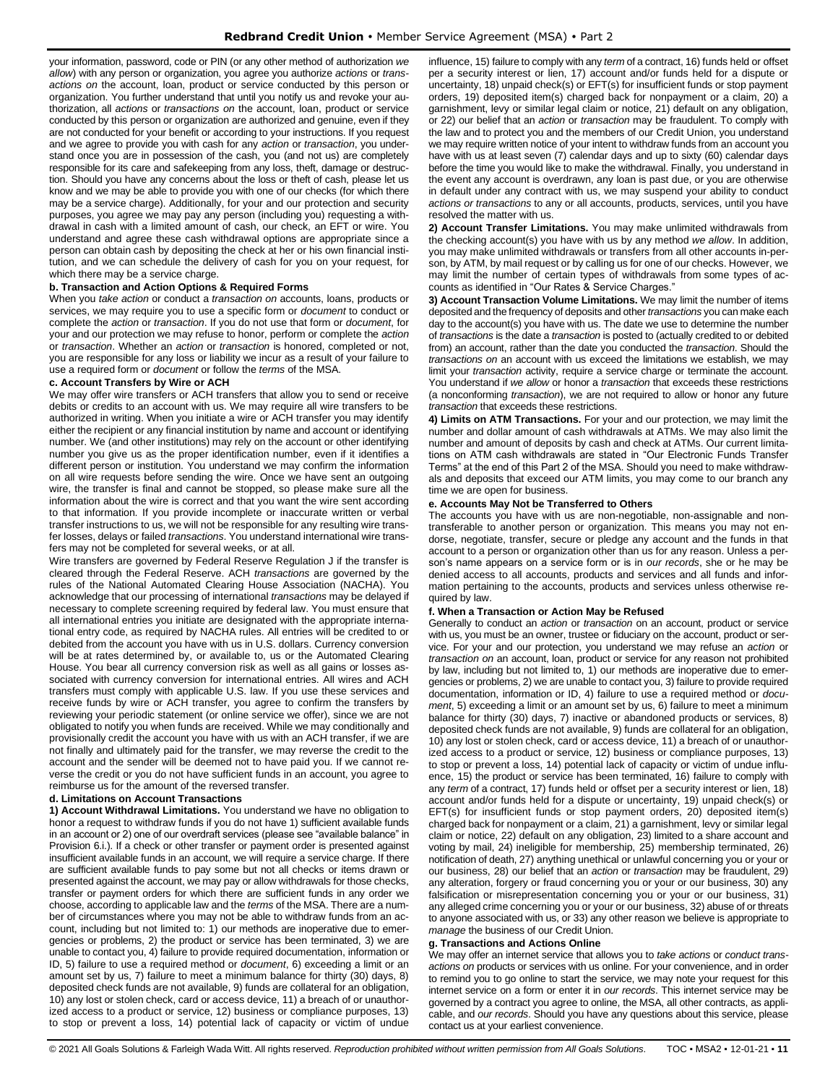your information, password, code or PIN (or any other method of authorization *we allow*) with any person or organization, you agree you authorize *actions* or *transactions on* the account, loan, product or service conducted by this person or organization. You further understand that until you notify us and revoke your authorization, all *actions* or *transactions on* the account, loan, product or service conducted by this person or organization are authorized and genuine, even if they are not conducted for your benefit or according to your instructions. If you request and we agree to provide you with cash for any *action* or *transaction*, you understand once you are in possession of the cash, you (and not us) are completely responsible for its care and safekeeping from any loss, theft, damage or destruction. Should you have any concerns about the loss or theft of cash, please let us know and we may be able to provide you with one of our checks (for which there may be a service charge). Additionally, for your and our protection and security purposes, you agree we may pay any person (including you) requesting a withdrawal in cash with a limited amount of cash, our check, an EFT or wire. You understand and agree these cash withdrawal options are appropriate since a person can obtain cash by depositing the check at her or his own financial institution, and we can schedule the delivery of cash for you on your request, for which there may be a service charge.

#### **b. Transaction and Action Options & Required Forms**

When you *take action* or conduct a *transaction on* accounts, loans, products or services, we may require you to use a specific form or *document* to conduct or complete the *action* or *transaction*. If you do not use that form or *document*, for your and our protection we may refuse to honor, perform or complete the *action*  or *transaction*. Whether an *action* or *transaction* is honored, completed or not, you are responsible for any loss or liability we incur as a result of your failure to use a required form or *document* or follow the *terms* of the MSA.

#### **c. Account Transfers by Wire or ACH**

We may offer wire transfers or ACH transfers that allow you to send or receive debits or credits to an account with us. We may require all wire transfers to be authorized in writing. When you initiate a wire or ACH transfer you may identify either the recipient or any financial institution by name and account or identifying number. We (and other institutions) may rely on the account or other identifying number you give us as the proper identification number, even if it identifies a different person or institution. You understand we may confirm the information on all wire requests before sending the wire. Once we have sent an outgoing wire, the transfer is final and cannot be stopped, so please make sure all the information about the wire is correct and that you want the wire sent according to that information. If you provide incomplete or inaccurate written or verbal transfer instructions to us, we will not be responsible for any resulting wire transfer losses, delays or failed *transactions*. You understand international wire transfers may not be completed for several weeks, or at all.

Wire transfers are governed by Federal Reserve Regulation J if the transfer is cleared through the Federal Reserve. ACH *transactions* are governed by the rules of the National Automated Clearing House Association (NACHA). You acknowledge that our processing of international *transactions* may be delayed if necessary to complete screening required by federal law. You must ensure that all international entries you initiate are designated with the appropriate international entry code, as required by NACHA rules. All entries will be credited to or debited from the account you have with us in U.S. dollars. Currency conversion will be at rates determined by, or available to, us or the Automated Clearing House. You bear all currency conversion risk as well as all gains or losses associated with currency conversion for international entries. All wires and ACH transfers must comply with applicable U.S. law. If you use these services and receive funds by wire or ACH transfer, you agree to confirm the transfers by reviewing your periodic statement (or online service we offer), since we are not obligated to notify you when funds are received. While we may conditionally and provisionally credit the account you have with us with an ACH transfer, if we are not finally and ultimately paid for the transfer, we may reverse the credit to the account and the sender will be deemed not to have paid you. If we cannot reverse the credit or you do not have sufficient funds in an account, you agree to reimburse us for the amount of the reversed transfer.

# **d. Limitations on Account Transactions**

**1) Account Withdrawal Limitations.** You understand we have no obligation to honor a request to withdraw funds if you do not have 1) sufficient available funds in an account or 2) one of our overdraft services (please see "available balance" in Provision 6.i.). If a check or other transfer or payment order is presented against insufficient available funds in an account, we will require a service charge. If there are sufficient available funds to pay some but not all checks or items drawn or presented against the account, we may pay or allow withdrawals for those checks, transfer or payment orders for which there are sufficient funds in any order we choose, according to applicable law and the *terms* of the MSA. There are a number of circumstances where you may not be able to withdraw funds from an account, including but not limited to: 1) our methods are inoperative due to emergencies or problems, 2) the product or service has been terminated, 3) we are unable to contact you, 4) failure to provide required documentation, information or ID, 5) failure to use a required method or *document*, 6) exceeding a limit or an amount set by us, 7) failure to meet a minimum balance for thirty (30) days, 8) deposited check funds are not available, 9) funds are collateral for an obligation, 10) any lost or stolen check, card or access device, 11) a breach of or unauthorized access to a product or service, 12) business or compliance purposes, 13) to stop or prevent a loss, 14) potential lack of capacity or victim of undue influence, 15) failure to comply with any *term* of a contract, 16) funds held or offset per a security interest or lien, 17) account and/or funds held for a dispute or uncertainty, 18) unpaid check(s) or EFT(s) for insufficient funds or stop payment orders, 19) deposited item(s) charged back for nonpayment or a claim, 20) a garnishment, levy or similar legal claim or notice, 21) default on any obligation, or 22) our belief that an *action* or *transaction* may be fraudulent. To comply with the law and to protect you and the members of our Credit Union, you understand we may require written notice of your intent to withdraw funds from an account you have with us at least seven (7) calendar days and up to sixty (60) calendar days before the time you would like to make the withdrawal. Finally, you understand in the event any account is overdrawn, any loan is past due, or you are otherwise in default under any contract with us, we may suspend your ability to conduct *actions or transactions* to any or all accounts, products, services, until you have resolved the matter with us.

**2) Account Transfer Limitations.** You may make unlimited withdrawals from the checking account(s) you have with us by any method *we allow*. In addition, you may make unlimited withdrawals or transfers from all other accounts in-person, by ATM, by mail request or by calling us for one of our checks. However, we may limit the number of certain types of withdrawals from some types of accounts as identified in "Our Rates & Service Charges."

**3) Account Transaction Volume Limitations.** We may limit the number of items deposited and the frequency of deposits and other *transactions* you can make each day to the account(s) you have with us. The date we use to determine the number of *transactions* is the date a *transaction* is posted to (actually credited to or debited from) an account, rather than the date you conducted the *transaction*. Should the *transactions on* an account with us exceed the limitations we establish, we may limit your *transaction* activity, require a service charge or terminate the account. You understand if *we allow* or honor a *transaction* that exceeds these restrictions (a nonconforming *transaction*), we are not required to allow or honor any future *transaction* that exceeds these restrictions.

**4) Limits on ATM Transactions.** For your and our protection, we may limit the number and dollar amount of cash withdrawals at ATMs. We may also limit the number and amount of deposits by cash and check at ATMs. Our current limitations on ATM cash withdrawals are stated in "Our Electronic Funds Transfer Terms" at the end of this Part 2 of the MSA. Should you need to make withdrawals and deposits that exceed our ATM limits, you may come to our branch any time we are open for business.

# **e. Accounts May Not be Transferred to Others**

The accounts you have with us are non-negotiable, non-assignable and nontransferable to another person or organization. This means you may not endorse, negotiate, transfer, secure or pledge any account and the funds in that account to a person or organization other than us for any reason. Unless a person's name appears on a service form or is in *our records*, she or he may be denied access to all accounts, products and services and all funds and information pertaining to the accounts, products and services unless otherwise required by law.

#### **f. When a Transaction or Action May be Refused**

Generally to conduct an *action* or *transaction* on an account, product or service with us, you must be an owner, trustee or fiduciary on the account, product or service. For your and our protection, you understand we may refuse an *action* or *transaction on* an account, loan, product or service for any reason not prohibited by law, including but not limited to, 1) our methods are inoperative due to emergencies or problems, 2) we are unable to contact you, 3) failure to provide required documentation, information or ID, 4) failure to use a required method or *document*, 5) exceeding a limit or an amount set by us, 6) failure to meet a minimum balance for thirty (30) days, 7) inactive or abandoned products or services, 8) deposited check funds are not available, 9) funds are collateral for an obligation, 10) any lost or stolen check, card or access device, 11) a breach of or unauthorized access to a product or service, 12) business or compliance purposes, 13) to stop or prevent a loss, 14) potential lack of capacity or victim of undue influence, 15) the product or service has been terminated, 16) failure to comply with any *term* of a contract, 17) funds held or offset per a security interest or lien, 18) account and/or funds held for a dispute or uncertainty, 19) unpaid check(s) or EFT(s) for insufficient funds or stop payment orders, 20) deposited item(s) charged back for nonpayment or a claim, 21) a garnishment, levy or similar legal claim or notice, 22) default on any obligation, 23) limited to a share account and voting by mail, 24) ineligible for membership, 25) membership terminated, 26) notification of death, 27) anything unethical or unlawful concerning you or your or our business, 28) our belief that an *action* or *transaction* may be fraudulent, 29) any alteration, forgery or fraud concerning you or your or our business, 30) any falsification or misrepresentation concerning you or your or our business, 31) any alleged crime concerning you or your or our business, 32) abuse of or threats to anyone associated with us, or 33) any other reason we believe is appropriate to *manage* the business of our Credit Union.

#### **g. Transactions and Actions Online**

We may offer an internet service that allows you to *take actions* or *conduct transactions on* products or services with us online. For your convenience, and in order to remind you to go online to start the service, we may note your request for this internet service on a form or enter it in *our records*. This internet service may be governed by a contract you agree to online, the MSA, all other contracts, as applicable, and *our records*. Should you have any questions about this service, please contact us at your earliest convenience.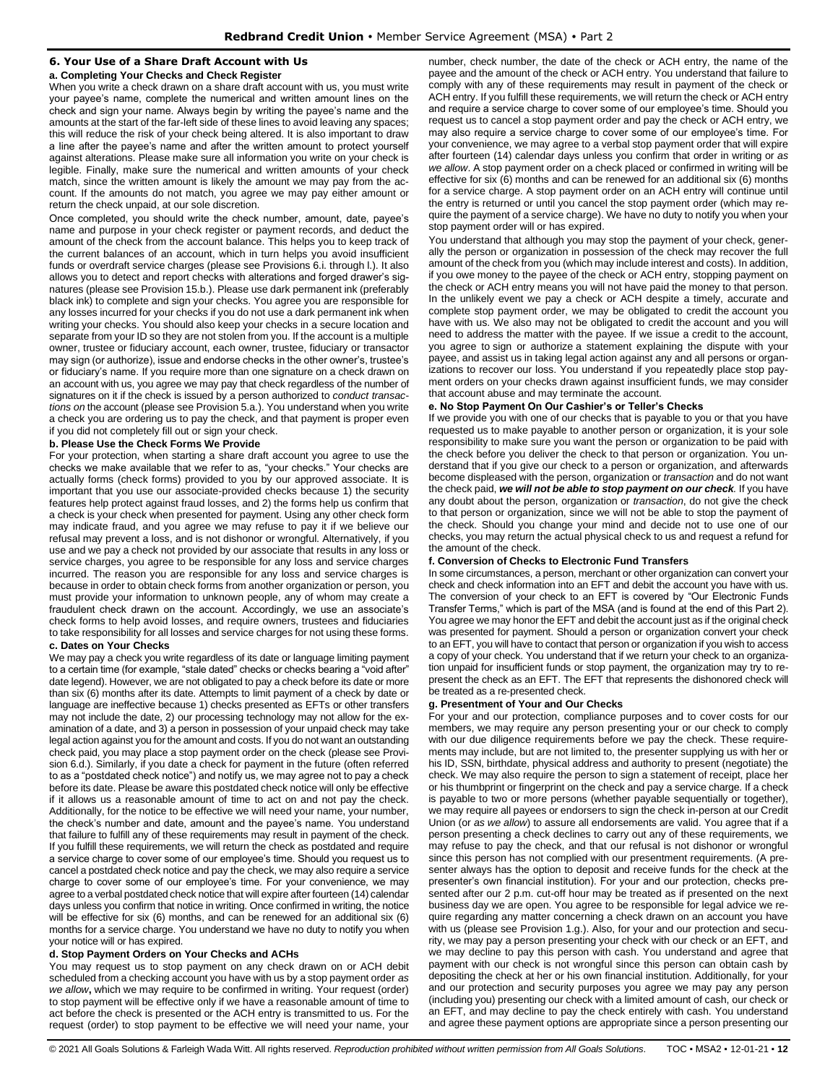# <span id="page-11-0"></span>**6. Your Use of a Share Draft Account with Us**

**a. Completing Your Checks and Check Register**

When you write a check drawn on a share draft account with us, you must write your payee's name, complete the numerical and written amount lines on the check and sign your name. Always begin by writing the payee's name and the amounts at the start of the far-left side of these lines to avoid leaving any spaces; this will reduce the risk of your check being altered. It is also important to draw a line after the payee's name and after the written amount to protect yourself against alterations. Please make sure all information you write on your check is legible. Finally, make sure the numerical and written amounts of your check match, since the written amount is likely the amount we may pay from the account. If the amounts do not match, you agree we may pay either amount or return the check unpaid, at our sole discretion.

Once completed, you should write the check number, amount, date, payee's name and purpose in your check register or payment records, and deduct the amount of the check from the account balance. This helps you to keep track of the current balances of an account, which in turn helps you avoid insufficient funds or overdraft service charges (please see Provisions 6.i. through l.). It also allows you to detect and report checks with alterations and forged drawer's signatures (please see Provision 15.b.). Please use dark permanent ink (preferably black ink) to complete and sign your checks. You agree you are responsible for any losses incurred for your checks if you do not use a dark permanent ink when writing your checks. You should also keep your checks in a secure location and separate from your ID so they are not stolen from you. If the account is a multiple owner, trustee or fiduciary account, each owner, trustee, fiduciary or transactor may sign (or authorize), issue and endorse checks in the other owner's, trustee's or fiduciary's name. If you require more than one signature on a check drawn on an account with us, you agree we may pay that check regardless of the number of signatures on it if the check is issued by a person authorized to *conduct transactions on* the account (please see Provision 5.a.). You understand when you write a check you are ordering us to pay the check, and that payment is proper even if you did not completely fill out or sign your check.

# **b. Please Use the Check Forms We Provide**

For your protection, when starting a share draft account you agree to use the checks we make available that we refer to as, "your checks." Your checks are actually forms (check forms) provided to you by our approved associate. It is important that you use our associate-provided checks because 1) the security features help protect against fraud losses, and 2) the forms help us confirm that a check is your check when presented for payment. Using any other check form may indicate fraud, and you agree we may refuse to pay it if we believe our refusal may prevent a loss, and is not dishonor or wrongful. Alternatively, if you use and we pay a check not provided by our associate that results in any loss or service charges, you agree to be responsible for any loss and service charges incurred. The reason you are responsible for any loss and service charges is because in order to obtain check forms from another organization or person, you must provide your information to unknown people, any of whom may create a fraudulent check drawn on the account. Accordingly, we use an associate's check forms to help avoid losses, and require owners, trustees and fiduciaries to take responsibility for all losses and service charges for not using these forms.

#### **c. Dates on Your Checks**

We may pay a check you write regardless of its date or language limiting payment to a certain time (for example, "stale dated" checks or checks bearing a "void after" date legend). However, we are not obligated to pay a check before its date or more than six (6) months after its date. Attempts to limit payment of a check by date or language are ineffective because 1) checks presented as EFTs or other transfers may not include the date, 2) our processing technology may not allow for the examination of a date, and 3) a person in possession of your unpaid check may take legal action against you for the amount and costs. If you do not want an outstanding check paid, you may place a stop payment order on the check (please see Provision 6.d.). Similarly, if you date a check for payment in the future (often referred to as a "postdated check notice") and notify us, we may agree not to pay a check before its date. Please be aware this postdated check notice will only be effective if it allows us a reasonable amount of time to act on and not pay the check. Additionally, for the notice to be effective we will need your name, your number, the check's number and date, amount and the payee's name. You understand that failure to fulfill any of these requirements may result in payment of the check. If you fulfill these requirements, we will return the check as postdated and require a service charge to cover some of our employee's time. Should you request us to cancel a postdated check notice and pay the check, we may also require a service charge to cover some of our employee's time. For your convenience, we may agree to a verbal postdated check notice that will expire after fourteen (14) calendar days unless you confirm that notice in writing. Once confirmed in writing, the notice will be effective for six (6) months, and can be renewed for an additional six (6) months for a service charge. You understand we have no duty to notify you when your notice will or has expired.

# **d. Stop Payment Orders on Your Checks and ACHs**

You may request us to stop payment on any check drawn on or ACH debit scheduled from a checking account you have with us by a stop payment order *as we allow***,** which we may require to be confirmed in writing. Your request (order) to stop payment will be effective only if we have a reasonable amount of time to act before the check is presented or the ACH entry is transmitted to us. For the request (order) to stop payment to be effective we will need your name, your

number, check number, the date of the check or ACH entry, the name of the payee and the amount of the check or ACH entry. You understand that failure to comply with any of these requirements may result in payment of the check or ACH entry. If you fulfill these requirements, we will return the check or ACH entry and require a service charge to cover some of our employee's time. Should you request us to cancel a stop payment order and pay the check or ACH entry, we may also require a service charge to cover some of our employee's time. For your convenience, we may agree to a verbal stop payment order that will expire after fourteen (14) calendar days unless you confirm that order in writing or *as we allow*. A stop payment order on a check placed or confirmed in writing will be effective for six (6) months and can be renewed for an additional six (6) months for a service charge. A stop payment order on an ACH entry will continue until the entry is returned or until you cancel the stop payment order (which may require the payment of a service charge). We have no duty to notify you when your stop payment order will or has expired.

You understand that although you may stop the payment of your check, generally the person or organization in possession of the check may recover the full amount of the check from you (which may include interest and costs). In addition, if you owe money to the payee of the check or ACH entry, stopping payment on the check or ACH entry means you will not have paid the money to that person. In the unlikely event we pay a check or ACH despite a timely, accurate and complete stop payment order, we may be obligated to credit the account you have with us. We also may not be obligated to credit the account and you will need to address the matter with the payee. If we issue a credit to the account, you agree to sign or authorize a statement explaining the dispute with your payee, and assist us in taking legal action against any and all persons or organizations to recover our loss. You understand if you repeatedly place stop payment orders on your checks drawn against insufficient funds, we may consider that account abuse and may terminate the account.

#### **e. No Stop Payment On Our Cashier's or Teller's Checks**

If we provide you with one of our checks that is payable to you or that you have requested us to make payable to another person or organization, it is your sole responsibility to make sure you want the person or organization to be paid with the check before you deliver the check to that person or organization. You understand that if you give our check to a person or organization, and afterwards become displeased with the person, organization or *transaction* and do not want the check paid, *we will not be able to stop payment on our check.* If you have any doubt about the person, organization or *transaction*, do not give the check to that person or organization, since we will not be able to stop the payment of the check. Should you change your mind and decide not to use one of our checks, you may return the actual physical check to us and request a refund for the amount of the check.

#### **f. Conversion of Checks to Electronic Fund Transfers**

In some circumstances, a person, merchant or other organization can convert your check and check information into an EFT and debit the account you have with us. The conversion of your check to an EFT is covered by "Our Electronic Funds Transfer Terms," which is part of the MSA (and is found at the end of this Part 2). You agree we may honor the EFT and debit the account just as if the original check was presented for payment. Should a person or organization convert your check to an EFT, you will have to contact that person or organization if you wish to access a copy of your check. You understand that if we return your check to an organization unpaid for insufficient funds or stop payment, the organization may try to represent the check as an EFT. The EFT that represents the dishonored check will be treated as a re-presented check.

#### **g. Presentment of Your and Our Checks**

For your and our protection, compliance purposes and to cover costs for our members, we may require any person presenting your or our check to comply with our due diligence requirements before we pay the check. These requirements may include, but are not limited to, the presenter supplying us with her or his ID, SSN, birthdate, physical address and authority to present (negotiate) the check. We may also require the person to sign a statement of receipt, place her or his thumbprint or fingerprint on the check and pay a service charge. If a check is payable to two or more persons (whether payable sequentially or together), we may require all payees or endorsers to sign the check in-person at our Credit Union (or *as we allow*) to assure all endorsements are valid. You agree that if a person presenting a check declines to carry out any of these requirements, we may refuse to pay the check, and that our refusal is not dishonor or wrongful since this person has not complied with our presentment requirements. (A presenter always has the option to deposit and receive funds for the check at the presenter's own financial institution). For your and our protection, checks presented after our 2 p.m. cut-off hour may be treated as if presented on the next business day we are open. You agree to be responsible for legal advice we require regarding any matter concerning a check drawn on an account you have with us (please see Provision 1.g.). Also, for your and our protection and security, we may pay a person presenting your check with our check or an EFT, and we may decline to pay this person with cash. You understand and agree that payment with our check is not wrongful since this person can obtain cash by depositing the check at her or his own financial institution. Additionally, for your and our protection and security purposes you agree we may pay any person (including you) presenting our check with a limited amount of cash, our check or an EFT, and may decline to pay the check entirely with cash. You understand and agree these payment options are appropriate since a person presenting our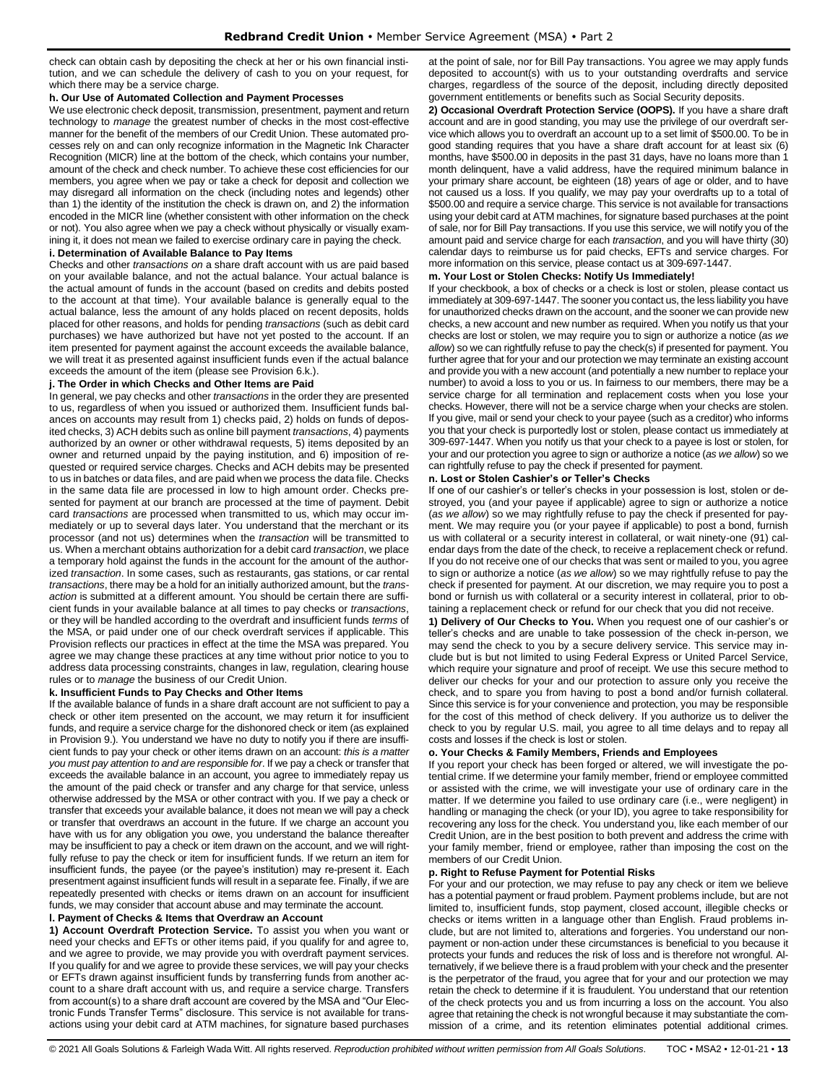check can obtain cash by depositing the check at her or his own financial institution, and we can schedule the delivery of cash to you on your request, for which there may be a service charge.

#### **h. Our Use of Automated Collection and Payment Processes**

We use electronic check deposit, transmission, presentment, payment and return technology to *manage* the greatest number of checks in the most cost-effective manner for the benefit of the members of our Credit Union. These automated processes rely on and can only recognize information in the Magnetic Ink Character Recognition (MICR) line at the bottom of the check, which contains your number, amount of the check and check number. To achieve these cost efficiencies for our members, you agree when we pay or take a check for deposit and collection we may disregard all information on the check (including notes and legends) other than 1) the identity of the institution the check is drawn on, and 2) the information encoded in the MICR line (whether consistent with other information on the check or not). You also agree when we pay a check without physically or visually examining it, it does not mean we failed to exercise ordinary care in paying the check.

#### **i. Determination of Available Balance to Pay Items**

Checks and other *transactions on* a share draft account with us are paid based on your available balance, and not the actual balance. Your actual balance is the actual amount of funds in the account (based on credits and debits posted to the account at that time). Your available balance is generally equal to the actual balance, less the amount of any holds placed on recent deposits, holds placed for other reasons, and holds for pending *transactions* (such as debit card purchases) we have authorized but have not yet posted to the account. If an item presented for payment against the account exceeds the available balance, we will treat it as presented against insufficient funds even if the actual balance exceeds the amount of the item (please see Provision 6.k.).

#### **j. The Order in which Checks and Other Items are Paid**

In general, we pay checks and other *transactions* in the order they are presented to us, regardless of when you issued or authorized them. Insufficient funds balances on accounts may result from 1) checks paid, 2) holds on funds of deposited checks, 3) ACH debits such as online bill payment *transactions*, 4) payments authorized by an owner or other withdrawal requests, 5) items deposited by an owner and returned unpaid by the paying institution, and 6) imposition of requested or required service charges. Checks and ACH debits may be presented to us in batches or data files, and are paid when we process the data file. Checks in the same data file are processed in low to high amount order. Checks presented for payment at our branch are processed at the time of payment. Debit card *transactions* are processed when transmitted to us, which may occur immediately or up to several days later. You understand that the merchant or its processor (and not us) determines when the *transaction* will be transmitted to us. When a merchant obtains authorization for a debit card *transaction*, we place a temporary hold against the funds in the account for the amount of the authorized *transaction*. In some cases, such as restaurants, gas stations, or car rental *transactions*, there may be a hold for an initially authorized amount, but the *transaction* is submitted at a different amount. You should be certain there are sufficient funds in your available balance at all times to pay checks or *transactions*, or they will be handled according to the overdraft and insufficient funds *terms* of the MSA, or paid under one of our check overdraft services if applicable. This Provision reflects our practices in effect at the time the MSA was prepared. You agree we may change these practices at any time without prior notice to you to address data processing constraints, changes in law, regulation, clearing house rules or to *manage* the business of our Credit Union.

#### **k. Insufficient Funds to Pay Checks and Other Items**

If the available balance of funds in a share draft account are not sufficient to pay a check or other item presented on the account, we may return it for insufficient funds, and require a service charge for the dishonored check or item (as explained in Provision 9.). You understand we have no duty to notify you if there are insufficient funds to pay your check or other items drawn on an account: *this is a matter you must pay attention to and are responsible for*. If we pay a check or transfer that exceeds the available balance in an account, you agree to immediately repay us the amount of the paid check or transfer and any charge for that service, unless otherwise addressed by the MSA or other contract with you. If we pay a check or transfer that exceeds your available balance, it does not mean we will pay a check or transfer that overdraws an account in the future. If we charge an account you have with us for any obligation you owe, you understand the balance thereafter may be insufficient to pay a check or item drawn on the account, and we will rightfully refuse to pay the check or item for insufficient funds. If we return an item for insufficient funds, the payee (or the payee's institution) may re-present it. Each presentment against insufficient funds will result in a separate fee. Finally, if we are repeatedly presented with checks or items drawn on an account for insufficient funds, we may consider that account abuse and may terminate the account.

# **l. Payment of Checks & Items that Overdraw an Account**

**1) Account Overdraft Protection Service.** To assist you when you want or need your checks and EFTs or other items paid, if you qualify for and agree to, and we agree to provide, we may provide you with overdraft payment services. If you qualify for and we agree to provide these services, we will pay your checks or EFTs drawn against insufficient funds by transferring funds from another account to a share draft account with us, and require a service charge. Transfers from account(s) to a share draft account are covered by the MSA and "Our Electronic Funds Transfer Terms" disclosure. This service is not available for transactions using your debit card at ATM machines, for signature based purchases at the point of sale, nor for Bill Pay transactions. You agree we may apply funds deposited to account(s) with us to your outstanding overdrafts and service charges, regardless of the source of the deposit, including directly deposited government entitlements or benefits such as Social Security deposits.

**2) Occasional Overdraft Protection Service (OOPS).** If you have a share draft account and are in good standing, you may use the privilege of our overdraft service which allows you to overdraft an account up to a set limit of \$500.00. To be in good standing requires that you have a share draft account for at least six (6) months, have \$500.00 in deposits in the past 31 days, have no loans more than 1 month delinquent, have a valid address, have the required minimum balance in your primary share account, be eighteen (18) years of age or older, and to have not caused us a loss. If you qualify, we may pay your overdrafts up to a total of \$500.00 and require a service charge. This service is not available for transactions using your debit card at ATM machines, for signature based purchases at the point of sale, nor for Bill Pay transactions. If you use this service, we will notify you of the amount paid and service charge for each *transaction*, and you will have thirty (30) calendar days to reimburse us for paid checks, EFTs and service charges. For more information on this service, please contact us at 309-697-1447.

#### **m. Your Lost or Stolen Checks: Notify Us Immediately!**

If your checkbook, a box of checks or a check is lost or stolen, please contact us immediately at 309-697-1447. The sooner you contact us, the less liability you have for unauthorized checks drawn on the account, and the sooner we can provide new checks, a new account and new number as required. When you notify us that your checks are lost or stolen, we may require you to sign or authorize a notice (*as we allow*) so we can rightfully refuse to pay the check(s) if presented for payment. You further agree that for your and our protection we may terminate an existing account and provide you with a new account (and potentially a new number to replace your number) to avoid a loss to you or us. In fairness to our members, there may be a service charge for all termination and replacement costs when you lose your checks. However, there will not be a service charge when your checks are stolen. If you give, mail or send your check to your payee (such as a creditor) who informs you that your check is purportedly lost or stolen, please contact us immediately at 309-697-1447. When you notify us that your check to a payee is lost or stolen, for your and our protection you agree to sign or authorize a notice (*as we allow*) so we can rightfully refuse to pay the check if presented for payment.

#### **n. Lost or Stolen Cashier's or Teller's Checks**

If one of our cashier's or teller's checks in your possession is lost, stolen or destroyed, you (and your payee if applicable) agree to sign or authorize a notice (*as we allow*) so we may rightfully refuse to pay the check if presented for payment. We may require you (or your payee if applicable) to post a bond, furnish us with collateral or a security interest in collateral, or wait ninety-one (91) calendar days from the date of the check, to receive a replacement check or refund. If you do not receive one of our checks that was sent or mailed to you, you agree to sign or authorize a notice (*as we allow*) so we may rightfully refuse to pay the check if presented for payment. At our discretion, we may require you to post a bond or furnish us with collateral or a security interest in collateral, prior to obtaining a replacement check or refund for our check that you did not receive.

**1) Delivery of Our Checks to You.** When you request one of our cashier's or teller's checks and are unable to take possession of the check in-person, we may send the check to you by a secure delivery service. This service may include but is but not limited to using Federal Express or United Parcel Service, which require your signature and proof of receipt. We use this secure method to deliver our checks for your and our protection to assure only you receive the check, and to spare you from having to post a bond and/or furnish collateral. Since this service is for your convenience and protection, you may be responsible for the cost of this method of check delivery. If you authorize us to deliver the check to you by regular U.S. mail, you agree to all time delays and to repay all costs and losses if the check is lost or stolen.

#### **o. Your Checks & Family Members, Friends and Employees**

If you report your check has been forged or altered, we will investigate the potential crime. If we determine your family member, friend or employee committed or assisted with the crime, we will investigate your use of ordinary care in the matter. If we determine you failed to use ordinary care (i.e., were negligent) in handling or managing the check (or your ID), you agree to take responsibility for recovering any loss for the check. You understand you, like each member of our Credit Union, are in the best position to both prevent and address the crime with your family member, friend or employee, rather than imposing the cost on the members of our Credit Union.

#### **p. Right to Refuse Payment for Potential Risks**

For your and our protection, we may refuse to pay any check or item we believe has a potential payment or fraud problem. Payment problems include, but are not limited to, insufficient funds, stop payment, closed account, illegible checks or checks or items written in a language other than English. Fraud problems include, but are not limited to, alterations and forgeries. You understand our nonpayment or non-action under these circumstances is beneficial to you because it protects your funds and reduces the risk of loss and is therefore not wrongful. Alternatively, if we believe there is a fraud problem with your check and the presenter is the perpetrator of the fraud, you agree that for your and our protection we may retain the check to determine if it is fraudulent. You understand that our retention of the check protects you and us from incurring a loss on the account. You also agree that retaining the check is not wrongful because it may substantiate the commission of a crime, and its retention eliminates potential additional crimes.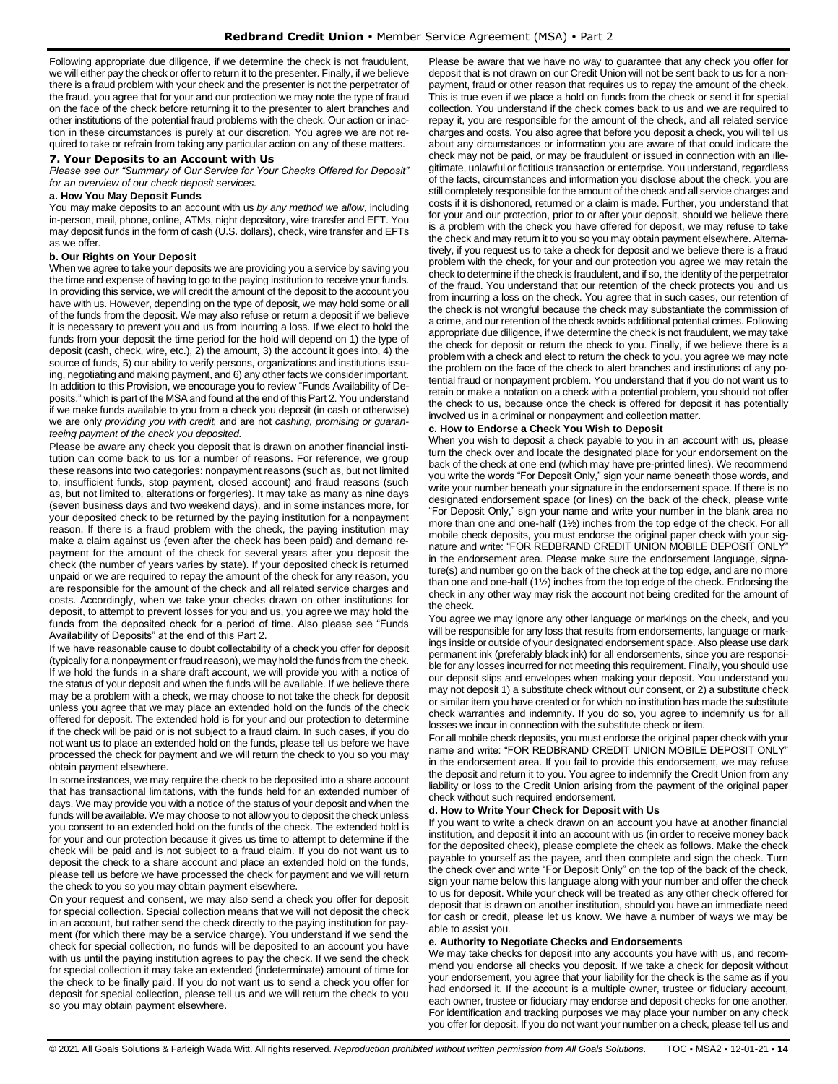Following appropriate due diligence, if we determine the check is not fraudulent, we will either pay the check or offer to return it to the presenter. Finally, if we believe there is a fraud problem with your check and the presenter is not the perpetrator of the fraud, you agree that for your and our protection we may note the type of fraud on the face of the check before returning it to the presenter to alert branches and other institutions of the potential fraud problems with the check. Our action or inaction in these circumstances is purely at our discretion. You agree we are not required to take or refrain from taking any particular action on any of these matters.

#### <span id="page-13-0"></span>**7. Your Deposits to an Account with Us**

*Please see our "Summary of Our Service for Your Checks Offered for Deposit" for an overview of our check deposit services.*

#### **a. How You May Deposit Funds**

You may make deposits to an account with us *by any method we allow*, including in-person, mail, phone, online, ATMs, night depository, wire transfer and EFT. You may deposit funds in the form of cash (U.S. dollars), check, wire transfer and EFTs as we offer.

#### **b. Our Rights on Your Deposit**

When we agree to take your deposits we are providing you a service by saving you the time and expense of having to go to the paying institution to receive your funds. In providing this service, we will credit the amount of the deposit to the account you have with us. However, depending on the type of deposit, we may hold some or all of the funds from the deposit. We may also refuse or return a deposit if we believe it is necessary to prevent you and us from incurring a loss. If we elect to hold the funds from your deposit the time period for the hold will depend on 1) the type of deposit (cash, check, wire, etc.), 2) the amount, 3) the account it goes into, 4) the source of funds, 5) our ability to verify persons, organizations and institutions issuing, negotiating and making payment, and 6) any other facts we consider important. In addition to this Provision, we encourage you to review "Funds Availability of Deposits," which is part of the MSA and found at the end of this Part 2. You understand if we make funds available to you from a check you deposit (in cash or otherwise) we are only *providing you with credit,* and are not *cashing, promising or guaranteeing payment of the check you deposited*.

Please be aware any check you deposit that is drawn on another financial institution can come back to us for a number of reasons. For reference, we group these reasons into two categories: nonpayment reasons (such as, but not limited to, insufficient funds, stop payment, closed account) and fraud reasons (such as, but not limited to, alterations or forgeries). It may take as many as nine days (seven business days and two weekend days), and in some instances more, for your deposited check to be returned by the paying institution for a nonpayment reason. If there is a fraud problem with the check, the paying institution may make a claim against us (even after the check has been paid) and demand repayment for the amount of the check for several years after you deposit the check (the number of years varies by state). If your deposited check is returned unpaid or we are required to repay the amount of the check for any reason, you are responsible for the amount of the check and all related service charges and costs. Accordingly, when we take your checks drawn on other institutions for deposit, to attempt to prevent losses for you and us, you agree we may hold the funds from the deposited check for a period of time. Also please see "Funds Availability of Deposits" at the end of this Part 2.

If we have reasonable cause to doubt collectability of a check you offer for deposit (typically for a nonpayment or fraud reason), we may hold the funds from the check. If we hold the funds in a share draft account, we will provide you with a notice of the status of your deposit and when the funds will be available. If we believe there may be a problem with a check, we may choose to not take the check for deposit unless you agree that we may place an extended hold on the funds of the check offered for deposit. The extended hold is for your and our protection to determine if the check will be paid or is not subject to a fraud claim. In such cases, if you do not want us to place an extended hold on the funds, please tell us before we have processed the check for payment and we will return the check to you so you may obtain payment elsewhere.

In some instances, we may require the check to be deposited into a share account that has transactional limitations, with the funds held for an extended number of days. We may provide you with a notice of the status of your deposit and when the funds will be available. We may choose to not allow you to deposit the check unless you consent to an extended hold on the funds of the check. The extended hold is for your and our protection because it gives us time to attempt to determine if the check will be paid and is not subject to a fraud claim. If you do not want us to deposit the check to a share account and place an extended hold on the funds, please tell us before we have processed the check for payment and we will return the check to you so you may obtain payment elsewhere.

On your request and consent, we may also send a check you offer for deposit for special collection. Special collection means that we will not deposit the check in an account, but rather send the check directly to the paying institution for payment (for which there may be a service charge). You understand if we send the check for special collection, no funds will be deposited to an account you have with us until the paying institution agrees to pay the check. If we send the check for special collection it may take an extended (indeterminate) amount of time for the check to be finally paid. If you do not want us to send a check you offer for deposit for special collection, please tell us and we will return the check to you so you may obtain payment elsewhere.

Please be aware that we have no way to guarantee that any check you offer for deposit that is not drawn on our Credit Union will not be sent back to us for a nonpayment, fraud or other reason that requires us to repay the amount of the check. This is true even if we place a hold on funds from the check or send it for special collection. You understand if the check comes back to us and we are required to repay it, you are responsible for the amount of the check, and all related service charges and costs. You also agree that before you deposit a check, you will tell us about any circumstances or information you are aware of that could indicate the check may not be paid, or may be fraudulent or issued in connection with an illegitimate, unlawful or fictitious transaction or enterprise. You understand, regardless of the facts, circumstances and information you disclose about the check, you are still completely responsible for the amount of the check and all service charges and costs if it is dishonored, returned or a claim is made. Further, you understand that for your and our protection, prior to or after your deposit, should we believe there is a problem with the check you have offered for deposit, we may refuse to take the check and may return it to you so you may obtain payment elsewhere. Alternatively, if you request us to take a check for deposit and we believe there is a fraud problem with the check, for your and our protection you agree we may retain the check to determine if the check is fraudulent, and if so, the identity of the perpetrator of the fraud. You understand that our retention of the check protects you and us from incurring a loss on the check. You agree that in such cases, our retention of the check is not wrongful because the check may substantiate the commission of a crime, and our retention of the check avoids additional potential crimes. Following appropriate due diligence, if we determine the check is not fraudulent, we may take the check for deposit or return the check to you. Finally, if we believe there is a problem with a check and elect to return the check to you, you agree we may note the problem on the face of the check to alert branches and institutions of any potential fraud or nonpayment problem. You understand that if you do not want us to retain or make a notation on a check with a potential problem, you should not offer the check to us, because once the check is offered for deposit it has potentially involved us in a criminal or nonpayment and collection matter.

# **c. How to Endorse a Check You Wish to Deposit**

When you wish to deposit a check payable to you in an account with us, please turn the check over and locate the designated place for your endorsement on the back of the check at one end (which may have pre-printed lines). We recommend you write the words "For Deposit Only," sign your name beneath those words, and write your number beneath your signature in the endorsement space. If there is no designated endorsement space (or lines) on the back of the check, please write "For Deposit Only," sign your name and write your number in the blank area no more than one and one-half (1½) inches from the top edge of the check. For all mobile check deposits, you must endorse the original paper check with your signature and write: "FOR REDBRAND CREDIT UNION MOBILE DEPOSIT ONLY" in the endorsement area. Please make sure the endorsement language, signature(s) and number go on the back of the check at the top edge, and are no more than one and one-half (1½) inches from the top edge of the check. Endorsing the check in any other way may risk the account not being credited for the amount of the check.

You agree we may ignore any other language or markings on the check, and you will be responsible for any loss that results from endorsements, language or markings inside or outside of your designated endorsement space. Also please use dark permanent ink (preferably black ink) for all endorsements, since you are responsible for any losses incurred for not meeting this requirement. Finally, you should use our deposit slips and envelopes when making your deposit. You understand you may not deposit 1) a substitute check without our consent, or 2) a substitute check or similar item you have created or for which no institution has made the substitute check warranties and indemnity. If you do so, you agree to indemnify us for all losses we incur in connection with the substitute check or item.

For all mobile check deposits, you must endorse the original paper check with your name and write: "FOR REDBRAND CREDIT UNION MOBILE DEPOSIT ONLY" in the endorsement area. If you fail to provide this endorsement, we may refuse the deposit and return it to you. You agree to indemnify the Credit Union from any liability or loss to the Credit Union arising from the payment of the original paper check without such required endorsement.

#### **d. How to Write Your Check for Deposit with Us**

If you want to write a check drawn on an account you have at another financial institution, and deposit it into an account with us (in order to receive money back for the deposited check), please complete the check as follows. Make the check payable to yourself as the payee, and then complete and sign the check. Turn the check over and write "For Deposit Only" on the top of the back of the check, sign your name below this language along with your number and offer the check to us for deposit. While your check will be treated as any other check offered for deposit that is drawn on another institution, should you have an immediate need for cash or credit, please let us know. We have a number of ways we may be able to assist you.

#### **e. Authority to Negotiate Checks and Endorsements**

We may take checks for deposit into any accounts you have with us, and recommend you endorse all checks you deposit. If we take a check for deposit without your endorsement, you agree that your liability for the check is the same as if you had endorsed it. If the account is a multiple owner, trustee or fiduciary account, each owner, trustee or fiduciary may endorse and deposit checks for one another. For identification and tracking purposes we may place your number on any check you offer for deposit. If you do not want your number on a check, please tell us and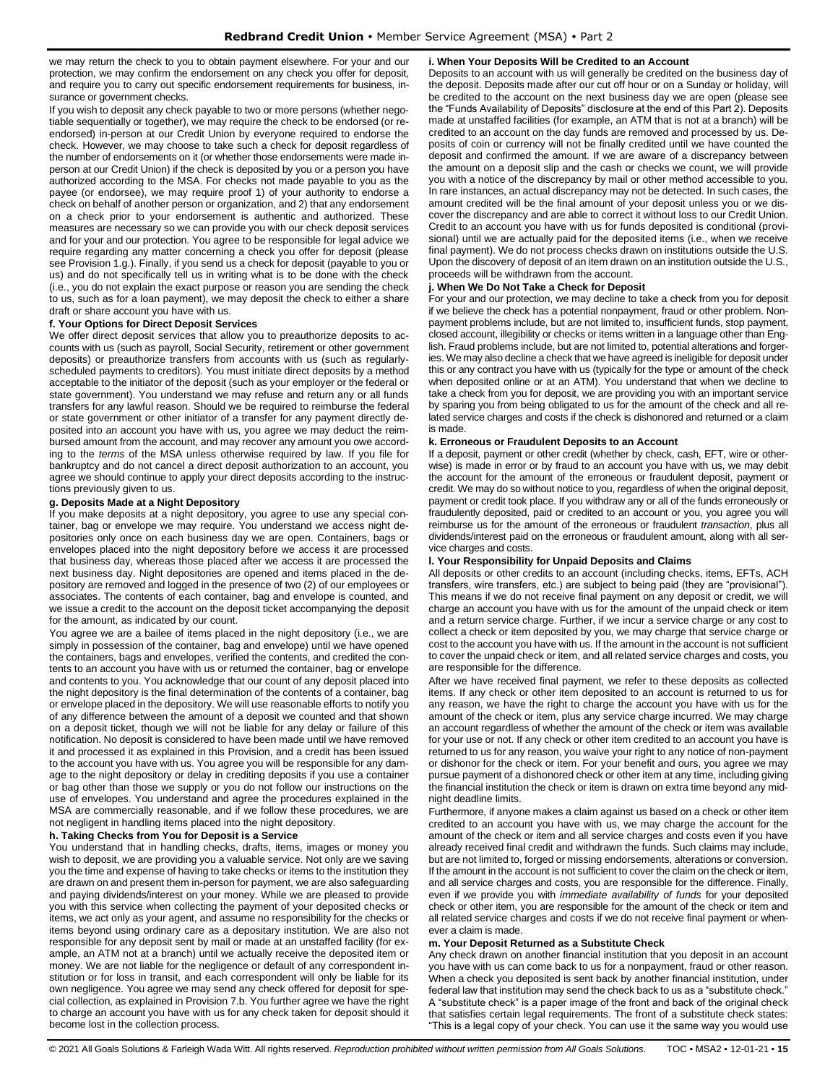we may return the check to you to obtain payment elsewhere. For your and our protection, we may confirm the endorsement on any check you offer for deposit, and require you to carry out specific endorsement requirements for business, insurance or government checks.

If you wish to deposit any check payable to two or more persons (whether negotiable sequentially or together), we may require the check to be endorsed (or reendorsed) in-person at our Credit Union by everyone required to endorse the check. However, we may choose to take such a check for deposit regardless of the number of endorsements on it (or whether those endorsements were made inperson at our Credit Union) if the check is deposited by you or a person you have authorized according to the MSA. For checks not made payable to you as the payee (or endorsee), we may require proof 1) of your authority to endorse a check on behalf of another person or organization, and 2) that any endorsement on a check prior to your endorsement is authentic and authorized. These measures are necessary so we can provide you with our check deposit services and for your and our protection. You agree to be responsible for legal advice we require regarding any matter concerning a check you offer for deposit (please see Provision 1.g.). Finally, if you send us a check for deposit (payable to you or us) and do not specifically tell us in writing what is to be done with the check (i.e., you do not explain the exact purpose or reason you are sending the check to us, such as for a loan payment), we may deposit the check to either a share draft or share account you have with us.

#### **f. Your Options for Direct Deposit Services**

We offer direct deposit services that allow you to preauthorize deposits to accounts with us (such as payroll, Social Security, retirement or other government deposits) or preauthorize transfers from accounts with us (such as regularlyscheduled payments to creditors). You must initiate direct deposits by a method acceptable to the initiator of the deposit (such as your employer or the federal or state government). You understand we may refuse and return any or all funds transfers for any lawful reason. Should we be required to reimburse the federal or state government or other initiator of a transfer for any payment directly deposited into an account you have with us, you agree we may deduct the reimbursed amount from the account, and may recover any amount you owe according to the *terms* of the MSA unless otherwise required by law. If you file for bankruptcy and do not cancel a direct deposit authorization to an account, you agree we should continue to apply your direct deposits according to the instructions previously given to us.

# **g. Deposits Made at a Night Depository**

If you make deposits at a night depository, you agree to use any special container, bag or envelope we may require. You understand we access night depositories only once on each business day we are open. Containers, bags or envelopes placed into the night depository before we access it are processed that business day, whereas those placed after we access it are processed the next business day. Night depositories are opened and items placed in the depository are removed and logged in the presence of two (2) of our employees or associates. The contents of each container, bag and envelope is counted, and we issue a credit to the account on the deposit ticket accompanying the deposit for the amount, as indicated by our count.

You agree we are a bailee of items placed in the night depository (i.e., we are simply in possession of the container, bag and envelope) until we have opened the containers, bags and envelopes, verified the contents, and credited the contents to an account you have with us or returned the container, bag or envelope and contents to you. You acknowledge that our count of any deposit placed into the night depository is the final determination of the contents of a container, bag or envelope placed in the depository. We will use reasonable efforts to notify you of any difference between the amount of a deposit we counted and that shown on a deposit ticket, though we will not be liable for any delay or failure of this notification. No deposit is considered to have been made until we have removed it and processed it as explained in this Provision, and a credit has been issued to the account you have with us. You agree you will be responsible for any damage to the night depository or delay in crediting deposits if you use a container or bag other than those we supply or you do not follow our instructions on the use of envelopes. You understand and agree the procedures explained in the MSA are commercially reasonable, and if we follow these procedures, we are not negligent in handling items placed into the night depository.

# **h. Taking Checks from You for Deposit is a Service**

You understand that in handling checks, drafts, items, images or money you wish to deposit, we are providing you a valuable service. Not only are we saving you the time and expense of having to take checks or items to the institution they are drawn on and present them in-person for payment, we are also safeguarding and paying dividends/interest on your money. While we are pleased to provide you with this service when collecting the payment of your deposited checks or items, we act only as your agent, and assume no responsibility for the checks or items beyond using ordinary care as a depositary institution. We are also not responsible for any deposit sent by mail or made at an unstaffed facility (for example, an ATM not at a branch) until we actually receive the deposited item or money. We are not liable for the negligence or default of any correspondent institution or for loss in transit, and each correspondent will only be liable for its own negligence. You agree we may send any check offered for deposit for special collection, as explained in Provision 7.b. You further agree we have the right to charge an account you have with us for any check taken for deposit should it become lost in the collection process.

#### **i. When Your Deposits Will be Credited to an Account**

Deposits to an account with us will generally be credited on the business day of the deposit. Deposits made after our cut off hour or on a Sunday or holiday, will be credited to the account on the next business day we are open (please see the "Funds Availability of Deposits" disclosure at the end of this Part 2). Deposits made at unstaffed facilities (for example, an ATM that is not at a branch) will be credited to an account on the day funds are removed and processed by us. Deposits of coin or currency will not be finally credited until we have counted the deposit and confirmed the amount. If we are aware of a discrepancy between the amount on a deposit slip and the cash or checks we count, we will provide you with a notice of the discrepancy by mail or other method accessible to you. In rare instances, an actual discrepancy may not be detected. In such cases, the amount credited will be the final amount of your deposit unless you or we discover the discrepancy and are able to correct it without loss to our Credit Union. Credit to an account you have with us for funds deposited is conditional (provisional) until we are actually paid for the deposited items (i.e., when we receive final payment). We do not process checks drawn on institutions outside the U.S. Upon the discovery of deposit of an item drawn on an institution outside the U.S., proceeds will be withdrawn from the account.

#### **j. When We Do Not Take a Check for Deposit**

For your and our protection, we may decline to take a check from you for deposit if we believe the check has a potential nonpayment, fraud or other problem. Nonpayment problems include, but are not limited to, insufficient funds, stop payment, closed account, illegibility or checks or items written in a language other than English. Fraud problems include, but are not limited to, potential alterations and forgeries. We may also decline a check that we have agreed is ineligible for deposit under this or any contract you have with us (typically for the type or amount of the check when deposited online or at an ATM). You understand that when we decline to take a check from you for deposit, we are providing you with an important service by sparing you from being obligated to us for the amount of the check and all related service charges and costs if the check is dishonored and returned or a claim is made.

# **k. Erroneous or Fraudulent Deposits to an Account**

If a deposit, payment or other credit (whether by check, cash, EFT, wire or otherwise) is made in error or by fraud to an account you have with us, we may debit the account for the amount of the erroneous or fraudulent deposit, payment or credit. We may do so without notice to you, regardless of when the original deposit, payment or credit took place. If you withdraw any or all of the funds erroneously or fraudulently deposited, paid or credited to an account or you, you agree you will reimburse us for the amount of the erroneous or fraudulent *transaction*, plus all dividends/interest paid on the erroneous or fraudulent amount, along with all service charges and costs.

#### **l. Your Responsibility for Unpaid Deposits and Claims**

All deposits or other credits to an account (including checks, items, EFTs, ACH transfers, wire transfers, etc.) are subject to being paid (they are "provisional"). This means if we do not receive final payment on any deposit or credit, we will charge an account you have with us for the amount of the unpaid check or item and a return service charge. Further, if we incur a service charge or any cost to collect a check or item deposited by you, we may charge that service charge or cost to the account you have with us. If the amount in the account is not sufficient to cover the unpaid check or item, and all related service charges and costs, you are responsible for the difference.

After we have received final payment, we refer to these deposits as collected items. If any check or other item deposited to an account is returned to us for any reason, we have the right to charge the account you have with us for the amount of the check or item, plus any service charge incurred. We may charge an account regardless of whether the amount of the check or item was available for your use or not. If any check or other item credited to an account you have is returned to us for any reason, you waive your right to any notice of non-payment or dishonor for the check or item. For your benefit and ours, you agree we may pursue payment of a dishonored check or other item at any time, including giving the financial institution the check or item is drawn on extra time beyond any midnight deadline limits.

Furthermore, if anyone makes a claim against us based on a check or other item credited to an account you have with us, we may charge the account for the amount of the check or item and all service charges and costs even if you have already received final credit and withdrawn the funds. Such claims may include, but are not limited to, forged or missing endorsements, alterations or conversion. If the amount in the account is not sufficient to cover the claim on the check or item, and all service charges and costs, you are responsible for the difference. Finally, even if we provide you with *immediate availability of funds* for your deposited check or other item, you are responsible for the amount of the check or item and all related service charges and costs if we do not receive final payment or whenever a claim is made.

#### **m. Your Deposit Returned as a Substitute Check**

Any check drawn on another financial institution that you deposit in an account you have with us can come back to us for a nonpayment, fraud or other reason. When a check you deposited is sent back by another financial institution, under federal law that institution may send the check back to us as a "substitute check." A "substitute check" is a paper image of the front and back of the original check that satisfies certain legal requirements. The front of a substitute check states: "This is a legal copy of your check. You can use it the same way you would use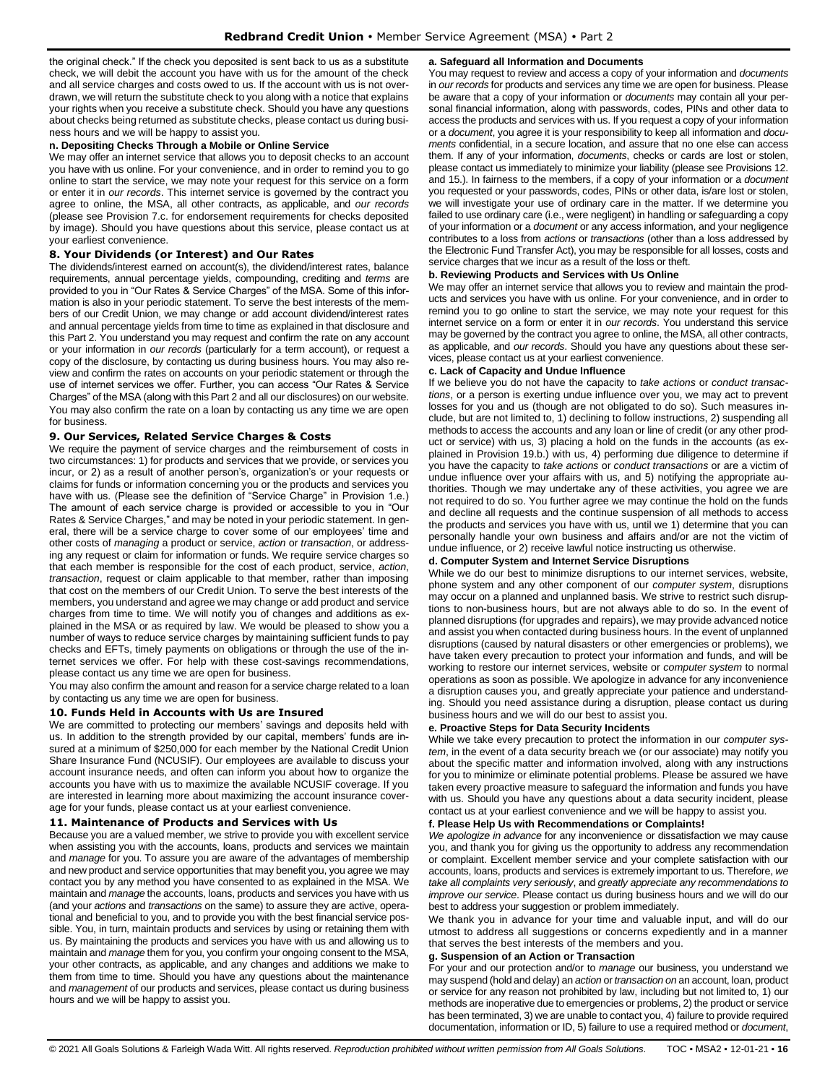the original check." If the check you deposited is sent back to us as a substitute check, we will debit the account you have with us for the amount of the check and all service charges and costs owed to us. If the account with us is not overdrawn, we will return the substitute check to you along with a notice that explains your rights when you receive a substitute check. Should you have any questions about checks being returned as substitute checks, please contact us during business hours and we will be happy to assist you.

# **n. Depositing Checks Through a Mobile or Online Service**

We may offer an internet service that allows you to deposit checks to an account you have with us online. For your convenience, and in order to remind you to go online to start the service, we may note your request for this service on a form or enter it in *our records*. This internet service is governed by the contract you agree to online, the MSA, all other contracts, as applicable, and *our records* (please see Provision 7.c. for endorsement requirements for checks deposited by image). Should you have questions about this service, please contact us at your earliest convenience.

# <span id="page-15-0"></span>**8. Your Dividends (or Interest) and Our Rates**

The dividends/interest earned on account(s), the dividend/interest rates, balance requirements, annual percentage yields, compounding, crediting and *terms* are provided to you in "Our Rates & Service Charges" of the MSA. Some of this information is also in your periodic statement. To serve the best interests of the members of our Credit Union, we may change or add account dividend/interest rates and annual percentage yields from time to time as explained in that disclosure and this Part 2. You understand you may request and confirm the rate on any account or your information in *our records* (particularly for a term account), or request a copy of the disclosure, by contacting us during business hours. You may also review and confirm the rates on accounts on your periodic statement or through the use of internet services we offer. Further, you can access "Our Rates & Service Charges" of the MSA (along with this Part 2 and all our disclosures) on our website. You may also confirm the rate on a loan by contacting us any time we are open for business.

# <span id="page-15-1"></span>**9. Our Services, Related Service Charges & Costs**

We require the payment of service charges and the reimbursement of costs in two circumstances: 1) for products and services that we provide, or services you incur, or 2) as a result of another person's, organization's or your requests or claims for funds or information concerning you or the products and services you have with us. (Please see the definition of "Service Charge" in Provision 1.e.) The amount of each service charge is provided or accessible to you in "Our Rates & Service Charges," and may be noted in your periodic statement. In general, there will be a service charge to cover some of our employees' time and other costs of *managing* a product or service, *action* or *transaction*, or addressing any request or claim for information or funds. We require service charges so that each member is responsible for the cost of each product, service, *action*, *transaction*, request or claim applicable to that member, rather than imposing that cost on the members of our Credit Union. To serve the best interests of the members, you understand and agree we may change or add product and service charges from time to time. We will notify you of changes and additions as explained in the MSA or as required by law. We would be pleased to show you a number of ways to reduce service charges by maintaining sufficient funds to pay checks and EFTs, timely payments on obligations or through the use of the internet services we offer. For help with these cost-savings recommendations, please contact us any time we are open for business.

You may also confirm the amount and reason for a service charge related to a loan by contacting us any time we are open for business.

#### <span id="page-15-2"></span>**10. Funds Held in Accounts with Us are Insured**

We are committed to protecting our members' savings and deposits held with us. In addition to the strength provided by our capital, members' funds are insured at a minimum of \$250,000 for each member by the National Credit Union Share Insurance Fund (NCUSIF). Our employees are available to discuss your account insurance needs, and often can inform you about how to organize the accounts you have with us to maximize the available NCUSIF coverage. If you are interested in learning more about maximizing the account insurance coverage for your funds, please contact us at your earliest convenience.

#### <span id="page-15-3"></span>**11. Maintenance of Products and Services with Us**

Because you are a valued member, we strive to provide you with excellent service when assisting you with the accounts, loans, products and services we maintain and *manage* for you. To assure you are aware of the advantages of membership and new product and service opportunities that may benefit you, you agree we may contact you by any method you have consented to as explained in the MSA. We maintain and *manage* the accounts, loans, products and services you have with us (and your *actions* and *transactions* on the same) to assure they are active, operational and beneficial to you, and to provide you with the best financial service possible. You, in turn, maintain products and services by using or retaining them with us. By maintaining the products and services you have with us and allowing us to maintain and *manage* them for you, you confirm your ongoing consent to the MSA, your other contracts, as applicable, and any changes and additions we make to them from time to time. Should you have any questions about the maintenance and *management* of our products and services, please contact us during business hours and we will be happy to assist you.

#### **a. Safeguard all Information and Documents**

You may request to review and access a copy of your information and *documents* in *our records* for products and services any time we are open for business. Please be aware that a copy of your information or *documents* may contain all your personal financial information, along with passwords, codes, PINs and other data to access the products and services with us. If you request a copy of your information or a *document*, you agree it is your responsibility to keep all information and *documents* confidential, in a secure location, and assure that no one else can access them. If any of your information, *documents*, checks or cards are lost or stolen, please contact us immediately to minimize your liability (please see Provisions 12. and 15.). In fairness to the members, if a copy of your information or a *document* you requested or your passwords, codes, PINs or other data, is/are lost or stolen, we will investigate your use of ordinary care in the matter. If we determine you failed to use ordinary care (i.e., were negligent) in handling or safeguarding a copy of your information or a *document* or any access information, and your negligence contributes to a loss from *actions* or *transactions* (other than a loss addressed by the Electronic Fund Transfer Act), you may be responsible for all losses, costs and service charges that we incur as a result of the loss or theft.

#### **b. Reviewing Products and Services with Us Online**

We may offer an internet service that allows you to review and maintain the products and services you have with us online. For your convenience, and in order to remind you to go online to start the service, we may note your request for this internet service on a form or enter it in *our records*. You understand this service may be governed by the contract you agree to online, the MSA, all other contracts, as applicable, and *our records*. Should you have any questions about these services, please contact us at your earliest convenience.

#### **c. Lack of Capacity and Undue Influence**

If we believe you do not have the capacity to *take actions* or *conduct transactions*, or a person is exerting undue influence over you, we may act to prevent losses for you and us (though are not obligated to do so). Such measures include, but are not limited to, 1) declining to follow instructions, 2) suspending all methods to access the accounts and any loan or line of credit (or any other product or service) with us, 3) placing a hold on the funds in the accounts (as explained in Provision 19.b.) with us, 4) performing due diligence to determine if you have the capacity to *take actions* or *conduct transactions* or are a victim of undue influence over your affairs with us, and 5) notifying the appropriate authorities. Though we may undertake any of these activities, you agree we are not required to do so. You further agree we may continue the hold on the funds and decline all requests and the continue suspension of all methods to access the products and services you have with us, until we 1) determine that you can personally handle your own business and affairs and/or are not the victim of undue influence, or 2) receive lawful notice instructing us otherwise.

#### **d. Computer System and Internet Service Disruptions**

While we do our best to minimize disruptions to our internet services, website, phone system and any other component of our *computer system*, disruptions may occur on a planned and unplanned basis. We strive to restrict such disruptions to non-business hours, but are not always able to do so. In the event of planned disruptions (for upgrades and repairs), we may provide advanced notice and assist you when contacted during business hours. In the event of unplanned disruptions (caused by natural disasters or other emergencies or problems), we have taken every precaution to protect your information and funds, and will be working to restore our internet services, website or *computer system* to normal operations as soon as possible. We apologize in advance for any inconvenience a disruption causes you, and greatly appreciate your patience and understanding. Should you need assistance during a disruption, please contact us during business hours and we will do our best to assist you.

#### **e. Proactive Steps for Data Security Incidents**

While we take every precaution to protect the information in our *computer system*, in the event of a data security breach we (or our associate) may notify you about the specific matter and information involved, along with any instructions for you to minimize or eliminate potential problems. Please be assured we have taken every proactive measure to safeguard the information and funds you have with us. Should you have any questions about a data security incident, please contact us at your earliest convenience and we will be happy to assist you.

#### **f. Please Help Us with Recommendations or Complaints!**

*We apologize in advance* for any inconvenience or dissatisfaction we may cause you, and thank you for giving us the opportunity to address any recommendation or complaint. Excellent member service and your complete satisfaction with our accounts, loans, products and services is extremely important to us. Therefore, *we take all complaints very seriously*, and *greatly appreciate any recommendations to improve our service*. Please contact us during business hours and we will do our best to address your suggestion or problem immediately.

We thank you in advance for your time and valuable input, and will do our utmost to address all suggestions or concerns expediently and in a manner that serves the best interests of the members and you.

#### **g. Suspension of an Action or Transaction**

For your and our protection and/or to *manage* our business, you understand we may suspend (hold and delay) an *action* or *transaction on* an account, loan, product or service for any reason not prohibited by law, including but not limited to, 1) our methods are inoperative due to emergencies or problems, 2) the product or service has been terminated, 3) we are unable to contact you, 4) failure to provide required documentation, information or ID, 5) failure to use a required method or *document*,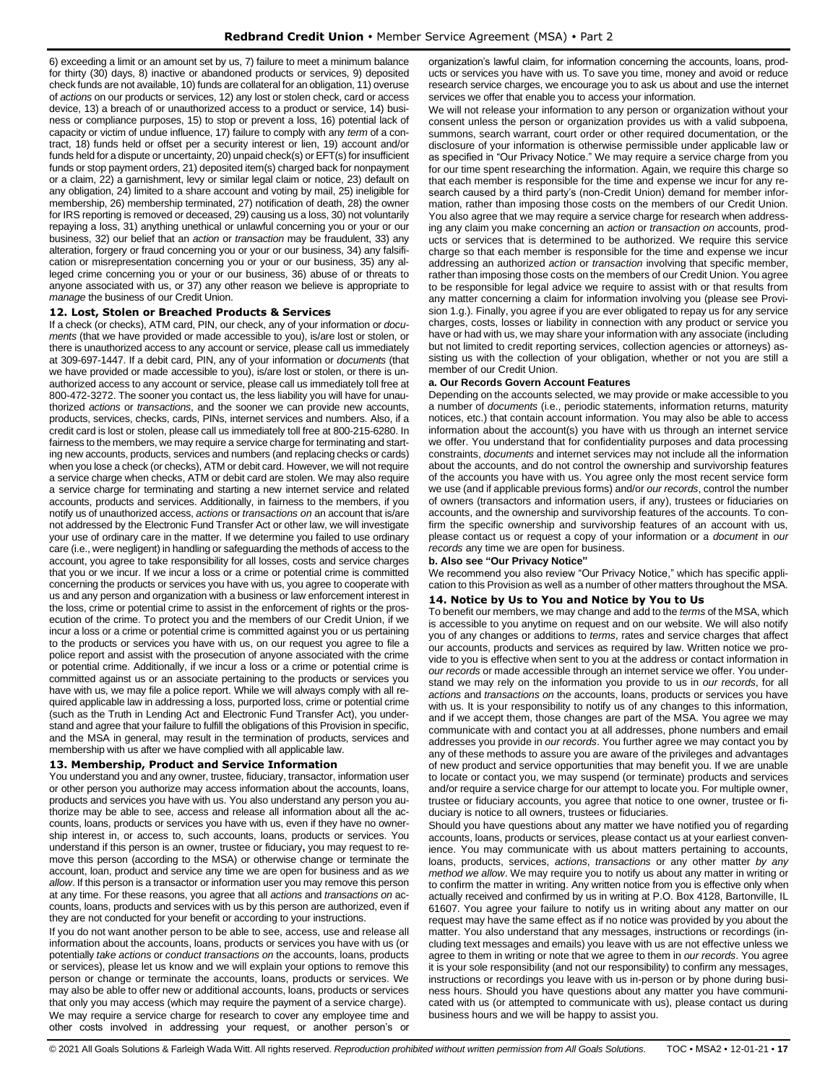6) exceeding a limit or an amount set by us, 7) failure to meet a minimum balance for thirty (30) days, 8) inactive or abandoned products or services, 9) deposited check funds are not available, 10) funds are collateral for an obligation, 11) overuse of *actions* on our products or services, 12) any lost or stolen check, card or access device, 13) a breach of or unauthorized access to a product or service, 14) business or compliance purposes, 15) to stop or prevent a loss, 16) potential lack of capacity or victim of undue influence, 17) failure to comply with any *term* of a contract, 18) funds held or offset per a security interest or lien, 19) account and/or funds held for a dispute or uncertainty, 20) unpaid check(s) or EFT(s) for insufficient funds or stop payment orders, 21) deposited item(s) charged back for nonpayment or a claim, 22) a garnishment, levy or similar legal claim or notice, 23) default on any obligation, 24) limited to a share account and voting by mail, 25) ineligible for membership, 26) membership terminated, 27) notification of death, 28) the owner for IRS reporting is removed or deceased, 29) causing us a loss, 30) not voluntarily repaying a loss, 31) anything unethical or unlawful concerning you or your or our business, 32) our belief that an *action* or *transaction* may be fraudulent, 33) any alteration, forgery or fraud concerning you or your or our business, 34) any falsification or misrepresentation concerning you or your or our business, 35) any alleged crime concerning you or your or our business, 36) abuse of or threats to anyone associated with us, or 37) any other reason we believe is appropriate to *manage* the business of our Credit Union.

# <span id="page-16-0"></span>**12. Lost, Stolen or Breached Products & Services**

If a check (or checks), ATM card, PIN, our check, any of your information or *documents* (that we have provided or made accessible to you), is/are lost or stolen, or there is unauthorized access to any account or service, please call us immediately at 309-697-1447. If a debit card, PIN, any of your information or *documents* (that we have provided or made accessible to you), is/are lost or stolen, or there is unauthorized access to any account or service, please call us immediately toll free at 800-472-3272. The sooner you contact us, the less liability you will have for unauthorized *actions* or *transactions*, and the sooner we can provide new accounts, products, services, checks, cards, PINs, internet services and numbers. Also, if a credit card is lost or stolen, please call us immediately toll free at 800-215-6280. In fairness to the members, we may require a service charge for terminating and starting new accounts, products, services and numbers (and replacing checks or cards) when you lose a check (or checks), ATM or debit card. However, we will not require a service charge when checks, ATM or debit card are stolen. We may also require a service charge for terminating and starting a new internet service and related accounts, products and services. Additionally, in fairness to the members, if you notify us of unauthorized access, *actions* or *transactions on* an account that is/are not addressed by the Electronic Fund Transfer Act or other law, we will investigate your use of ordinary care in the matter. If we determine you failed to use ordinary care (i.e., were negligent) in handling or safeguarding the methods of access to the account, you agree to take responsibility for all losses, costs and service charges that you or we incur. If we incur a loss or a crime or potential crime is committed concerning the products or services you have with us, you agree to cooperate with us and any person and organization with a business or law enforcement interest in the loss, crime or potential crime to assist in the enforcement of rights or the prosecution of the crime. To protect you and the members of our Credit Union, if we incur a loss or a crime or potential crime is committed against you or us pertaining to the products or services you have with us, on our request you agree to file a police report and assist with the prosecution of anyone associated with the crime or potential crime. Additionally, if we incur a loss or a crime or potential crime is committed against us or an associate pertaining to the products or services you have with us, we may file a police report. While we will always comply with all required applicable law in addressing a loss, purported loss, crime or potential crime (such as the Truth in Lending Act and Electronic Fund Transfer Act), you understand and agree that your failure to fulfill the obligations of this Provision in specific, and the MSA in general, may result in the termination of products, services and membership with us after we have complied with all applicable law.

#### <span id="page-16-1"></span>**13. Membership, Product and Service Information**

You understand you and any owner, trustee, fiduciary, transactor, information user or other person you authorize may access information about the accounts, loans, products and services you have with us. You also understand any person you authorize may be able to see, access and release all information about all the accounts, loans, products or services you have with us, even if they have no ownership interest in, or access to, such accounts, loans, products or services. You understand if this person is an owner, trustee or fiduciary**,** you may request to remove this person (according to the MSA) or otherwise change or terminate the account, loan, product and service any time we are open for business and as *we allow*. If this person is a transactor or information user you may remove this person at any time. For these reasons, you agree that all *actions* and *transactions on* accounts, loans, products and services with us by this person are authorized, even if they are not conducted for your benefit or according to your instructions.

If you do not want another person to be able to see, access, use and release all information about the accounts, loans, products or services you have with us (or potentially *take actions* or *conduct transactions on* the accounts, loans, products or services), please let us know and we will explain your options to remove this person or change or terminate the accounts, loans, products or services. We may also be able to offer new or additional accounts, loans, products or services that only you may access (which may require the payment of a service charge). We may require a service charge for research to cover any employee time and other costs involved in addressing your request, or another person's or

organization's lawful claim, for information concerning the accounts, loans, products or services you have with us. To save you time, money and avoid or reduce research service charges, we encourage you to ask us about and use the internet services we offer that enable you to access your information.

We will not release your information to any person or organization without your consent unless the person or organization provides us with a valid subpoena, summons, search warrant, court order or other required documentation, or the disclosure of your information is otherwise permissible under applicable law or as specified in "Our Privacy Notice." We may require a service charge from you for our time spent researching the information. Again, we require this charge so that each member is responsible for the time and expense we incur for any research caused by a third party's (non-Credit Union) demand for member information, rather than imposing those costs on the members of our Credit Union. You also agree that we may require a service charge for research when addressing any claim you make concerning an *action* or *transaction on* accounts, products or services that is determined to be authorized. We require this service charge so that each member is responsible for the time and expense we incur addressing an authorized *action* or *transaction* involving that specific member, rather than imposing those costs on the members of our Credit Union. You agree to be responsible for legal advice we require to assist with or that results from any matter concerning a claim for information involving you (please see Provision 1.g.). Finally, you agree if you are ever obligated to repay us for any service charges, costs, losses or liability in connection with any product or service you have or had with us, we may share your information with any associate (including but not limited to credit reporting services, collection agencies or attorneys) assisting us with the collection of your obligation, whether or not you are still a member of our Credit Union.

#### **a. Our Records Govern Account Features**

Depending on the accounts selected, we may provide or make accessible to you a number of *documents* (i.e., periodic statements, information returns, maturity notices, etc.) that contain account information. You may also be able to access information about the account(s) you have with us through an internet service we offer. You understand that for confidentiality purposes and data processing constraints, *documents* and internet services may not include all the information about the accounts, and do not control the ownership and survivorship features of the accounts you have with us. You agree only the most recent service form we use (and if applicable previous forms) and/or *our records*, control the number of owners (transactors and information users, if any), trustees or fiduciaries on accounts, and the ownership and survivorship features of the accounts. To confirm the specific ownership and survivorship features of an account with us, please contact us or request a copy of your information or a *document* in *our records* any time we are open for business.

# **b. Also see "Our Privacy Notice"**

We recommend you also review "Our Privacy Notice," which has specific application to this Provision as well as a number of other matters throughout the MSA.

# <span id="page-16-2"></span>**14. Notice by Us to You and Notice by You to Us**

To benefit our members, we may change and add to the *terms* of the MSA, which is accessible to you anytime on request and on our website. We will also notify you of any changes or additions to *terms*, rates and service charges that affect our accounts, products and services as required by law. Written notice we provide to you is effective when sent to you at the address or contact information in *our records* or made accessible through an internet service we offer. You understand we may rely on the information you provide to us in *our records*, for all *actions* and *transactions on* the accounts, loans, products or services you have with us. It is your responsibility to notify us of any changes to this information, and if we accept them, those changes are part of the MSA. You agree we may communicate with and contact you at all addresses, phone numbers and email addresses you provide in *our records*. You further agree we may contact you by any of these methods to assure you are aware of the privileges and advantages of new product and service opportunities that may benefit you. If we are unable to locate or contact you, we may suspend (or terminate) products and services and/or require a service charge for our attempt to locate you. For multiple owner, trustee or fiduciary accounts, you agree that notice to one owner, trustee or fiduciary is notice to all owners, trustees or fiduciaries.

Should you have questions about any matter we have notified you of regarding accounts, loans, products or services, please contact us at your earliest convenience. You may communicate with us about matters pertaining to accounts, loans, products, services, *actions*, *transactions* or any other matter *by any method we allow*. We may require you to notify us about any matter in writing or to confirm the matter in writing. Any written notice from you is effective only when actually received and confirmed by us in writing at P.O. Box 4128, Bartonville, IL 61607. You agree your failure to notify us in writing about any matter on our request may have the same effect as if no notice was provided by you about the matter. You also understand that any messages, instructions or recordings (including text messages and emails) you leave with us are not effective unless we agree to them in writing or note that we agree to them in *our records*. You agree it is your sole responsibility (and not our responsibility) to confirm any messages, instructions or recordings you leave with us in-person or by phone during business hours. Should you have questions about any matter you have communicated with us (or attempted to communicate with us), please contact us during business hours and we will be happy to assist you.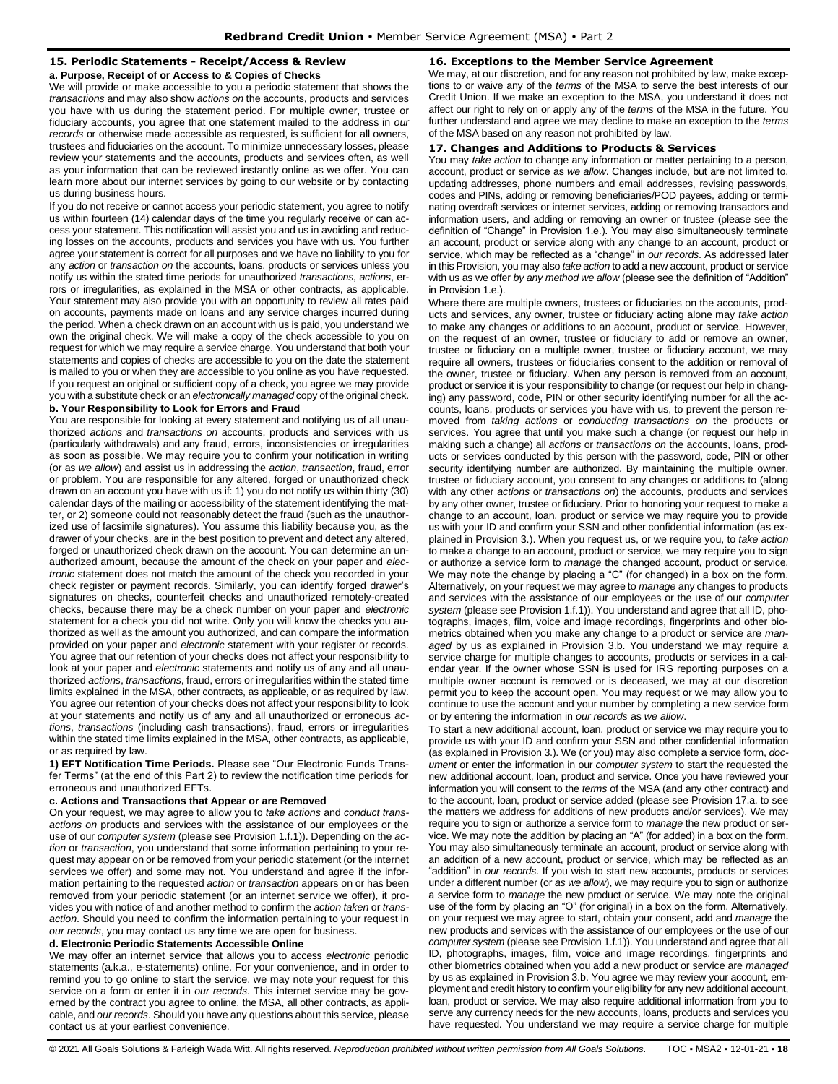# <span id="page-17-0"></span>**15. Periodic Statements - Receipt/Access & Review**

**a. Purpose, Receipt of or Access to & Copies of Checks**

We will provide or make accessible to you a periodic statement that shows the *transactions* and may also show *actions on* the accounts, products and services you have with us during the statement period. For multiple owner, trustee or fiduciary accounts, you agree that one statement mailed to the address in *our records* or otherwise made accessible as requested, is sufficient for all owners, trustees and fiduciaries on the account. To minimize unnecessary losses, please review your statements and the accounts, products and services often, as well as your information that can be reviewed instantly online as we offer. You can learn more about our internet services by going to our website or by contacting us during business hours.

If you do not receive or cannot access your periodic statement, you agree to notify us within fourteen (14) calendar days of the time you regularly receive or can access your statement. This notification will assist you and us in avoiding and reducing losses on the accounts, products and services you have with us. You further agree your statement is correct for all purposes and we have no liability to you for any *action* or *transaction on* the accounts, loans, products or services unless you notify us within the stated time periods for unauthorized *transactions*, *actions*, errors or irregularities, as explained in the MSA or other contracts, as applicable. Your statement may also provide you with an opportunity to review all rates paid on accounts**,** payments made on loans and any service charges incurred during the period. When a check drawn on an account with us is paid, you understand we own the original check. We will make a copy of the check accessible to you on request for which we may require a service charge. You understand that both your statements and copies of checks are accessible to you on the date the statement is mailed to you or when they are accessible to you online as you have requested. If you request an original or sufficient copy of a check, you agree we may provide you with a substitute check or an *electronically managed* copy of the original check.

# **b. Your Responsibility to Look for Errors and Fraud**

You are responsible for looking at every statement and notifying us of all unauthorized *actions* and *transactions on* accounts, products and services with us (particularly withdrawals) and any fraud, errors, inconsistencies or irregularities as soon as possible. We may require you to confirm your notification in writing (or as *we allow*) and assist us in addressing the *action*, *transaction*, fraud, error or problem. You are responsible for any altered, forged or unauthorized check drawn on an account you have with us if: 1) you do not notify us within thirty (30) calendar days of the mailing or accessibility of the statement identifying the matter, or 2) someone could not reasonably detect the fraud (such as the unauthorized use of facsimile signatures). You assume this liability because you, as the drawer of your checks, are in the best position to prevent and detect any altered, forged or unauthorized check drawn on the account. You can determine an unauthorized amount, because the amount of the check on your paper and *electronic* statement does not match the amount of the check you recorded in your check register or payment records. Similarly, you can identify forged drawer's signatures on checks, counterfeit checks and unauthorized remotely-created checks, because there may be a check number on your paper and *electronic* statement for a check you did not write. Only you will know the checks you authorized as well as the amount you authorized, and can compare the information provided on your paper and *electronic* statement with your register or records. You agree that our retention of your checks does not affect your responsibility to look at your paper and *electronic* statements and notify us of any and all unauthorized *actions*, *transactions*, fraud, errors or irregularities within the stated time limits explained in the MSA, other contracts, as applicable, or as required by law. You agree our retention of your checks does not affect your responsibility to look at your statements and notify us of any and all unauthorized or erroneous *actions*, *transactions* (including cash transactions), fraud, errors or irregularities within the stated time limits explained in the MSA, other contracts, as applicable, or as required by law.

**1) EFT Notification Time Periods.** Please see "Our Electronic Funds Transfer Terms" (at the end of this Part 2) to review the notification time periods for erroneous and unauthorized EFTs.

#### **c. Actions and Transactions that Appear or are Removed**

On your request, we may agree to allow you to *take actions* and *conduct transactions on* products and services with the assistance of our employees or the use of our *computer system* (please see Provision 1.f.1)). Depending on the *action* or *transaction*, you understand that some information pertaining to your request may appear on or be removed from your periodic statement (or the internet services we offer) and some may not. You understand and agree if the information pertaining to the requested *action* or *transaction* appears on or has been removed from your periodic statement (or an internet service we offer), it provides you with notice of and another method to confirm the *action taken* or *transaction*. Should you need to confirm the information pertaining to your request in *our records*, you may contact us any time we are open for business.

#### **d. Electronic Periodic Statements Accessible Online**

We may offer an internet service that allows you to access *electronic* periodic statements (a.k.a., e-statements) online. For your convenience, and in order to remind you to go online to start the service, we may note your request for this service on a form or enter it in *our records*. This internet service may be governed by the contract you agree to online, the MSA, all other contracts, as applicable, and *our records*. Should you have any questions about this service, please contact us at your earliest convenience.

# <span id="page-17-1"></span>**16. Exceptions to the Member Service Agreement**

We may, at our discretion, and for any reason not prohibited by law, make exceptions to or waive any of the *terms* of the MSA to serve the best interests of our Credit Union. If we make an exception to the MSA, you understand it does not affect our right to rely on or apply any of the *terms* of the MSA in the future. You further understand and agree we may decline to make an exception to the *terms* of the MSA based on any reason not prohibited by law.

#### <span id="page-17-2"></span>**17. Changes and Additions to Products & Services**

You may *take action* to change any information or matter pertaining to a person, account, product or service as *we allow*. Changes include, but are not limited to, updating addresses, phone numbers and email addresses, revising passwords, codes and PINs, adding or removing beneficiaries/POD payees, adding or terminating overdraft services or internet services, adding or removing transactors and information users, and adding or removing an owner or trustee (please see the definition of "Change" in Provision 1.e.). You may also simultaneously terminate an account, product or service along with any change to an account, product or service, which may be reflected as a "change" in *our records*. As addressed later in this Provision, you may also *take action* to add a new account, product or service with us as we offer *by any method we allow* (please see the definition of "Addition" in Provision 1.e.).

Where there are multiple owners, trustees or fiduciaries on the accounts, products and services, any owner, trustee or fiduciary acting alone may *take action*  to make any changes or additions to an account, product or service. However, on the request of an owner, trustee or fiduciary to add or remove an owner, trustee or fiduciary on a multiple owner, trustee or fiduciary account, we may require all owners, trustees or fiduciaries consent to the addition or removal of the owner, trustee or fiduciary. When any person is removed from an account, product or service it is your responsibility to change (or request our help in changing) any password, code, PIN or other security identifying number for all the accounts, loans, products or services you have with us, to prevent the person removed from *taking actions* or *conducting transactions on* the products or services. You agree that until you make such a change (or request our help in making such a change) all *actions* or *transactions on* the accounts, loans, products or services conducted by this person with the password, code, PIN or other security identifying number are authorized. By maintaining the multiple owner, trustee or fiduciary account, you consent to any changes or additions to (along with any other *actions* or *transactions on*) the accounts, products and services by any other owner, trustee or fiduciary. Prior to honoring your request to make a change to an account, loan, product or service we may require you to provide us with your ID and confirm your SSN and other confidential information (as explained in Provision 3.). When you request us, or we require you, to *take action*  to make a change to an account, product or service, we may require you to sign or authorize a service form to *manage* the changed account, product or service. We may note the change by placing a "C" (for changed) in a box on the form. Alternatively, on your request we may agree to *manage* any changes to products and services with the assistance of our employees or the use of our *computer system* (please see Provision 1.f.1)). You understand and agree that all ID, photographs, images, film, voice and image recordings, fingerprints and other biometrics obtained when you make any change to a product or service are *managed* by us as explained in Provision 3.b. You understand we may require a service charge for multiple changes to accounts, products or services in a calendar year. If the owner whose SSN is used for IRS reporting purposes on a multiple owner account is removed or is deceased, we may at our discretion permit you to keep the account open. You may request or we may allow you to continue to use the account and your number by completing a new service form or by entering the information in *our records* as *we allow*.

To start a new additional account, loan, product or service we may require you to provide us with your ID and confirm your SSN and other confidential information (as explained in Provision 3.). We (or you) may also complete a service form, *document* or enter the information in our *computer system* to start the requested the new additional account, loan, product and service. Once you have reviewed your information you will consent to the *terms* of the MSA (and any other contract) and to the account, loan, product or service added (please see Provision 17.a. to see the matters we address for additions of new products and/or services). We may require you to sign or authorize a service form to *manage* the new product or service. We may note the addition by placing an "A" (for added) in a box on the form. You may also simultaneously terminate an account, product or service along with an addition of a new account, product or service, which may be reflected as an "addition" in *our records*. If you wish to start new accounts, products or services under a different number (or *as we allow*), we may require you to sign or authorize a service form to *manage* the new product or service. We may note the original use of the form by placing an "O" (for original) in a box on the form. Alternatively, on your request we may agree to start, obtain your consent, add and *manage* the new products and services with the assistance of our employees or the use of our *computer system* (please see Provision 1.f.1)). You understand and agree that all ID, photographs, images, film, voice and image recordings, fingerprints and other biometrics obtained when you add a new product or service are *managed* by us as explained in Provision 3.b. You agree we may review your account, employment and credit history to confirm your eligibility for any new additional account, loan, product or service. We may also require additional information from you to serve any currency needs for the new accounts, loans, products and services you have requested. You understand we may require a service charge for multiple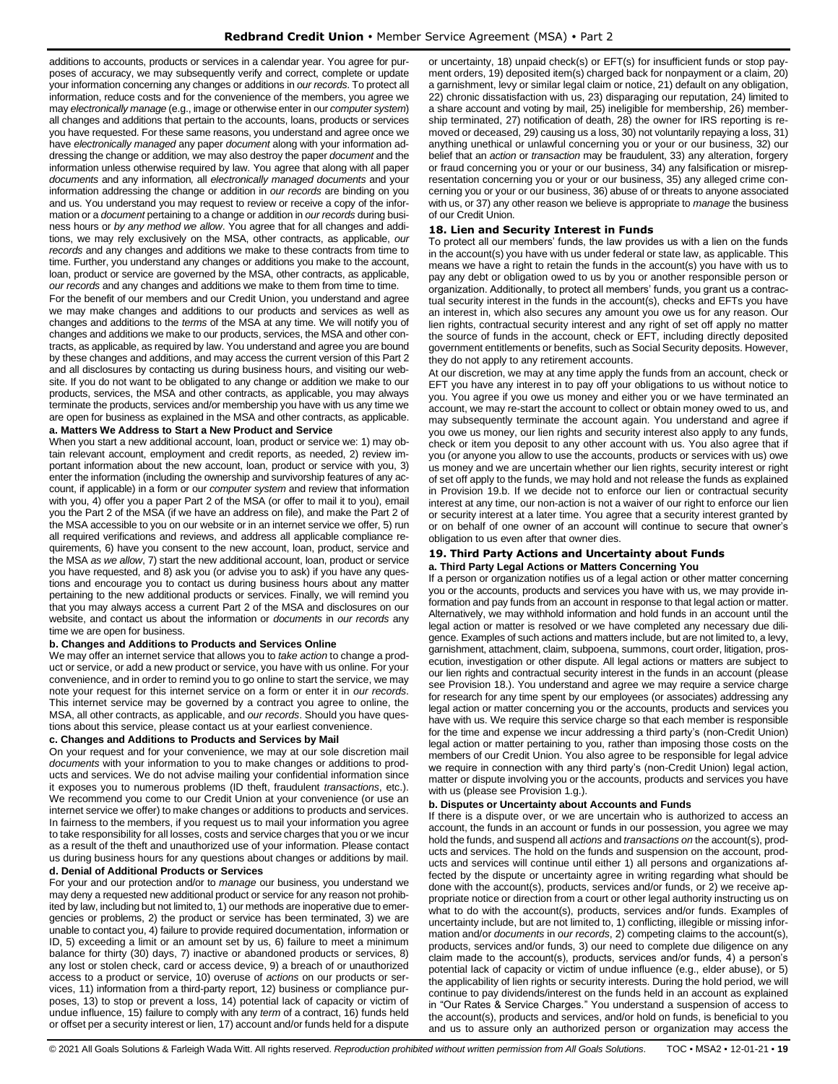additions to accounts, products or services in a calendar year. You agree for purposes of accuracy, we may subsequently verify and correct, complete or update your information concerning any changes or additions in *our records*. To protect all information, reduce costs and for the convenience of the members, you agree we may *electronically manage* (e.g., image or otherwise enter in our *computer system*) all changes and additions that pertain to the accounts, loans, products or services you have requested. For these same reasons, you understand and agree once we have *electronically managed* any paper *document* along with your information addressing the change or addition*,* we may also destroy the paper *document* and the information unless otherwise required by law. You agree that along with all paper *documents* and any information*,* all *electronically managed documents* and your information addressing the change or addition in *our records* are binding on you and us. You understand you may request to review or receive a copy of the information or a *document* pertaining to a change or addition in *our records* during business hours or *by any method we allow*. You agree that for all changes and additions, we may rely exclusively on the MSA, other contracts, as applicable, *our records* and any changes and additions we make to these contracts from time to time. Further, you understand any changes or additions you make to the account, loan, product or service are governed by the MSA, other contracts, as applicable, *our records* and any changes and additions we make to them from time to time.

For the benefit of our members and our Credit Union, you understand and agree we may make changes and additions to our products and services as well as changes and additions to the *terms* of the MSA at any time. We will notify you of changes and additions we make to our products, services, the MSA and other contracts, as applicable, as required by law. You understand and agree you are bound by these changes and additions, and may access the current version of this Part 2 and all disclosures by contacting us during business hours, and visiting our website. If you do not want to be obligated to any change or addition we make to our products, services, the MSA and other contracts, as applicable, you may always terminate the products, services and/or membership you have with us any time we are open for business as explained in the MSA and other contracts, as applicable.

# **a. Matters We Address to Start a New Product and Service**

When you start a new additional account, loan, product or service we: 1) may obtain relevant account, employment and credit reports, as needed, 2) review important information about the new account, loan, product or service with you, 3) enter the information (including the ownership and survivorship features of any account, if applicable) in a form or our *computer system* and review that information with you, 4) offer you a paper Part 2 of the MSA (or offer to mail it to you), email you the Part 2 of the MSA (if we have an address on file), and make the Part 2 of the MSA accessible to you on our website or in an internet service we offer, 5) run all required verifications and reviews, and address all applicable compliance requirements, 6) have you consent to the new account, loan, product, service and the MSA *as we allow*, 7) start the new additional account, loan, product or service you have requested, and 8) ask you (or advise you to ask) if you have any questions and encourage you to contact us during business hours about any matter pertaining to the new additional products or services. Finally, we will remind you that you may always access a current Part 2 of the MSA and disclosures on our website, and contact us about the information or *documents* in *our records* any time we are open for business.

#### **b. Changes and Additions to Products and Services Online**

We may offer an internet service that allows you to *take action* to change a product or service, or add a new product or service, you have with us online. For your convenience, and in order to remind you to go online to start the service, we may note your request for this internet service on a form or enter it in *our records*. This internet service may be governed by a contract you agree to online, the MSA, all other contracts, as applicable, and *our records*. Should you have questions about this service, please contact us at your earliest convenience.

#### **c. Changes and Additions to Products and Services by Mail**

On your request and for your convenience, we may at our sole discretion mail *documents* with your information to you to make changes or additions to products and services. We do not advise mailing your confidential information since it exposes you to numerous problems (ID theft, fraudulent *transactions*, etc.). We recommend you come to our Credit Union at your convenience (or use an internet service we offer) to make changes or additions to products and services. In fairness to the members, if you request us to mail your information you agree to take responsibility for all losses, costs and service charges that you or we incur as a result of the theft and unauthorized use of your information. Please contact us during business hours for any questions about changes or additions by mail.

# **d. Denial of Additional Products or Services**

For your and our protection and/or to *manage* our business, you understand we may deny a requested new additional product or service for any reason not prohibited by law, including but not limited to, 1) our methods are inoperative due to emergencies or problems, 2) the product or service has been terminated, 3) we are unable to contact you, 4) failure to provide required documentation, information or ID, 5) exceeding a limit or an amount set by us, 6) failure to meet a minimum balance for thirty (30) days, 7) inactive or abandoned products or services, 8) any lost or stolen check, card or access device, 9) a breach of or unauthorized access to a product or service, 10) overuse of *actions* on our products or services, 11) information from a third-party report, 12) business or compliance purposes, 13) to stop or prevent a loss, 14) potential lack of capacity or victim of undue influence, 15) failure to comply with any *term* of a contract, 16) funds held or offset per a security interest or lien, 17) account and/or funds held for a dispute

or uncertainty, 18) unpaid check(s) or EFT(s) for insufficient funds or stop payment orders, 19) deposited item(s) charged back for nonpayment or a claim, 20) a garnishment, levy or similar legal claim or notice, 21) default on any obligation, 22) chronic dissatisfaction with us, 23) disparaging our reputation, 24) limited to a share account and voting by mail, 25) ineligible for membership, 26) membership terminated, 27) notification of death, 28) the owner for IRS reporting is removed or deceased, 29) causing us a loss, 30) not voluntarily repaying a loss, 31) anything unethical or unlawful concerning you or your or our business, 32) our belief that an *action* or *transaction* may be fraudulent, 33) any alteration, forgery or fraud concerning you or your or our business, 34) any falsification or misrepresentation concerning you or your or our business, 35) any alleged crime concerning you or your or our business, 36) abuse of or threats to anyone associated with us, or 37) any other reason we believe is appropriate to *manage* the business of our Credit Union.

#### <span id="page-18-0"></span>**18. Lien and Security Interest in Funds**

To protect all our members' funds, the law provides us with a lien on the funds in the account(s) you have with us under federal or state law, as applicable. This means we have a right to retain the funds in the account(s) you have with us to pay any debt or obligation owed to us by you or another responsible person or organization. Additionally, to protect all members' funds, you grant us a contractual security interest in the funds in the account(s), checks and EFTs you have an interest in, which also secures any amount you owe us for any reason. Our lien rights, contractual security interest and any right of set off apply no matter the source of funds in the account, check or EFT, including directly deposited government entitlements or benefits, such as Social Security deposits. However, they do not apply to any retirement accounts.

At our discretion, we may at any time apply the funds from an account, check or EFT you have any interest in to pay off your obligations to us without notice to you. You agree if you owe us money and either you or we have terminated an account, we may re-start the account to collect or obtain money owed to us, and may subsequently terminate the account again. You understand and agree if you owe us money, our lien rights and security interest also apply to any funds, check or item you deposit to any other account with us. You also agree that if you (or anyone you allow to use the accounts, products or services with us) owe us money and we are uncertain whether our lien rights, security interest or right of set off apply to the funds, we may hold and not release the funds as explained in Provision 19.b. If we decide not to enforce our lien or contractual security interest at any time, our non-action is not a waiver of our right to enforce our lien or security interest at a later time. You agree that a security interest granted by or on behalf of one owner of an account will continue to secure that owner's obligation to us even after that owner dies.

# <span id="page-18-1"></span>**19. Third Party Actions and Uncertainty about Funds**

**a. Third Party Legal Actions or Matters Concerning You** 

If a person or organization notifies us of a legal action or other matter concerning you or the accounts, products and services you have with us, we may provide information and pay funds from an account in response to that legal action or matter. Alternatively, we may withhold information and hold funds in an account until the legal action or matter is resolved or we have completed any necessary due diligence. Examples of such actions and matters include, but are not limited to, a levy, garnishment, attachment, claim, subpoena, summons, court order, litigation, prosecution, investigation or other dispute. All legal actions or matters are subject to our lien rights and contractual security interest in the funds in an account (please see Provision 18.). You understand and agree we may require a service charge for research for any time spent by our employees (or associates) addressing any legal action or matter concerning you or the accounts, products and services you have with us. We require this service charge so that each member is responsible for the time and expense we incur addressing a third party's (non-Credit Union) legal action or matter pertaining to you, rather than imposing those costs on the members of our Credit Union. You also agree to be responsible for legal advice we require in connection with any third party's (non-Credit Union) legal action, matter or dispute involving you or the accounts, products and services you have with us (please see Provision 1.g.).

#### **b. Disputes or Uncertainty about Accounts and Funds**

If there is a dispute over, or we are uncertain who is authorized to access an account, the funds in an account or funds in our possession, you agree we may hold the funds, and suspend all *actions* and *transactions on* the account(s), products and services. The hold on the funds and suspension on the account, products and services will continue until either 1) all persons and organizations affected by the dispute or uncertainty agree in writing regarding what should be done with the account(s), products, services and/or funds, or 2) we receive appropriate notice or direction from a court or other legal authority instructing us on what to do with the account(s), products, services and/or funds. Examples of uncertainty include, but are not limited to, 1) conflicting, illegible or missing information and/or *documents* in *our records*, 2) competing claims to the account(s), products, services and/or funds, 3) our need to complete due diligence on any claim made to the account(s), products, services and/or funds, 4) a person's potential lack of capacity or victim of undue influence (e.g., elder abuse), or 5) the applicability of lien rights or security interests. During the hold period, we will continue to pay dividends/interest on the funds held in an account as explained in "Our Rates & Service Charges." You understand a suspension of access to the account(s), products and services, and/or hold on funds, is beneficial to you and us to assure only an authorized person or organization may access the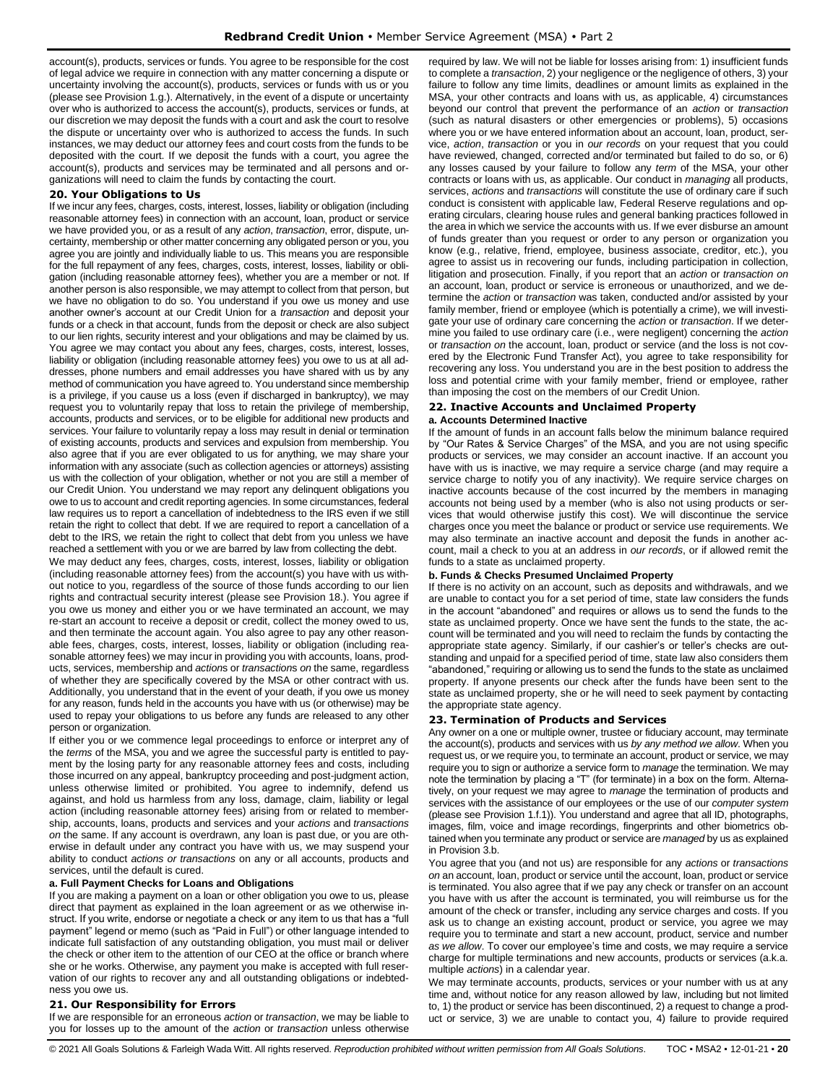account(s), products, services or funds. You agree to be responsible for the cost of legal advice we require in connection with any matter concerning a dispute or uncertainty involving the account(s), products, services or funds with us or you (please see Provision 1.g.). Alternatively, in the event of a dispute or uncertainty over who is authorized to access the account(s), products, services or funds, at our discretion we may deposit the funds with a court and ask the court to resolve the dispute or uncertainty over who is authorized to access the funds. In such instances, we may deduct our attorney fees and court costs from the funds to be deposited with the court. If we deposit the funds with a court, you agree the account(s), products and services may be terminated and all persons and organizations will need to claim the funds by contacting the court.

#### <span id="page-19-0"></span>**20. Your Obligations to Us**

If we incur any fees, charges, costs, interest, losses, liability or obligation (including reasonable attorney fees) in connection with an account, loan, product or service we have provided you, or as a result of any *action*, *transaction*, error, dispute, uncertainty, membership or other matter concerning any obligated person or you, you agree you are jointly and individually liable to us. This means you are responsible for the full repayment of any fees, charges, costs, interest, losses, liability or obligation (including reasonable attorney fees), whether you are a member or not. If another person is also responsible, we may attempt to collect from that person, but we have no obligation to do so. You understand if you owe us money and use another owner's account at our Credit Union for a *transaction* and deposit your funds or a check in that account, funds from the deposit or check are also subject to our lien rights, security interest and your obligations and may be claimed by us. You agree we may contact you about any fees, charges, costs, interest, losses, liability or obligation (including reasonable attorney fees) you owe to us at all addresses, phone numbers and email addresses you have shared with us by any method of communication you have agreed to. You understand since membership is a privilege, if you cause us a loss (even if discharged in bankruptcy), we may request you to voluntarily repay that loss to retain the privilege of membership, accounts, products and services, or to be eligible for additional new products and services. Your failure to voluntarily repay a loss may result in denial or termination of existing accounts, products and services and expulsion from membership. You also agree that if you are ever obligated to us for anything, we may share your information with any associate (such as collection agencies or attorneys) assisting us with the collection of your obligation, whether or not you are still a member of our Credit Union. You understand we may report any delinquent obligations you owe to us to account and credit reporting agencies. In some circumstances, federal law requires us to report a cancellation of indebtedness to the IRS even if we still retain the right to collect that debt. If we are required to report a cancellation of a debt to the IRS, we retain the right to collect that debt from you unless we have reached a settlement with you or we are barred by law from collecting the debt.

We may deduct any fees, charges, costs, interest, losses, liability or obligation (including reasonable attorney fees) from the account(s) you have with us without notice to you, regardless of the source of those funds according to our lien rights and contractual security interest (please see Provision 18.). You agree if you owe us money and either you or we have terminated an account, we may re-start an account to receive a deposit or credit, collect the money owed to us, and then terminate the account again. You also agree to pay any other reasonable fees, charges, costs, interest, losses, liability or obligation (including reasonable attorney fees) we may incur in providing you with accounts, loans, products, services, membership and *action*s or *transaction*s *on* the same, regardless of whether they are specifically covered by the MSA or other contract with us. Additionally, you understand that in the event of your death, if you owe us money for any reason, funds held in the accounts you have with us (or otherwise) may be used to repay your obligations to us before any funds are released to any other person or organization.

If either you or we commence legal proceedings to enforce or interpret any of the *terms* of the MSA, you and we agree the successful party is entitled to payment by the losing party for any reasonable attorney fees and costs, including those incurred on any appeal, bankruptcy proceeding and post-judgment action, unless otherwise limited or prohibited. You agree to indemnify, defend us against, and hold us harmless from any loss, damage, claim, liability or legal action (including reasonable attorney fees) arising from or related to membership, accounts, loans, products and services and your *actions* and *transactions on* the same. If any account is overdrawn, any loan is past due, or you are otherwise in default under any contract you have with us, we may suspend your ability to conduct *actions or transactions* on any or all accounts, products and services, until the default is cured.

# **a. Full Payment Checks for Loans and Obligations**

If you are making a payment on a loan or other obligation you owe to us, please direct that payment as explained in the loan agreement or as we otherwise instruct. If you write, endorse or negotiate a check or any item to us that has a "full payment" legend or memo (such as "Paid in Full") or other language intended to indicate full satisfaction of any outstanding obligation, you must mail or deliver the check or other item to the attention of our CEO at the office or branch where she or he works. Otherwise, any payment you make is accepted with full reservation of our rights to recover any and all outstanding obligations or indebtedness you owe us.

# <span id="page-19-1"></span>**21. Our Responsibility for Errors**

If we are responsible for an erroneous *action* or *transaction*, we may be liable to you for losses up to the amount of the *action* or *transaction* unless otherwise required by law. We will not be liable for losses arising from: 1) insufficient funds to complete a *transaction*, 2) your negligence or the negligence of others, 3) your failure to follow any time limits, deadlines or amount limits as explained in the MSA, your other contracts and loans with us, as applicable, 4) circumstances beyond our control that prevent the performance of an *action* or *transaction*  (such as natural disasters or other emergencies or problems), 5) occasions where you or we have entered information about an account, loan, product, service, *action*, *transaction* or you in *our records* on your request that you could have reviewed, changed, corrected and/or terminated but failed to do so, or 6) any losses caused by your failure to follow any *term* of the MSA, your other contracts or loans with us, as applicable. Our conduct in *managing* all products, services, *actions* and *transactions* will constitute the use of ordinary care if such conduct is consistent with applicable law, Federal Reserve regulations and operating circulars, clearing house rules and general banking practices followed in the area in which we service the accounts with us. If we ever disburse an amount of funds greater than you request or order to any person or organization you know (e.g., relative, friend, employee, business associate, creditor, etc.), you agree to assist us in recovering our funds, including participation in collection, litigation and prosecution. Finally, if you report that an *action* or *transaction on*  an account, loan, product or service is erroneous or unauthorized, and we determine the *action* or *transaction* was taken, conducted and/or assisted by your family member, friend or employee (which is potentially a crime), we will investigate your use of ordinary care concerning the *action* or *transaction*. If we determine you failed to use ordinary care (i.e., were negligent) concerning the *action* or *transaction on* the account, loan, product or service (and the loss is not covered by the Electronic Fund Transfer Act), you agree to take responsibility for recovering any loss. You understand you are in the best position to address the loss and potential crime with your family member, friend or employee, rather than imposing the cost on the members of our Credit Union.

#### <span id="page-19-2"></span>**22. Inactive Accounts and Unclaimed Property a. Accounts Determined Inactive**

If the amount of funds in an account falls below the minimum balance required by "Our Rates & Service Charges" of the MSA, and you are not using specific products or services, we may consider an account inactive. If an account you have with us is inactive, we may require a service charge (and may require a service charge to notify you of any inactivity). We require service charges on inactive accounts because of the cost incurred by the members in managing accounts not being used by a member (who is also not using products or services that would otherwise justify this cost). We will discontinue the service charges once you meet the balance or product or service use requirements. We may also terminate an inactive account and deposit the funds in another account, mail a check to you at an address in *our records*, or if allowed remit the funds to a state as unclaimed property.

#### **b. Funds & Checks Presumed Unclaimed Property**

If there is no activity on an account, such as deposits and withdrawals, and we are unable to contact you for a set period of time, state law considers the funds in the account "abandoned" and requires or allows us to send the funds to the state as unclaimed property. Once we have sent the funds to the state, the account will be terminated and you will need to reclaim the funds by contacting the appropriate state agency. Similarly, if our cashier's or teller's checks are outstanding and unpaid for a specified period of time, state law also considers them "abandoned," requiring or allowing us to send the funds to the state as unclaimed property. If anyone presents our check after the funds have been sent to the state as unclaimed property, she or he will need to seek payment by contacting the appropriate state agency.

### <span id="page-19-3"></span>**23. Termination of Products and Services**

Any owner on a one or multiple owner, trustee or fiduciary account, may terminate the account(s), products and services with us *by any method we allow*. When you request us, or we require you, to terminate an account, product or service, we may require you to sign or authorize a service form to *manage* the termination. We may note the termination by placing a "T" (for terminate) in a box on the form. Alternatively, on your request we may agree to *manage* the termination of products and services with the assistance of our employees or the use of our *computer system* (please see Provision 1.f.1)). You understand and agree that all ID, photographs, images, film, voice and image recordings, fingerprints and other biometrics obtained when you terminate any product or service are *managed* by us as explained in Provision 3.b.

You agree that you (and not us) are responsible for any *actions* or *transactions on* an account, loan, product or service until the account, loan, product or service is terminated. You also agree that if we pay any check or transfer on an account you have with us after the account is terminated, you will reimburse us for the amount of the check or transfer, including any service charges and costs. If you ask us to change an existing account, product or service, you agree we may require you to terminate and start a new account, product, service and number *as we allow*. To cover our employee's time and costs, we may require a service charge for multiple terminations and new accounts, products or services (a.k.a. multiple *actions*) in a calendar year.

We may terminate accounts, products, services or your number with us at any time and, without notice for any reason allowed by law, including but not limited to, 1) the product or service has been discontinued, 2) a request to change a product or service, 3) we are unable to contact you, 4) failure to provide required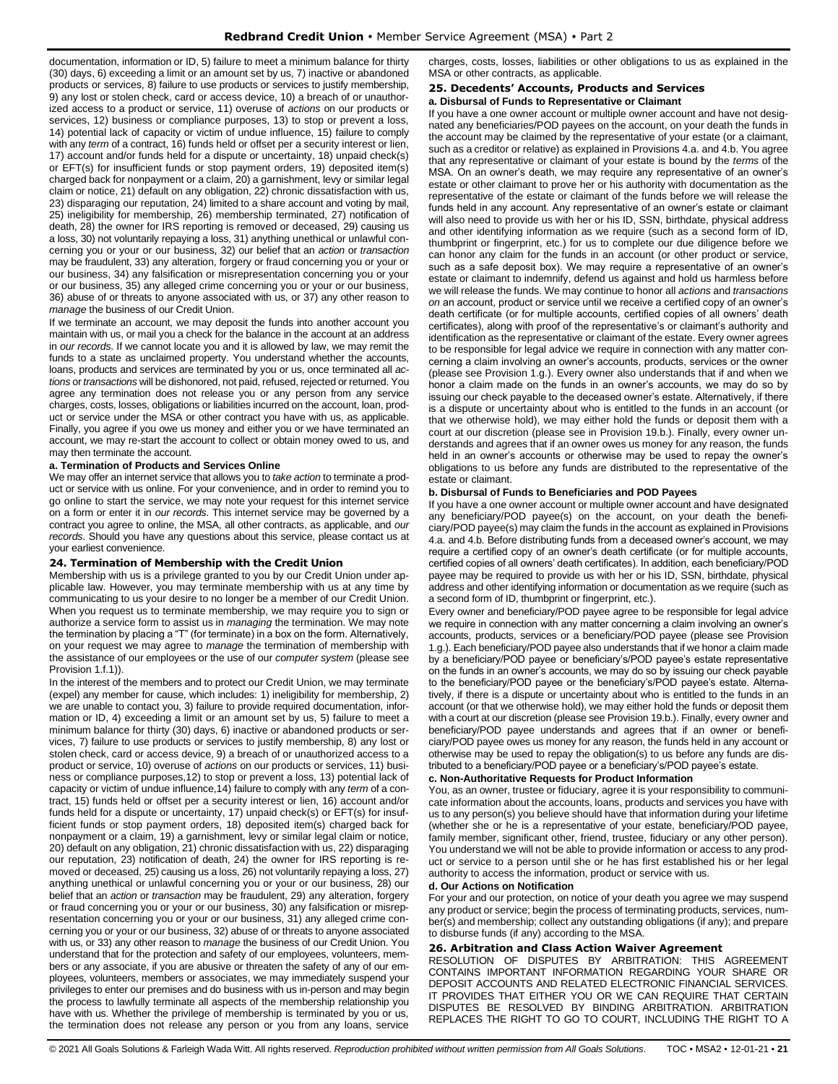documentation, information or ID, 5) failure to meet a minimum balance for thirty (30) days, 6) exceeding a limit or an amount set by us, 7) inactive or abandoned products or services, 8) failure to use products or services to justify membership, 9) any lost or stolen check, card or access device, 10) a breach of or unauthorized access to a product or service, 11) overuse of *actions* on our products or services, 12) business or compliance purposes, 13) to stop or prevent a loss, 14) potential lack of capacity or victim of undue influence, 15) failure to comply with any *term* of a contract, 16) funds held or offset per a security interest or lien, 17) account and/or funds held for a dispute or uncertainty, 18) unpaid check(s) or EFT(s) for insufficient funds or stop payment orders, 19) deposited item(s) charged back for nonpayment or a claim, 20) a garnishment, levy or similar legal claim or notice, 21) default on any obligation, 22) chronic dissatisfaction with us, 23) disparaging our reputation, 24) limited to a share account and voting by mail, 25) ineligibility for membership, 26) membership terminated, 27) notification of death, 28) the owner for IRS reporting is removed or deceased, 29) causing us a loss, 30) not voluntarily repaying a loss, 31) anything unethical or unlawful concerning you or your or our business, 32) our belief that an *action* or *transaction* may be fraudulent, 33) any alteration, forgery or fraud concerning you or your or our business, 34) any falsification or misrepresentation concerning you or your or our business, 35) any alleged crime concerning you or your or our business, 36) abuse of or threats to anyone associated with us, or 37) any other reason to *manage* the business of our Credit Union.

If we terminate an account, we may deposit the funds into another account you maintain with us, or mail you a check for the balance in the account at an address in *our records*. If we cannot locate you and it is allowed by law, we may remit the funds to a state as unclaimed property. You understand whether the accounts, loans, products and services are terminated by you or us, once terminated all *actions* or *transactions* will be dishonored, not paid, refused, rejected or returned. You agree any termination does not release you or any person from any service charges, costs, losses, obligations or liabilities incurred on the account, loan, product or service under the MSA or other contract you have with us, as applicable. Finally, you agree if you owe us money and either you or we have terminated an account, we may re-start the account to collect or obtain money owed to us, and may then terminate the account.

### **a. Termination of Products and Services Online**

We may offer an internet service that allows you to *take action* to terminate a product or service with us online. For your convenience, and in order to remind you to go online to start the service, we may note your request for this internet service on a form or enter it in *our records*. This internet service may be governed by a contract you agree to online, the MSA, all other contracts, as applicable, and *our records*. Should you have any questions about this service, please contact us at your earliest convenience.

#### <span id="page-20-0"></span>**24. Termination of Membership with the Credit Union**

Membership with us is a privilege granted to you by our Credit Union under applicable law. However, you may terminate membership with us at any time by communicating to us your desire to no longer be a member of our Credit Union. When you request us to terminate membership, we may require you to sign or authorize a service form to assist us in *managing* the termination. We may note the termination by placing a "T" (for terminate) in a box on the form. Alternatively, on your request we may agree to *manage* the termination of membership with the assistance of our employees or the use of our *computer system* (please see Provision 1.f.1)).

In the interest of the members and to protect our Credit Union, we may terminate (expel) any member for cause, which includes: 1) ineligibility for membership, 2) we are unable to contact you, 3) failure to provide required documentation, information or ID, 4) exceeding a limit or an amount set by us, 5) failure to meet a minimum balance for thirty (30) days, 6) inactive or abandoned products or services, 7) failure to use products or services to justify membership, 8) any lost or stolen check, card or access device, 9) a breach of or unauthorized access to a product or service, 10) overuse of *actions* on our products or services, 11) business or compliance purposes,12) to stop or prevent a loss, 13) potential lack of capacity or victim of undue influence,14) failure to comply with any *term* of a contract, 15) funds held or offset per a security interest or lien, 16) account and/or funds held for a dispute or uncertainty, 17) unpaid check(s) or EFT(s) for insufficient funds or stop payment orders, 18) deposited item(s) charged back for nonpayment or a claim, 19) a garnishment, levy or similar legal claim or notice, 20) default on any obligation, 21) chronic dissatisfaction with us, 22) disparaging our reputation, 23) notification of death, 24) the owner for IRS reporting is removed or deceased, 25) causing us a loss, 26) not voluntarily repaying a loss, 27) anything unethical or unlawful concerning you or your or our business, 28) our belief that an *action* or *transaction* may be fraudulent, 29) any alteration, forgery or fraud concerning you or your or our business, 30) any falsification or misrepresentation concerning you or your or our business, 31) any alleged crime concerning you or your or our business, 32) abuse of or threats to anyone associated with us, or 33) any other reason to *manage* the business of our Credit Union. You understand that for the protection and safety of our employees, volunteers, members or any associate, if you are abusive or threaten the safety of any of our employees, volunteers, members or associates, we may immediately suspend your privileges to enter our premises and do business with us in-person and may begin the process to lawfully terminate all aspects of the membership relationship you have with us. Whether the privilege of membership is terminated by you or us, the termination does not release any person or you from any loans, service

charges, costs, losses, liabilities or other obligations to us as explained in the MSA or other contracts, as applicable.

# <span id="page-20-1"></span>**25. Decedents' Accounts, Products and Services**

**a. Disbursal of Funds to Representative or Claimant** If you have a one owner account or multiple owner account and have not desig-

nated any beneficiaries/POD payees on the account, on your death the funds in the account may be claimed by the representative of your estate (or a claimant, such as a creditor or relative) as explained in Provisions 4.a. and 4.b. You agree that any representative or claimant of your estate is bound by the *terms* of the MSA. On an owner's death, we may require any representative of an owner's estate or other claimant to prove her or his authority with documentation as the representative of the estate or claimant of the funds before we will release the funds held in any account. Any representative of an owner's estate or claimant will also need to provide us with her or his ID, SSN, birthdate, physical address and other identifying information as we require (such as a second form of ID, thumbprint or fingerprint, etc.) for us to complete our due diligence before we can honor any claim for the funds in an account (or other product or service, such as a safe deposit box). We may require a representative of an owner's estate or claimant to indemnify, defend us against and hold us harmless before we will release the funds. We may continue to honor all *actions* and *transactions on* an account, product or service until we receive a certified copy of an owner's death certificate (or for multiple accounts, certified copies of all owners' death certificates), along with proof of the representative's or claimant's authority and identification as the representative or claimant of the estate. Every owner agrees to be responsible for legal advice we require in connection with any matter concerning a claim involving an owner's accounts, products, services or the owner (please see Provision 1.g.). Every owner also understands that if and when we honor a claim made on the funds in an owner's accounts, we may do so by issuing our check payable to the deceased owner's estate. Alternatively, if there is a dispute or uncertainty about who is entitled to the funds in an account (or that we otherwise hold), we may either hold the funds or deposit them with a court at our discretion (please see in Provision 19.b.). Finally, every owner understands and agrees that if an owner owes us money for any reason, the funds held in an owner's accounts or otherwise may be used to repay the owner's obligations to us before any funds are distributed to the representative of the estate or claimant.

#### **b. Disbursal of Funds to Beneficiaries and POD Payees**

If you have a one owner account or multiple owner account and have designated any beneficiary/POD payee(s) on the account, on your death the beneficiary/POD payee(s) may claim the funds in the account as explained in Provisions 4.a. and 4.b. Before distributing funds from a deceased owner's account, we may require a certified copy of an owner's death certificate (or for multiple accounts, certified copies of all owners' death certificates). In addition, each beneficiary/POD payee may be required to provide us with her or his ID, SSN, birthdate, physical address and other identifying information or documentation as we require (such as a second form of ID, thumbprint or fingerprint, etc.).

Every owner and beneficiary/POD payee agree to be responsible for legal advice we require in connection with any matter concerning a claim involving an owner's accounts, products, services or a beneficiary/POD payee (please see Provision 1.g.). Each beneficiary/POD payee also understands that if we honor a claim made by a beneficiary/POD payee or beneficiary's/POD payee's estate representative on the funds in an owner's accounts, we may do so by issuing our check payable to the beneficiary/POD payee or the beneficiary's/POD payee's estate. Alternatively, if there is a dispute or uncertainty about who is entitled to the funds in an account (or that we otherwise hold), we may either hold the funds or deposit them with a court at our discretion (please see Provision 19.b.). Finally, every owner and beneficiary/POD payee understands and agrees that if an owner or beneficiary/POD payee owes us money for any reason, the funds held in any account or otherwise may be used to repay the obligation(s) to us before any funds are distributed to a beneficiary/POD payee or a beneficiary's/POD payee's estate.

#### **c. Non-Authoritative Requests for Product Information**

You, as an owner, trustee or fiduciary, agree it is your responsibility to communicate information about the accounts, loans, products and services you have with us to any person(s) you believe should have that information during your lifetime (whether she or he is a representative of your estate, beneficiary/POD payee, family member, significant other, friend, trustee, fiduciary or any other person). You understand we will not be able to provide information or access to any product or service to a person until she or he has first established his or her legal authority to access the information, product or service with us.

# **d. Our Actions on Notification**

For your and our protection, on notice of your death you agree we may suspend any product or service; begin the process of terminating products, services, number(s) and membership; collect any outstanding obligations (if any); and prepare to disburse funds (if any) according to the MSA.

#### <span id="page-20-2"></span>**26. Arbitration and Class Action Waiver Agreement**

RESOLUTION OF DISPUTES BY ARBITRATION: THIS AGREEMENT CONTAINS IMPORTANT INFORMATION REGARDING YOUR SHARE OR DEPOSIT ACCOUNTS AND RELATED ELECTRONIC FINANCIAL SERVICES. IT PROVIDES THAT EITHER YOU OR WE CAN REQUIRE THAT CERTAIN DISPUTES BE RESOLVED BY BINDING ARBITRATION. ARBITRATION REPLACES THE RIGHT TO GO TO COURT, INCLUDING THE RIGHT TO A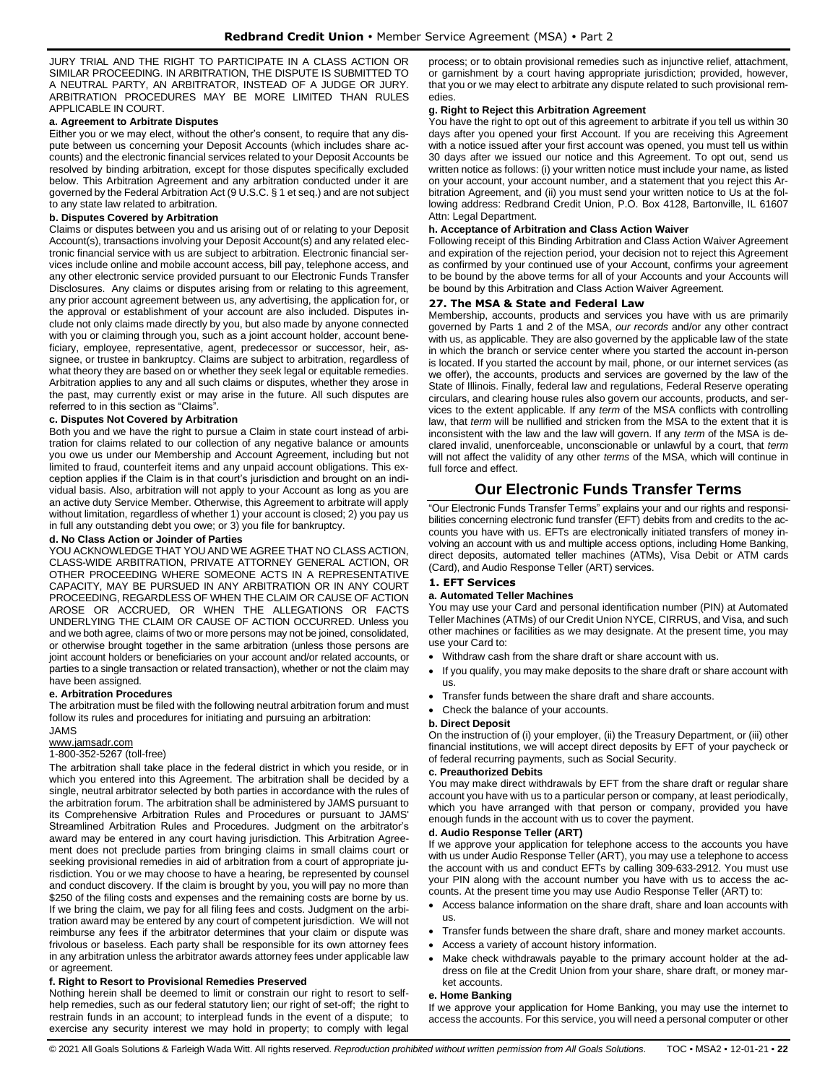JURY TRIAL AND THE RIGHT TO PARTICIPATE IN A CLASS ACTION OR SIMILAR PROCEEDING. IN ARBITRATION, THE DISPUTE IS SUBMITTED TO A NEUTRAL PARTY, AN ARBITRATOR, INSTEAD OF A JUDGE OR JURY. ARBITRATION PROCEDURES MAY BE MORE LIMITED THAN RULES APPLICABLE IN COURT.

### **a. Agreement to Arbitrate Disputes**

Either you or we may elect, without the other's consent, to require that any dispute between us concerning your Deposit Accounts (which includes share accounts) and the electronic financial services related to your Deposit Accounts be resolved by binding arbitration, except for those disputes specifically excluded below. This Arbitration Agreement and any arbitration conducted under it are governed by the Federal Arbitration Act (9 U.S.C. § 1 et seq.) and are not subject to any state law related to arbitration.

# **b. Disputes Covered by Arbitration**

Claims or disputes between you and us arising out of or relating to your Deposit Account(s), transactions involving your Deposit Account(s) and any related electronic financial service with us are subject to arbitration. Electronic financial services include online and mobile account access, bill pay, telephone access, and any other electronic service provided pursuant to our Electronic Funds Transfer Disclosures. Any claims or disputes arising from or relating to this agreement, any prior account agreement between us, any advertising, the application for, or the approval or establishment of your account are also included. Disputes include not only claims made directly by you, but also made by anyone connected with you or claiming through you, such as a joint account holder, account beneficiary, employee, representative, agent, predecessor or successor, heir, assignee, or trustee in bankruptcy. Claims are subject to arbitration, regardless of what theory they are based on or whether they seek legal or equitable remedies. Arbitration applies to any and all such claims or disputes, whether they arose in the past, may currently exist or may arise in the future. All such disputes are referred to in this section as "Claims".

# **c. Disputes Not Covered by Arbitration**

Both you and we have the right to pursue a Claim in state court instead of arbitration for claims related to our collection of any negative balance or amounts you owe us under our Membership and Account Agreement, including but not limited to fraud, counterfeit items and any unpaid account obligations. This exception applies if the Claim is in that court's jurisdiction and brought on an individual basis. Also, arbitration will not apply to your Account as long as you are an active duty Service Member. Otherwise, this Agreement to arbitrate will apply without limitation, regardless of whether 1) your account is closed; 2) you pay us in full any outstanding debt you owe; or 3) you file for bankruptcy.

#### **d. No Class Action or Joinder of Parties**

YOU ACKNOWLEDGE THAT YOU AND WE AGREE THAT NO CLASS ACTION, CLASS-WIDE ARBITRATION, PRIVATE ATTORNEY GENERAL ACTION, OR OTHER PROCEEDING WHERE SOMEONE ACTS IN A REPRESENTATIVE CAPACITY, MAY BE PURSUED IN ANY ARBITRATION OR IN ANY COURT PROCEEDING, REGARDLESS OF WHEN THE CLAIM OR CAUSE OF ACTION AROSE OR ACCRUED, OR WHEN THE ALLEGATIONS OR FACTS UNDERLYING THE CLAIM OR CAUSE OF ACTION OCCURRED. Unless you and we both agree, claims of two or more persons may not be joined, consolidated, or otherwise brought together in the same arbitration (unless those persons are joint account holders or beneficiaries on your account and/or related accounts, or parties to a single transaction or related transaction), whether or not the claim may have been assigned.

#### **e. Arbitration Procedures**

The arbitration must be filed with the following neutral arbitration forum and must follow its rules and procedures for initiating and pursuing an arbitration:

# JAMS

# [www.jamsadr.com](http://www.jamsadr.com/)

# 1-800-352-5267 (toll-free)

The arbitration shall take place in the federal district in which you reside, or in which you entered into this Agreement. The arbitration shall be decided by a single, neutral arbitrator selected by both parties in accordance with the rules of the arbitration forum. The arbitration shall be administered by JAMS pursuant to its Comprehensive Arbitration Rules and Procedures or pursuant to JAMS' Streamlined Arbitration Rules and Procedures. Judgment on the arbitrator's award may be entered in any court having jurisdiction. This Arbitration Agreement does not preclude parties from bringing claims in small claims court or seeking provisional remedies in aid of arbitration from a court of appropriate jurisdiction. You or we may choose to have a hearing, be represented by counsel and conduct discovery. If the claim is brought by you, you will pay no more than \$250 of the filing costs and expenses and the remaining costs are borne by us. If we bring the claim, we pay for all filing fees and costs. Judgment on the arbitration award may be entered by any court of competent jurisdiction. We will not reimburse any fees if the arbitrator determines that your claim or dispute was frivolous or baseless. Each party shall be responsible for its own attorney fees in any arbitration unless the arbitrator awards attorney fees under applicable law or agreement.

#### **f. Right to Resort to Provisional Remedies Preserved**

Nothing herein shall be deemed to limit or constrain our right to resort to selfhelp remedies, such as our federal statutory lien; our right of set-off; the right to restrain funds in an account; to interplead funds in the event of a dispute; to exercise any security interest we may hold in property; to comply with legal

process; or to obtain provisional remedies such as injunctive relief, attachment, or garnishment by a court having appropriate jurisdiction; provided, however, that you or we may elect to arbitrate any dispute related to such provisional remedies.

# **g. Right to Reject this Arbitration Agreement**

You have the right to opt out of this agreement to arbitrate if you tell us within 30 days after you opened your first Account. If you are receiving this Agreement with a notice issued after your first account was opened, you must tell us within 30 days after we issued our notice and this Agreement. To opt out, send us written notice as follows: (i) your written notice must include your name, as listed on your account, your account number, and a statement that you reject this Arbitration Agreement, and (ii) you must send your written notice to Us at the following address: Redbrand Credit Union, P.O. Box 4128, Bartonville, IL 61607 Attn: Legal Department.

#### **h. Acceptance of Arbitration and Class Action Waiver**

Following receipt of this Binding Arbitration and Class Action Waiver Agreement and expiration of the rejection period, your decision not to reject this Agreement as confirmed by your continued use of your Account, confirms your agreement to be bound by the above terms for all of your Accounts and your Accounts will be bound by this Arbitration and Class Action Waiver Agreement.

# <span id="page-21-0"></span>**27. The MSA & State and Federal Law**

Membership, accounts, products and services you have with us are primarily governed by Parts 1 and 2 of the MSA, *our records* and/or any other contract with us, as applicable. They are also governed by the applicable law of the state in which the branch or service center where you started the account in-person is located. If you started the account by mail, phone, or our internet services (as we offer), the accounts, products and services are governed by the law of the State of Illinois. Finally, federal law and regulations, Federal Reserve operating circulars, and clearing house rules also govern our accounts, products, and services to the extent applicable. If any *term* of the MSA conflicts with controlling law, that *term* will be nullified and stricken from the MSA to the extent that it is inconsistent with the law and the law will govern. If any *term* of the MSA is declared invalid, unenforceable, unconscionable or unlawful by a court, that *term* will not affect the validity of any other *terms* of the MSA, which will continue in full force and effect.

# **Our Electronic Funds Transfer Terms**

<span id="page-21-1"></span>"Our Electronic Funds Transfer Terms" explains your and our rights and responsibilities concerning electronic fund transfer (EFT) debits from and credits to the accounts you have with us. EFTs are electronically initiated transfers of money involving an account with us and multiple access options, including Home Banking, direct deposits, automated teller machines (ATMs), Visa Debit or ATM cards (Card), and Audio Response Teller (ART) services.

# <span id="page-21-2"></span>**1. EFT Services**

#### **a. Automated Teller Machines**

You may use your Card and personal identification number (PIN) at Automated Teller Machines (ATMs) of our Credit Union NYCE, CIRRUS, and Visa, and such other machines or facilities as we may designate. At the present time, you may use your Card to:

- Withdraw cash from the share draft or share account with us.
- If you qualify, you may make deposits to the share draft or share account with us.
- Transfer funds between the share draft and share accounts.
- Check the balance of your accounts.

#### **b. Direct Deposit**

On the instruction of (i) your employer, (ii) the Treasury Department, or (iii) other financial institutions, we will accept direct deposits by EFT of your paycheck or of federal recurring payments, such as Social Security.

#### **c. Preauthorized Debits**

You may make direct withdrawals by EFT from the share draft or regular share account you have with us to a particular person or company, at least periodically, which you have arranged with that person or company, provided you have enough funds in the account with us to cover the payment.

#### **d. Audio Response Teller (ART)**

If we approve your application for telephone access to the accounts you have with us under Audio Response Teller (ART), you may use a telephone to access the account with us and conduct EFTs by calling 309-633-2912. You must use your PIN along with the account number you have with us to access the accounts. At the present time you may use Audio Response Teller (ART) to:

- Access balance information on the share draft, share and loan accounts with us.
- Transfer funds between the share draft, share and money market accounts.
- Access a variety of account history information.
- Make check withdrawals payable to the primary account holder at the address on file at the Credit Union from your share, share draft, or money market accounts.

#### **e. Home Banking**

If we approve your application for Home Banking, you may use the internet to access the accounts. For this service, you will need a personal computer or other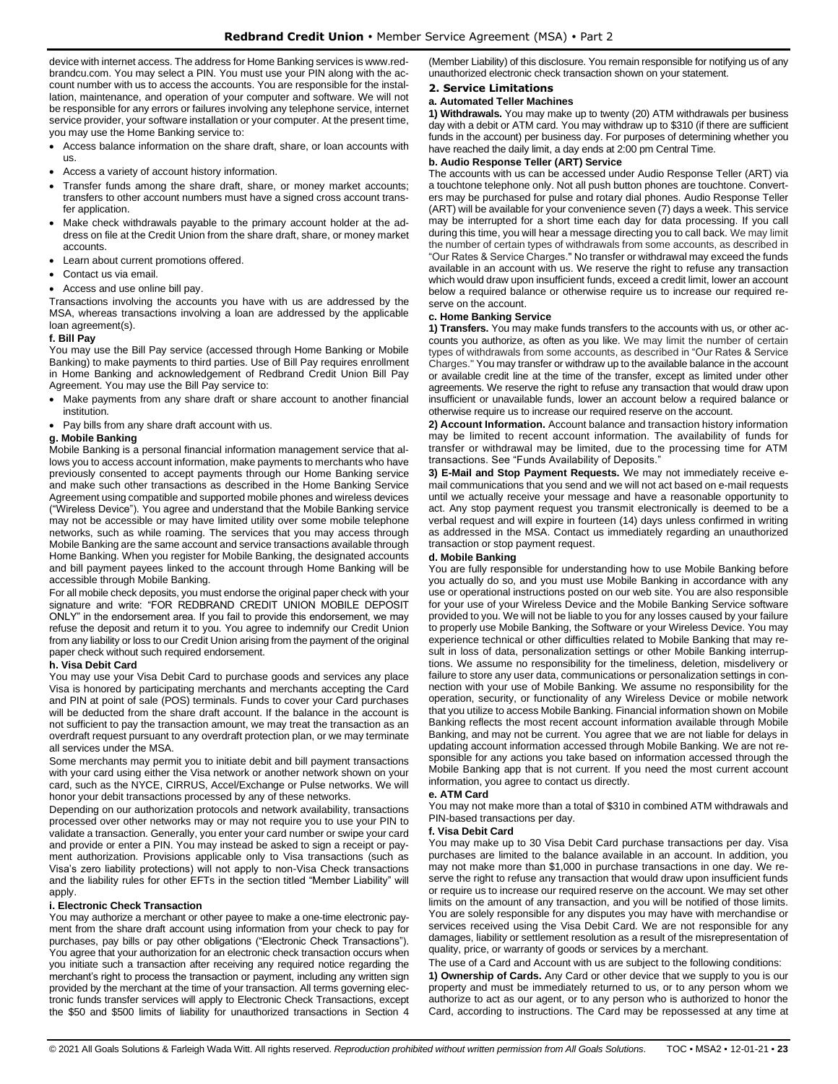device with internet access. The address for Home Banking services is www.redbrandcu.com. You may select a PIN. You must use your PIN along with the account number with us to access the accounts. You are responsible for the installation, maintenance, and operation of your computer and software. We will not be responsible for any errors or failures involving any telephone service, internet service provider, your software installation or your computer. At the present time, you may use the Home Banking service to:

- Access balance information on the share draft, share, or loan accounts with us.
- Access a variety of account history information.
- Transfer funds among the share draft, share, or money market accounts; transfers to other account numbers must have a signed cross account transfer application.
- Make check withdrawals payable to the primary account holder at the address on file at the Credit Union from the share draft, share, or money market accounts.
- Learn about current promotions offered.
- Contact us via email.
- Access and use online bill pay.

Transactions involving the accounts you have with us are addressed by the MSA, whereas transactions involving a loan are addressed by the applicable loan agreement(s).

#### **f. Bill Pay**

You may use the Bill Pay service (accessed through Home Banking or Mobile Banking) to make payments to third parties. Use of Bill Pay requires enrollment in Home Banking and acknowledgement of Redbrand Credit Union Bill Pay Agreement. You may use the Bill Pay service to:

- Make payments from any share draft or share account to another financial institution.
- Pay bills from any share draft account with us.

#### **g. Mobile Banking**

Mobile Banking is a personal financial information management service that allows you to access account information, make payments to merchants who have previously consented to accept payments through our Home Banking service and make such other transactions as described in the Home Banking Service Agreement using compatible and supported mobile phones and wireless devices ("Wireless Device"). You agree and understand that the Mobile Banking service may not be accessible or may have limited utility over some mobile telephone networks, such as while roaming. The services that you may access through Mobile Banking are the same account and service transactions available through Home Banking. When you register for Mobile Banking, the designated accounts and bill payment payees linked to the account through Home Banking will be accessible through Mobile Banking.

For all mobile check deposits, you must endorse the original paper check with your signature and write: "FOR REDBRAND CREDIT UNION MOBILE DEPOSIT ONLY" in the endorsement area. If you fail to provide this endorsement, we may refuse the deposit and return it to you. You agree to indemnify our Credit Union from any liability or loss to our Credit Union arising from the payment of the original paper check without such required endorsement.

#### **h. Visa Debit Card**

You may use your Visa Debit Card to purchase goods and services any place Visa is honored by participating merchants and merchants accepting the Card and PIN at point of sale (POS) terminals. Funds to cover your Card purchases will be deducted from the share draft account. If the balance in the account is not sufficient to pay the transaction amount, we may treat the transaction as an overdraft request pursuant to any overdraft protection plan, or we may terminate all services under the MSA.

Some merchants may permit you to initiate debit and bill payment transactions with your card using either the Visa network or another network shown on your card, such as the NYCE, CIRRUS, Accel/Exchange or Pulse networks. We will honor your debit transactions processed by any of these networks.

Depending on our authorization protocols and network availability, transactions processed over other networks may or may not require you to use your PIN to validate a transaction. Generally, you enter your card number or swipe your card and provide or enter a PIN. You may instead be asked to sign a receipt or payment authorization. Provisions applicable only to Visa transactions (such as Visa's zero liability protections) will not apply to non-Visa Check transactions and the liability rules for other EFTs in the section titled "Member Liability" will apply.

#### **i. Electronic Check Transaction**

You may authorize a merchant or other payee to make a one-time electronic payment from the share draft account using information from your check to pay for purchases, pay bills or pay other obligations ("Electronic Check Transactions"). You agree that your authorization for an electronic check transaction occurs when you initiate such a transaction after receiving any required notice regarding the merchant's right to process the transaction or payment, including any written sign provided by the merchant at the time of your transaction. All terms governing electronic funds transfer services will apply to Electronic Check Transactions, except the \$50 and \$500 limits of liability for unauthorized transactions in Section 4 (Member Liability) of this disclosure. You remain responsible for notifying us of any unauthorized electronic check transaction shown on your statement.

#### <span id="page-22-0"></span>**2. Service Limitations**

#### **a. Automated Teller Machines**

**1) Withdrawals.** You may make up to twenty (20) ATM withdrawals per business day with a debit or ATM card. You may withdraw up to \$310 (if there are sufficient funds in the account) per business day. For purposes of determining whether you have reached the daily limit, a day ends at 2:00 pm Central Time.

#### **b. Audio Response Teller (ART) Service**

The accounts with us can be accessed under Audio Response Teller (ART) via a touchtone telephone only. Not all push button phones are touchtone. Converters may be purchased for pulse and rotary dial phones. Audio Response Teller (ART) will be available for your convenience seven (7) days a week. This service may be interrupted for a short time each day for data processing. If you call during this time, you will hear a message directing you to call back. We may limit the number of certain types of withdrawals from some accounts, as described in "Our Rates & Service Charges." No transfer or withdrawal may exceed the funds available in an account with us. We reserve the right to refuse any transaction which would draw upon insufficient funds, exceed a credit limit, lower an account below a required balance or otherwise require us to increase our required reserve on the account.

#### **c. Home Banking Service**

**1) Transfers.** You may make funds transfers to the accounts with us, or other accounts you authorize, as often as you like. We may limit the number of certain types of withdrawals from some accounts, as described in "Our Rates & Service Charges." You may transfer or withdraw up to the available balance in the account or available credit line at the time of the transfer, except as limited under other agreements. We reserve the right to refuse any transaction that would draw upon insufficient or unavailable funds, lower an account below a required balance or otherwise require us to increase our required reserve on the account.

**2) Account Information.** Account balance and transaction history information may be limited to recent account information. The availability of funds for transfer or withdrawal may be limited, due to the processing time for ATM transactions. See "Funds Availability of Deposits."

**3) E-Mail and Stop Payment Requests.** We may not immediately receive email communications that you send and we will not act based on e-mail requests until we actually receive your message and have a reasonable opportunity to act. Any stop payment request you transmit electronically is deemed to be a verbal request and will expire in fourteen (14) days unless confirmed in writing as addressed in the MSA. Contact us immediately regarding an unauthorized transaction or stop payment request.

#### **d. Mobile Banking**

You are fully responsible for understanding how to use Mobile Banking before you actually do so, and you must use Mobile Banking in accordance with any use or operational instructions posted on our web site. You are also responsible for your use of your Wireless Device and the Mobile Banking Service software provided to you. We will not be liable to you for any losses caused by your failure to properly use Mobile Banking, the Software or your Wireless Device. You may experience technical or other difficulties related to Mobile Banking that may result in loss of data, personalization settings or other Mobile Banking interruptions. We assume no responsibility for the timeliness, deletion, misdelivery or failure to store any user data, communications or personalization settings in connection with your use of Mobile Banking. We assume no responsibility for the operation, security, or functionality of any Wireless Device or mobile network that you utilize to access Mobile Banking. Financial information shown on Mobile Banking reflects the most recent account information available through Mobile Banking, and may not be current. You agree that we are not liable for delays in updating account information accessed through Mobile Banking. We are not responsible for any actions you take based on information accessed through the Mobile Banking app that is not current. If you need the most current account information, you agree to contact us directly.

#### **e. ATM Card**

You may not make more than a total of \$310 in combined ATM withdrawals and PIN-based transactions per day.

#### **f. Visa Debit Card**

You may make up to 30 Visa Debit Card purchase transactions per day. Visa purchases are limited to the balance available in an account. In addition, you may not make more than \$1,000 in purchase transactions in one day. We reserve the right to refuse any transaction that would draw upon insufficient funds or require us to increase our required reserve on the account. We may set other limits on the amount of any transaction, and you will be notified of those limits. You are solely responsible for any disputes you may have with merchandise or services received using the Visa Debit Card. We are not responsible for any damages, liability or settlement resolution as a result of the misrepresentation of quality, price, or warranty of goods or services by a merchant.

The use of a Card and Account with us are subject to the following conditions:

**1) Ownership of Cards.** Any Card or other device that we supply to you is our property and must be immediately returned to us, or to any person whom we authorize to act as our agent, or to any person who is authorized to honor the Card, according to instructions. The Card may be repossessed at any time at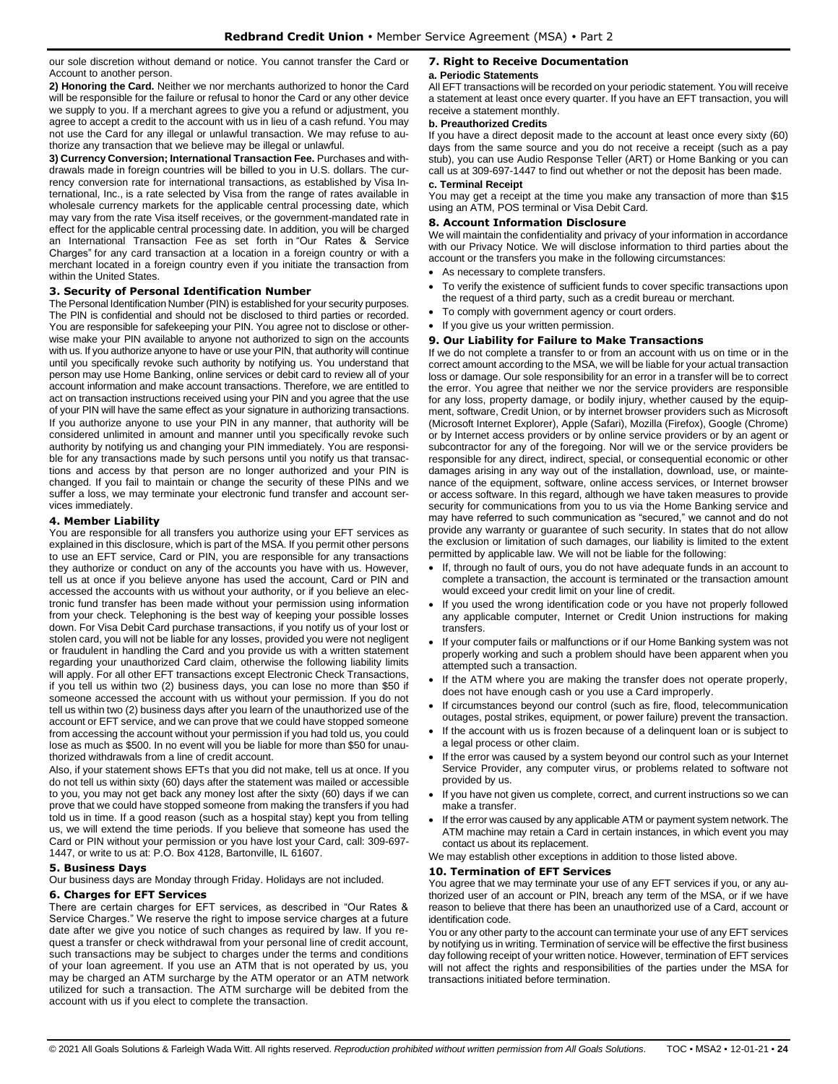our sole discretion without demand or notice. You cannot transfer the Card or Account to another person.

**2) Honoring the Card.** Neither we nor merchants authorized to honor the Card will be responsible for the failure or refusal to honor the Card or any other device we supply to you. If a merchant agrees to give you a refund or adjustment, you agree to accept a credit to the account with us in lieu of a cash refund. You may not use the Card for any illegal or unlawful transaction. We may refuse to authorize any transaction that we believe may be illegal or unlawful.

**3) Currency Conversion; International Transaction Fee.** Purchases and withdrawals made in foreign countries will be billed to you in U.S. dollars. The currency conversion rate for international transactions, as established by Visa International, Inc., is a rate selected by Visa from the range of rates available in wholesale currency markets for the applicable central processing date, which may vary from the rate Visa itself receives, or the government-mandated rate in effect for the applicable central processing date. In addition, you will be charged an International Transaction Fee as set forth in "Our Rates & Service Charges" for any card transaction at a location in a foreign country or with a merchant located in a foreign country even if you initiate the transaction from within the United States.

#### <span id="page-23-0"></span>**3. Security of Personal Identification Number**

The Personal Identification Number (PIN) is established for your security purposes. The PIN is confidential and should not be disclosed to third parties or recorded. You are responsible for safekeeping your PIN. You agree not to disclose or otherwise make your PIN available to anyone not authorized to sign on the accounts with us. If you authorize anyone to have or use your PIN, that authority will continue until you specifically revoke such authority by notifying us. You understand that person may use Home Banking, online services or debit card to review all of your account information and make account transactions. Therefore, we are entitled to act on transaction instructions received using your PIN and you agree that the use of your PIN will have the same effect as your signature in authorizing transactions. If you authorize anyone to use your PIN in any manner, that authority will be considered unlimited in amount and manner until you specifically revoke such authority by notifying us and changing your PIN immediately. You are responsible for any transactions made by such persons until you notify us that transactions and access by that person are no longer authorized and your PIN is changed. If you fail to maintain or change the security of these PINs and we suffer a loss, we may terminate your electronic fund transfer and account services immediately.

#### <span id="page-23-1"></span>**4. Member Liability**

You are responsible for all transfers you authorize using your EFT services as explained in this disclosure, which is part of the MSA. If you permit other persons to use an EFT service, Card or PIN, you are responsible for any transactions they authorize or conduct on any of the accounts you have with us. However, tell us at once if you believe anyone has used the account, Card or PIN and accessed the accounts with us without your authority, or if you believe an electronic fund transfer has been made without your permission using information from your check. Telephoning is the best way of keeping your possible losses down. For Visa Debit Card purchase transactions, if you notify us of your lost or stolen card, you will not be liable for any losses, provided you were not negligent or fraudulent in handling the Card and you provide us with a written statement regarding your unauthorized Card claim, otherwise the following liability limits will apply. For all other EFT transactions except Electronic Check Transactions, if you tell us within two (2) business days, you can lose no more than \$50 if someone accessed the account with us without your permission. If you do not tell us within two (2) business days after you learn of the unauthorized use of the account or EFT service, and we can prove that we could have stopped someone from accessing the account without your permission if you had told us, you could lose as much as \$500. In no event will you be liable for more than \$50 for unauthorized withdrawals from a line of credit account.

Also, if your statement shows EFTs that you did not make, tell us at once. If you do not tell us within sixty (60) days after the statement was mailed or accessible to you, you may not get back any money lost after the sixty (60) days if we can prove that we could have stopped someone from making the transfers if you had told us in time. If a good reason (such as a hospital stay) kept you from telling us, we will extend the time periods. If you believe that someone has used the Card or PIN without your permission or you have lost your Card, call: 309-697- 1447, or write to us at: P.O. Box 4128, Bartonville, IL 61607.

#### <span id="page-23-2"></span>**5. Business Days**

Our business days are Monday through Friday. Holidays are not included.

#### <span id="page-23-3"></span>**6. Charges for EFT Services**

There are certain charges for EFT services, as described in "Our Rates & Service Charges." We reserve the right to impose service charges at a future date after we give you notice of such changes as required by law. If you request a transfer or check withdrawal from your personal line of credit account, such transactions may be subject to charges under the terms and conditions of your loan agreement. If you use an ATM that is not operated by us, you may be charged an ATM surcharge by the ATM operator or an ATM network utilized for such a transaction. The ATM surcharge will be debited from the account with us if you elect to complete the transaction.

#### <span id="page-23-4"></span>**7. Right to Receive Documentation a. Periodic Statements**

All EFT transactions will be recorded on your periodic statement. You will receive a statement at least once every quarter. If you have an EFT transaction, you will receive a statement monthly.

#### **b. Preauthorized Credits**

If you have a direct deposit made to the account at least once every sixty (60) days from the same source and you do not receive a receipt (such as a pay stub), you can use Audio Response Teller (ART) or Home Banking or you can call us at 309-697-1447 to find out whether or not the deposit has been made.

#### **c. Terminal Receipt**

You may get a receipt at the time you make any transaction of more than \$15 using an ATM, POS terminal or Visa Debit Card.

# <span id="page-23-5"></span>**8. Account Information Disclosure**

We will maintain the confidentiality and privacy of your information in accordance with our Privacy Notice. We will disclose information to third parties about the account or the transfers you make in the following circumstances:

- As necessary to complete transfers.
- To verify the existence of sufficient funds to cover specific transactions upon the request of a third party, such as a credit bureau or merchant.
- To comply with government agency or court orders.
- If you give us your written permission.

# <span id="page-23-6"></span>**9. Our Liability for Failure to Make Transactions**

If we do not complete a transfer to or from an account with us on time or in the correct amount according to the MSA, we will be liable for your actual transaction loss or damage. Our sole responsibility for an error in a transfer will be to correct the error. You agree that neither we nor the service providers are responsible for any loss, property damage, or bodily injury, whether caused by the equipment, software, Credit Union, or by internet browser providers such as Microsoft (Microsoft Internet Explorer), Apple (Safari), Mozilla (Firefox), Google (Chrome) or by Internet access providers or by online service providers or by an agent or subcontractor for any of the foregoing. Nor will we or the service providers be responsible for any direct, indirect, special, or consequential economic or other damages arising in any way out of the installation, download, use, or maintenance of the equipment, software, online access services, or Internet browser or access software. In this regard, although we have taken measures to provide security for communications from you to us via the Home Banking service and may have referred to such communication as "secured," we cannot and do not provide any warranty or guarantee of such security. In states that do not allow the exclusion or limitation of such damages, our liability is limited to the extent permitted by applicable law. We will not be liable for the following:

- If, through no fault of ours, you do not have adequate funds in an account to complete a transaction, the account is terminated or the transaction amount would exceed your credit limit on your line of credit.
- If you used the wrong identification code or you have not properly followed any applicable computer, Internet or Credit Union instructions for making transfers.
- If your computer fails or malfunctions or if our Home Banking system was not properly working and such a problem should have been apparent when you attempted such a transaction.
- If the ATM where you are making the transfer does not operate properly, does not have enough cash or you use a Card improperly.
- If circumstances beyond our control (such as fire, flood, telecommunication outages, postal strikes, equipment, or power failure) prevent the transaction.
- If the account with us is frozen because of a delinquent loan or is subject to a legal process or other claim.
- If the error was caused by a system beyond our control such as your Internet Service Provider, any computer virus, or problems related to software not provided by us.
- If you have not given us complete, correct, and current instructions so we can make a transfer.
- If the error was caused by any applicable ATM or payment system network. The ATM machine may retain a Card in certain instances, in which event you may contact us about its replacement.
- We may establish other exceptions in addition to those listed above.

### <span id="page-23-7"></span>**10. Termination of EFT Services**

You agree that we may terminate your use of any EFT services if you, or any authorized user of an account or PIN, breach any term of the MSA, or if we have reason to believe that there has been an unauthorized use of a Card, account or identification code.

You or any other party to the account can terminate your use of any EFT services by notifying us in writing. Termination of service will be effective the first business day following receipt of your written notice. However, termination of EFT services will not affect the rights and responsibilities of the parties under the MSA for transactions initiated before termination.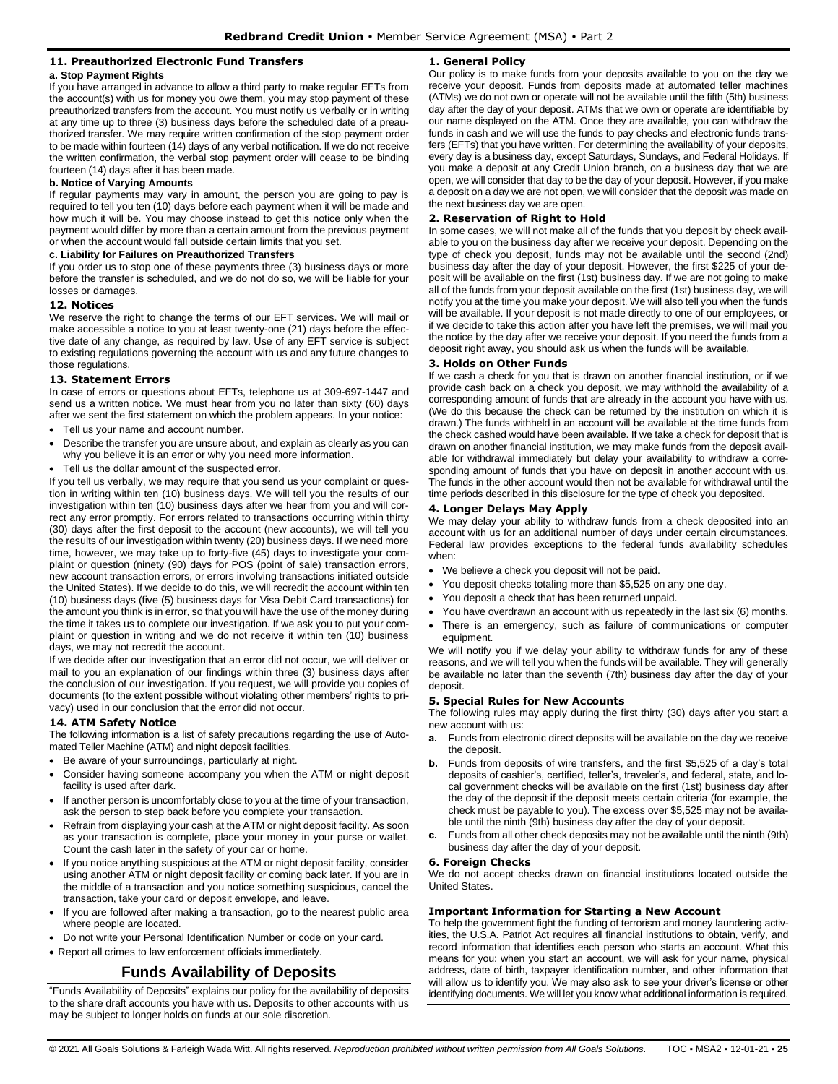# <span id="page-24-0"></span>**11. Preauthorized Electronic Fund Transfers**

#### **a. Stop Payment Rights**

If you have arranged in advance to allow a third party to make regular EFTs from the account(s) with us for money you owe them, you may stop payment of these preauthorized transfers from the account. You must notify us verbally or in writing at any time up to three (3) business days before the scheduled date of a preauthorized transfer. We may require written confirmation of the stop payment order to be made within fourteen (14) days of any verbal notification. If we do not receive the written confirmation, the verbal stop payment order will cease to be binding fourteen (14) days after it has been made.

#### **b. Notice of Varying Amounts**

If regular payments may vary in amount, the person you are going to pay is required to tell you ten (10) days before each payment when it will be made and how much it will be. You may choose instead to get this notice only when the payment would differ by more than a certain amount from the previous payment or when the account would fall outside certain limits that you set.

#### **c. Liability for Failures on Preauthorized Transfers**

If you order us to stop one of these payments three (3) business days or more before the transfer is scheduled, and we do not do so, we will be liable for your losses or damages.

#### <span id="page-24-1"></span>**12. Notices**

We reserve the right to change the terms of our EFT services. We will mail or make accessible a notice to you at least twenty-one (21) days before the effective date of any change, as required by law. Use of any EFT service is subject to existing regulations governing the account with us and any future changes to those regulations.

#### <span id="page-24-2"></span>**13. Statement Errors**

In case of errors or questions about EFTs, telephone us at 309-697-1447 and send us a written notice. We must hear from you no later than sixty (60) days after we sent the first statement on which the problem appears. In your notice:

- Tell us your name and account number.
- Describe the transfer you are unsure about, and explain as clearly as you can why you believe it is an error or why you need more information.
- Tell us the dollar amount of the suspected error.

If you tell us verbally, we may require that you send us your complaint or question in writing within ten (10) business days. We will tell you the results of our investigation within ten (10) business days after we hear from you and will correct any error promptly. For errors related to transactions occurring within thirty (30) days after the first deposit to the account (new accounts), we will tell you the results of our investigation within twenty (20) business days. If we need more time, however, we may take up to forty-five (45) days to investigate your complaint or question (ninety (90) days for POS (point of sale) transaction errors, new account transaction errors, or errors involving transactions initiated outside the United States). If we decide to do this, we will recredit the account within ten (10) business days (five (5) business days for Visa Debit Card transactions) for the amount you think is in error, so that you will have the use of the money during the time it takes us to complete our investigation. If we ask you to put your complaint or question in writing and we do not receive it within ten (10) business days, we may not recredit the account.

If we decide after our investigation that an error did not occur, we will deliver or mail to you an explanation of our findings within three (3) business days after the conclusion of our investigation. If you request, we will provide you copies of documents (to the extent possible without violating other members' rights to privacy) used in our conclusion that the error did not occur.

#### <span id="page-24-3"></span>**14. ATM Safety Notice**

The following information is a list of safety precautions regarding the use of Automated Teller Machine (ATM) and night deposit facilities.

- Be aware of your surroundings, particularly at night.
- Consider having someone accompany you when the ATM or night deposit facility is used after dark.
- If another person is uncomfortably close to you at the time of your transaction, ask the person to step back before you complete your transaction.
- Refrain from displaying your cash at the ATM or night deposit facility. As soon as your transaction is complete, place your money in your purse or wallet. Count the cash later in the safety of your car or home.
- If you notice anything suspicious at the ATM or night deposit facility, consider using another ATM or night deposit facility or coming back later. If you are in the middle of a transaction and you notice something suspicious, cancel the transaction, take your card or deposit envelope, and leave.
- If you are followed after making a transaction, go to the nearest public area where people are located.
- Do not write your Personal Identification Number or code on your card.
- <span id="page-24-4"></span>• Report all crimes to law enforcement officials immediately.

# **Funds Availability of Deposits**

"Funds Availability of Deposits" explains our policy for the availability of deposits to the share draft accounts you have with us. Deposits to other accounts with us may be subject to longer holds on funds at our sole discretion.

# <span id="page-24-5"></span>**1. General Policy**

Our policy is to make funds from your deposits available to you on the day we receive your deposit. Funds from deposits made at automated teller machines (ATMs) we do not own or operate will not be available until the fifth (5th) business day after the day of your deposit. ATMs that we own or operate are identifiable by our name displayed on the ATM. Once they are available, you can withdraw the funds in cash and we will use the funds to pay checks and electronic funds transfers (EFTs) that you have written. For determining the availability of your deposits, every day is a business day, except Saturdays, Sundays, and Federal Holidays. If you make a deposit at any Credit Union branch, on a business day that we are open, we will consider that day to be the day of your deposit. However, if you make a deposit on a day we are not open, we will consider that the deposit was made on the next business day we are open.

# <span id="page-24-6"></span>**2. Reservation of Right to Hold**

In some cases, we will not make all of the funds that you deposit by check available to you on the business day after we receive your deposit. Depending on the type of check you deposit, funds may not be available until the second (2nd) business day after the day of your deposit. However, the first \$225 of your deposit will be available on the first (1st) business day. If we are not going to make all of the funds from your deposit available on the first (1st) business day, we will notify you at the time you make your deposit. We will also tell you when the funds will be available. If your deposit is not made directly to one of our employees, or if we decide to take this action after you have left the premises, we will mail you the notice by the day after we receive your deposit. If you need the funds from a deposit right away, you should ask us when the funds will be available.

#### <span id="page-24-7"></span>**3. Holds on Other Funds**

If we cash a check for you that is drawn on another financial institution, or if we provide cash back on a check you deposit, we may withhold the availability of a corresponding amount of funds that are already in the account you have with us. (We do this because the check can be returned by the institution on which it is drawn.) The funds withheld in an account will be available at the time funds from the check cashed would have been available. If we take a check for deposit that is drawn on another financial institution, we may make funds from the deposit available for withdrawal immediately but delay your availability to withdraw a corresponding amount of funds that you have on deposit in another account with us. The funds in the other account would then not be available for withdrawal until the time periods described in this disclosure for the type of check you deposited.

### <span id="page-24-8"></span>**4. Longer Delays May Apply**

We may delay your ability to withdraw funds from a check deposited into an account with us for an additional number of days under certain circumstances. Federal law provides exceptions to the federal funds availability schedules when:

- We believe a check you deposit will not be paid.
- You deposit checks totaling more than \$5,525 on any one day.
- You deposit a check that has been returned unpaid.
- You have overdrawn an account with us repeatedly in the last six (6) months.
- There is an emergency, such as failure of communications or computer equipment.

We will notify you if we delay your ability to withdraw funds for any of these reasons, and we will tell you when the funds will be available. They will generally be available no later than the seventh (7th) business day after the day of your deposit.

#### <span id="page-24-9"></span>**5. Special Rules for New Accounts**

The following rules may apply during the first thirty (30) days after you start a new account with us:

- **a.** Funds from electronic direct deposits will be available on the day we receive the deposit.
- **b.** Funds from deposits of wire transfers, and the first \$5,525 of a day's total deposits of cashier's, certified, teller's, traveler's, and federal, state, and local government checks will be available on the first (1st) business day after the day of the deposit if the deposit meets certain criteria (for example, the check must be payable to you). The excess over \$5,525 may not be available until the ninth (9th) business day after the day of your deposit.
- **c.** Funds from all other check deposits may not be available until the ninth (9th) business day after the day of your deposit.

#### <span id="page-24-10"></span>**6. Foreign Checks**

We do not accept checks drawn on financial institutions located outside the United States.

# <span id="page-24-11"></span>**Important Information for Starting a New Account**

To help the government fight the funding of terrorism and money laundering activities, the U.S.A. Patriot Act requires all financial institutions to obtain, verify, and record information that identifies each person who starts an account. What this means for you: when you start an account, we will ask for your name, physical address, date of birth, taxpayer identification number, and other information that will allow us to identify you. We may also ask to see your driver's license or other identifying documents. We will let you know what additional information is required.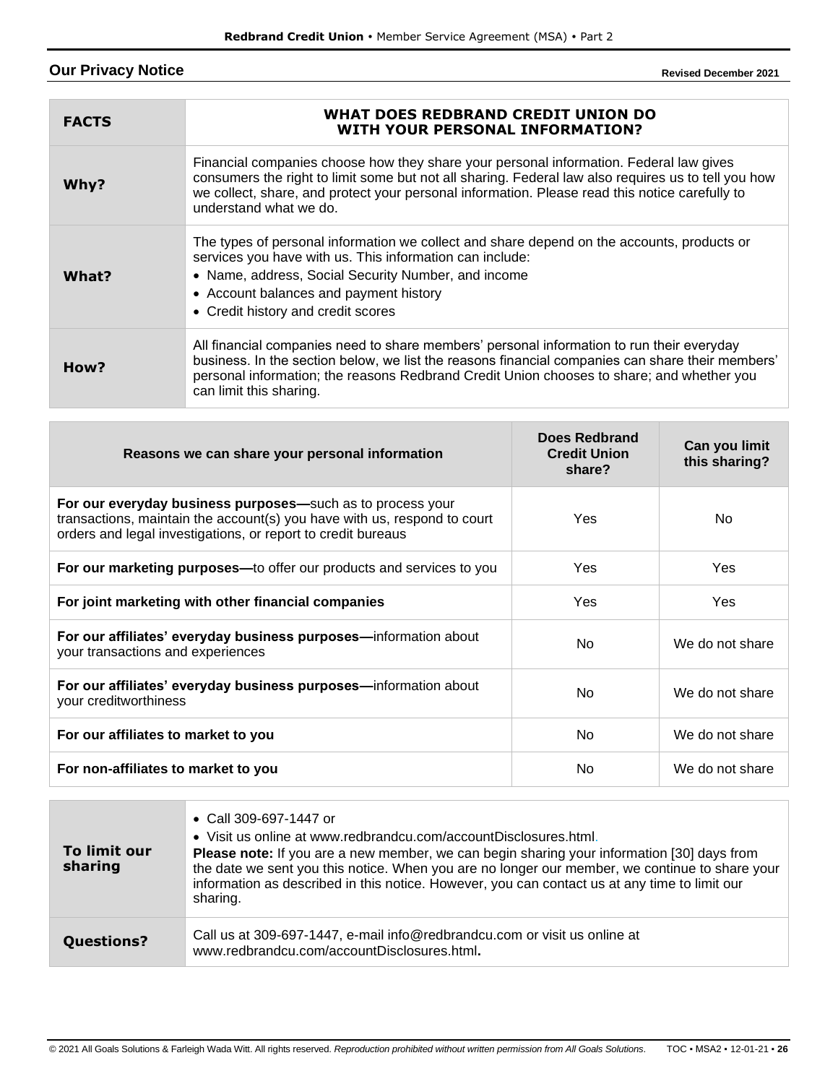# <span id="page-25-0"></span>**Our Privacy Notice**

**Revised December 2021**

| <b>FACTS</b> | WHAT DOES REDBRAND CREDIT UNION DO<br><b>WITH YOUR PERSONAL INFORMATION?</b>                                                                                                                                                                                                                                              |
|--------------|---------------------------------------------------------------------------------------------------------------------------------------------------------------------------------------------------------------------------------------------------------------------------------------------------------------------------|
| Why?         | Financial companies choose how they share your personal information. Federal law gives<br>consumers the right to limit some but not all sharing. Federal law also requires us to tell you how<br>we collect, share, and protect your personal information. Please read this notice carefully to<br>understand what we do. |
| What?        | The types of personal information we collect and share depend on the accounts, products or<br>services you have with us. This information can include:<br>• Name, address, Social Security Number, and income<br>• Account balances and payment history<br>• Credit history and credit scores                             |
| How?         | All financial companies need to share members' personal information to run their everyday<br>business. In the section below, we list the reasons financial companies can share their members'<br>personal information; the reasons Redbrand Credit Union chooses to share; and whether you<br>can limit this sharing.     |

| Reasons we can share your personal information                                                                                                                                                         | Does Redbrand<br><b>Credit Union</b><br>share? | Can you limit<br>this sharing? |
|--------------------------------------------------------------------------------------------------------------------------------------------------------------------------------------------------------|------------------------------------------------|--------------------------------|
| For our everyday business purposes—such as to process your<br>transactions, maintain the account(s) you have with us, respond to court<br>orders and legal investigations, or report to credit bureaus | Yes                                            | No.                            |
| For our marketing purposes—to offer our products and services to you                                                                                                                                   | Yes                                            | Yes                            |
| For joint marketing with other financial companies                                                                                                                                                     | Yes                                            | Yes                            |
| For our affiliates' everyday business purposes—information about<br>your transactions and experiences                                                                                                  | No.                                            | We do not share                |
| For our affiliates' everyday business purposes—information about<br>your creditworthiness                                                                                                              | No.                                            | We do not share                |
| For our affiliates to market to you                                                                                                                                                                    | No.                                            | We do not share                |
| For non-affiliates to market to you                                                                                                                                                                    | No                                             | We do not share                |

| To limit our<br>sharing | • Call 309-697-1447 or<br>• Visit us online at www.redbrandcu.com/accountDisclosures.html.<br><b>Please note:</b> If you are a new member, we can begin sharing your information [30] days from<br>the date we sent you this notice. When you are no longer our member, we continue to share your<br>information as described in this notice. However, you can contact us at any time to limit our<br>sharing. |
|-------------------------|----------------------------------------------------------------------------------------------------------------------------------------------------------------------------------------------------------------------------------------------------------------------------------------------------------------------------------------------------------------------------------------------------------------|
| <b>Questions?</b>       | Call us at 309-697-1447, e-mail info@redbrandcu.com or visit us online at<br>www.redbrandcu.com/accountDisclosures.html.                                                                                                                                                                                                                                                                                       |